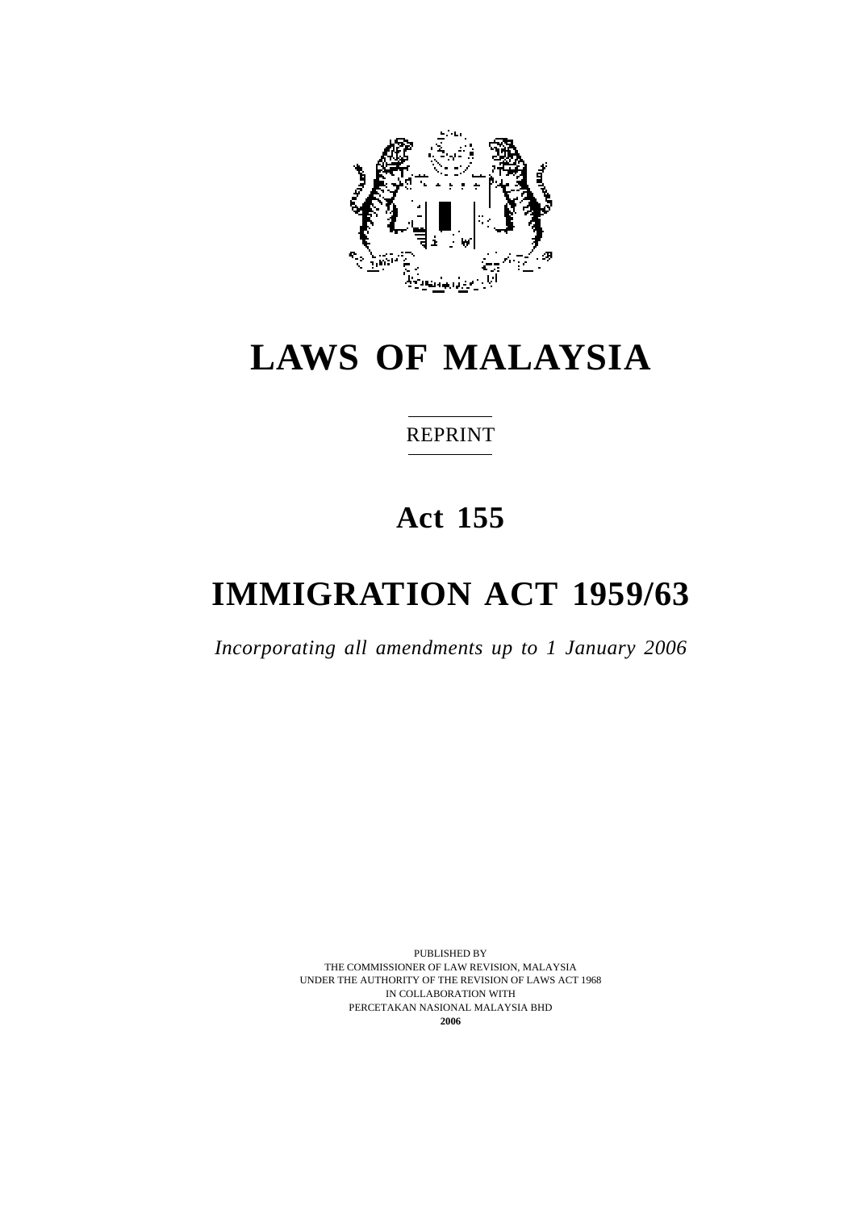

# **LAWS OF MALAYSIA**

# REPRINT

# **Act 155**

# **IMMIGRATION ACT 1959/63**

*Incorporating all amendments up to 1 January 2006*

PUBLISHED BY THE COMMISSIONER OF LAW REVISION, MALAYSIA UNDER THE AUTHORITY OF THE REVISION OF LAWS ACT 1968 IN COLLABORATION WITH PERCETAKAN NASIONAL MALAYSIA BHD **2006**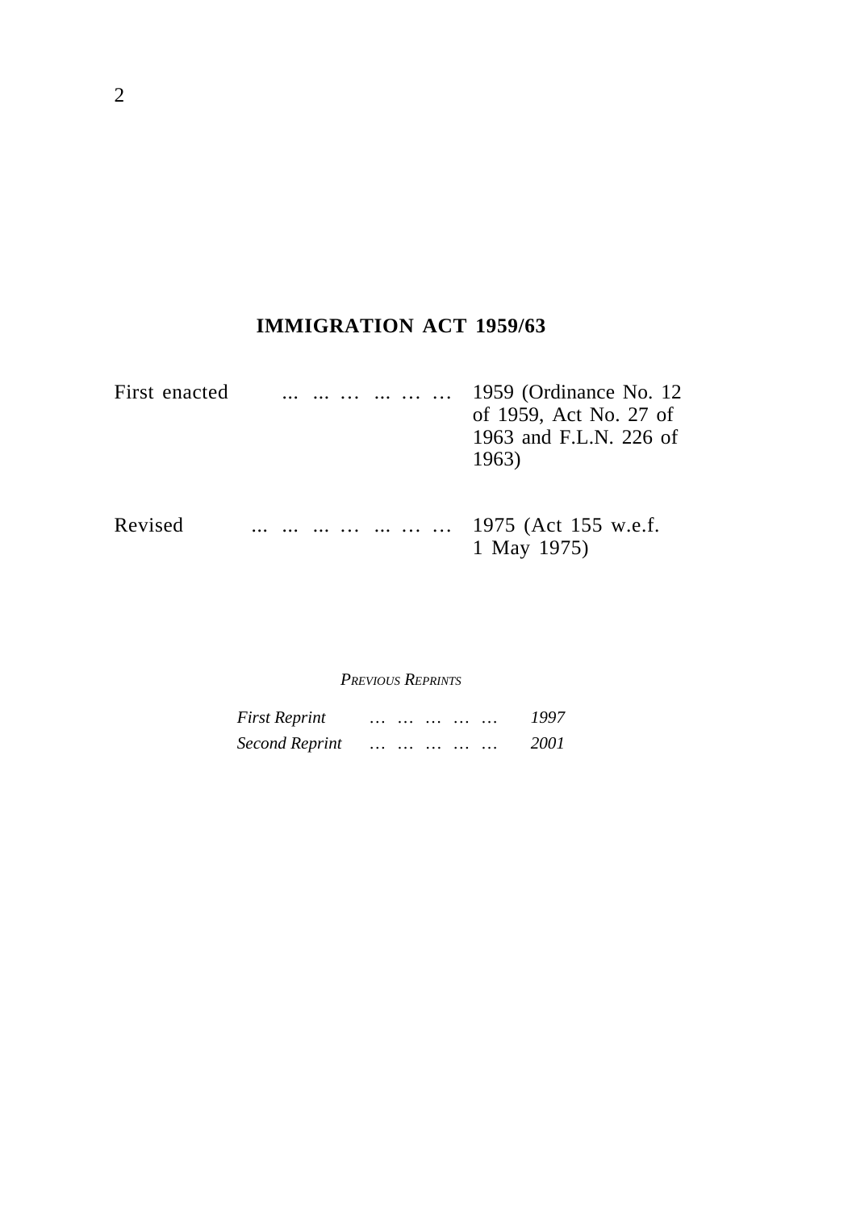# **IMMIGRATION ACT 1959/63**

| First enacted | $\cdots$             | 1959 (Ordinance No. 12)<br>of 1959, Act No. 27 of<br>1963 and F.L.N. 226 of<br>1963) |
|---------------|----------------------|--------------------------------------------------------------------------------------|
| Revised       | 1975 (Act 155 w.e.f. | 1 May 1975)                                                                          |

#### *PREVIOUS REPRINTS*

| <b>First Reprint</b>  | $\cdots$ |          | $\cdots$ |  | 1997 |
|-----------------------|----------|----------|----------|--|------|
| <b>Second Reprint</b> | $\cdots$ | $\cdots$ |          |  | 2001 |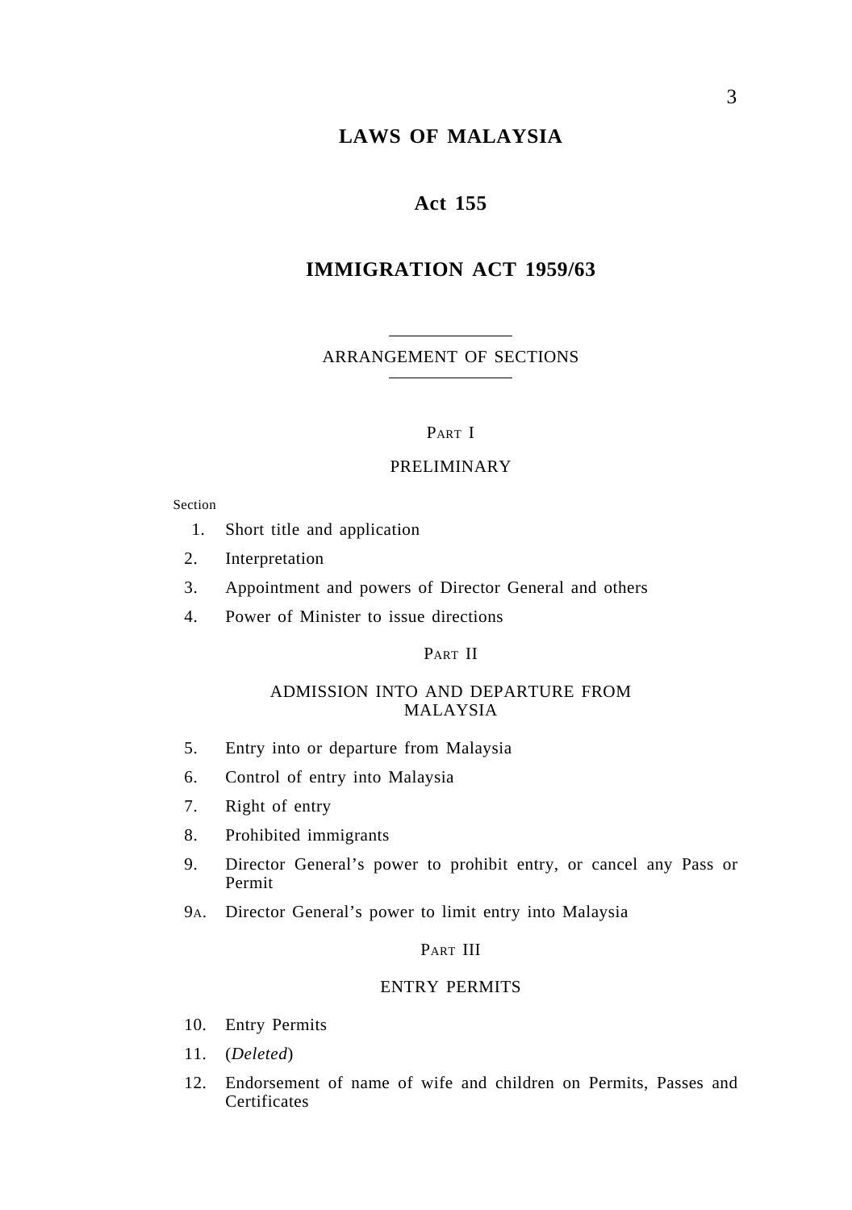# **LAWS OF MALAYSIA**

### **Act 155**

### **IMMIGRATION ACT 1959/63**

ARRANGEMENT OF SECTIONS

#### PART I

#### PRELIMINARY

#### Section

- 1. Short title and application
- 2. Interpretation
- 3. Appointment and powers of Director General and others
- 4. Power of Minister to issue directions

#### PART II

#### ADMISSION INTO AND DEPARTURE FROM MALAYSIA

- 5. Entry into or departure from Malaysia
- 6. Control of entry into Malaysia
- 7. Right of entry
- 8. Prohibited immigrants
- 9. Director General's power to prohibit entry, or cancel any Pass or Permit
- 9A. Director General's power to limit entry into Malaysia

#### PART III

#### ENTRY PERMITS

- 10. Entry Permits
- 11. (*Deleted*)
- 12. Endorsement of name of wife and children on Permits, Passes and **Certificates**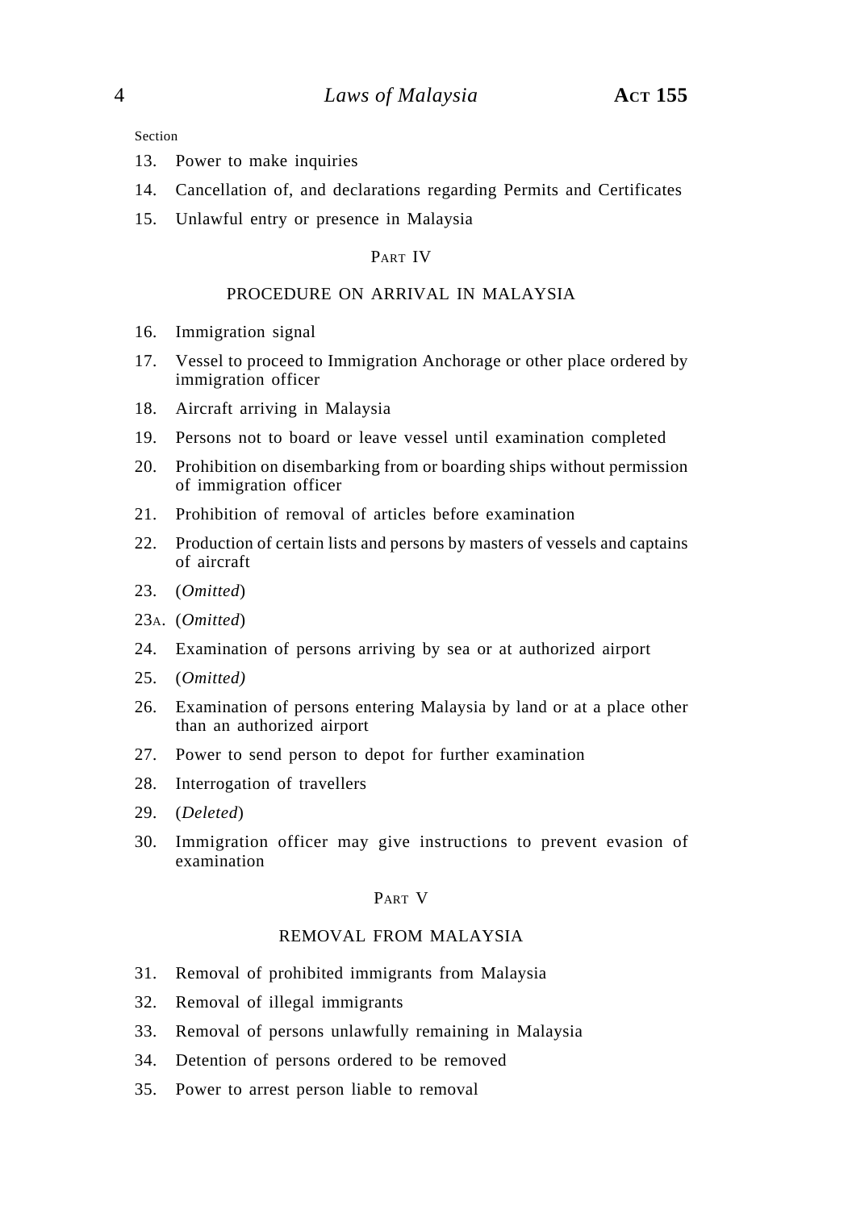Section

- 13. Power to make inquiries
- 14. Cancellation of, and declarations regarding Permits and Certificates
- 15. Unlawful entry or presence in Malaysia

### PART IV

### PROCEDURE ON ARRIVAL IN MALAYSIA

- 16. Immigration signal
- 17. Vessel to proceed to Immigration Anchorage or other place ordered by immigration officer
- 18. Aircraft arriving in Malaysia
- 19. Persons not to board or leave vessel until examination completed
- 20. Prohibition on disembarking from or boarding ships without permission of immigration officer
- 21. Prohibition of removal of articles before examination
- 22. Production of certain lists and persons by masters of vessels and captains of aircraft
- 23. (*Omitted*)
- 23A. (*Omitted*)
- 24. Examination of persons arriving by sea or at authorized airport
- 25. (*Omitted)*
- 26. Examination of persons entering Malaysia by land or at a place other than an authorized airport
- 27. Power to send person to depot for further examination
- 28. Interrogation of travellers
- 29. (*Deleted*)
- 30. Immigration officer may give instructions to prevent evasion of examination

### PART V

#### REMOVAL FROM MALAYSIA

- 31. Removal of prohibited immigrants from Malaysia
- 32. Removal of illegal immigrants
- 33. Removal of persons unlawfully remaining in Malaysia
- 34. Detention of persons ordered to be removed
- 35. Power to arrest person liable to removal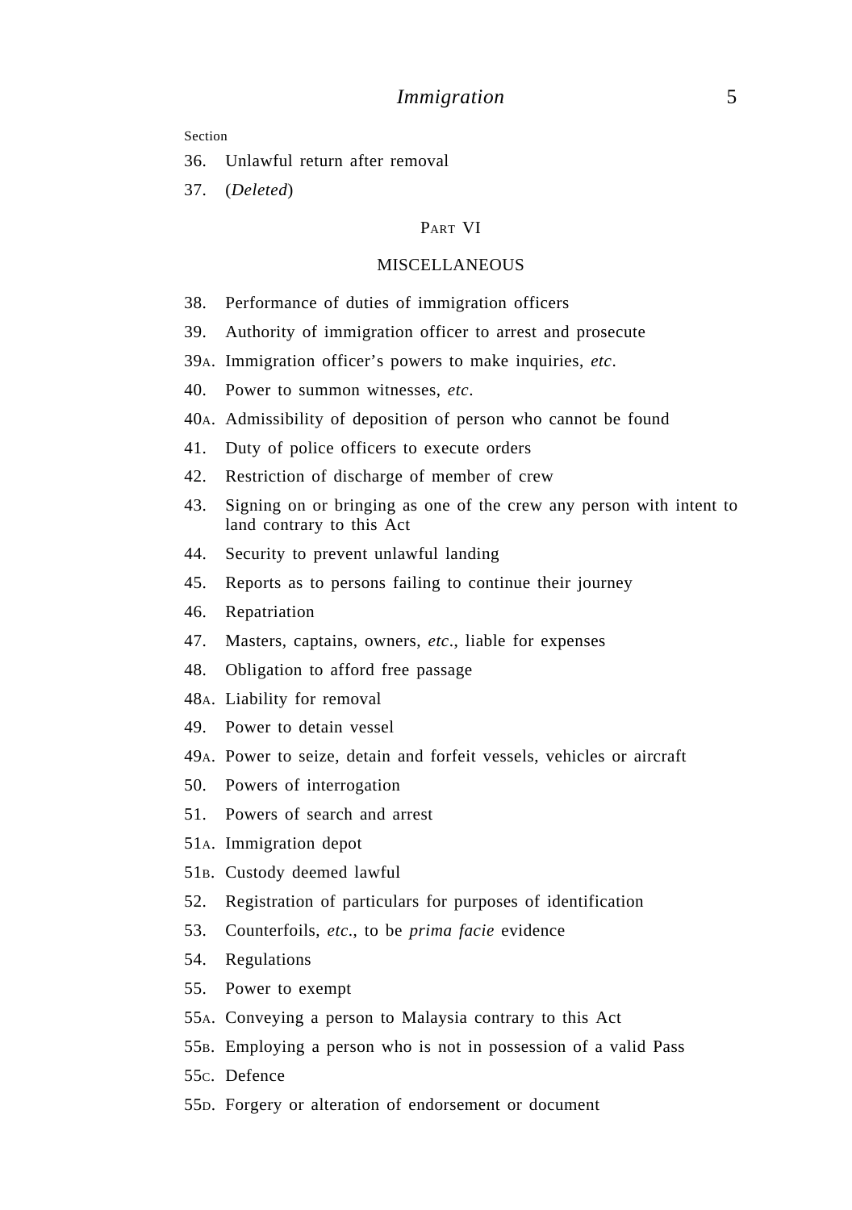#### Section

- 36. Unlawful return after removal
- 37. (*Deleted*)

#### PART VI

#### MISCELLANEOUS

- 38. Performance of duties of immigration officers
- 39. Authority of immigration officer to arrest and prosecute
- 39A. Immigration officer's powers to make inquiries, *etc*.
- 40. Power to summon witnesses, *etc*.
- 40A. Admissibility of deposition of person who cannot be found
- 41. Duty of police officers to execute orders
- 42. Restriction of discharge of member of crew
- 43. Signing on or bringing as one of the crew any person with intent to land contrary to this Act
- 44. Security to prevent unlawful landing
- 45. Reports as to persons failing to continue their journey
- 46. Repatriation
- 47. Masters, captains, owners, *etc*., liable for expenses
- 48. Obligation to afford free passage
- 48A. Liability for removal
- 49. Power to detain vessel
- 49A. Power to seize, detain and forfeit vessels, vehicles or aircraft
- 50. Powers of interrogation
- 51. Powers of search and arrest
- 51A. Immigration depot
- 51B. Custody deemed lawful
- 52. Registration of particulars for purposes of identification
- 53. Counterfoils, *etc*., to be *prima facie* evidence
- 54. Regulations
- 55. Power to exempt
- 55A. Conveying a person to Malaysia contrary to this Act
- 55B. Employing a person who is not in possession of a valid Pass
- 55C. Defence
- 55D. Forgery or alteration of endorsement or document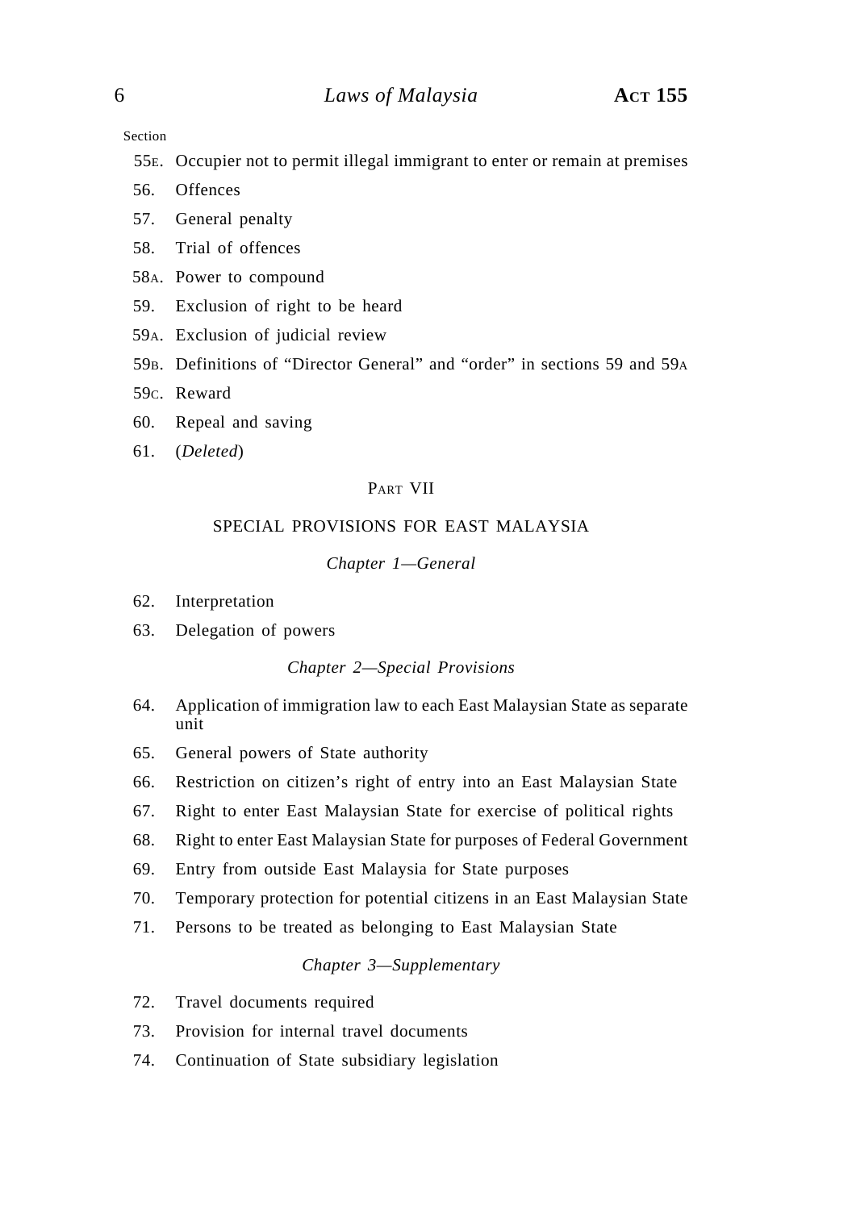Section

- 55E. Occupier not to permit illegal immigrant to enter or remain at premises
- 56. Offences
- 57. General penalty
- 58. Trial of offences
- 58A. Power to compound
- 59. Exclusion of right to be heard
- 59A. Exclusion of judicial review
- 59B. Definitions of "Director General" and "order" in sections 59 and 59A
- 59C. Reward
- 60. Repeal and saving
- 61. (*Deleted*)

#### PART VII

### SPECIAL PROVISIONS FOR EAST MALAYSIA

#### *Chapter 1—General*

- 62. Interpretation
- 63. Delegation of powers

#### *Chapter 2—Special Provisions*

- 64. Application of immigration law to each East Malaysian State as separate unit
- 65. General powers of State authority
- 66. Restriction on citizen's right of entry into an East Malaysian State
- 67. Right to enter East Malaysian State for exercise of political rights
- 68. Right to enter East Malaysian State for purposes of Federal Government
- 69. Entry from outside East Malaysia for State purposes
- 70. Temporary protection for potential citizens in an East Malaysian State
- 71. Persons to be treated as belonging to East Malaysian State

### *Chapter 3—Supplementary*

- 72. Travel documents required
- 73. Provision for internal travel documents
- 74. Continuation of State subsidiary legislation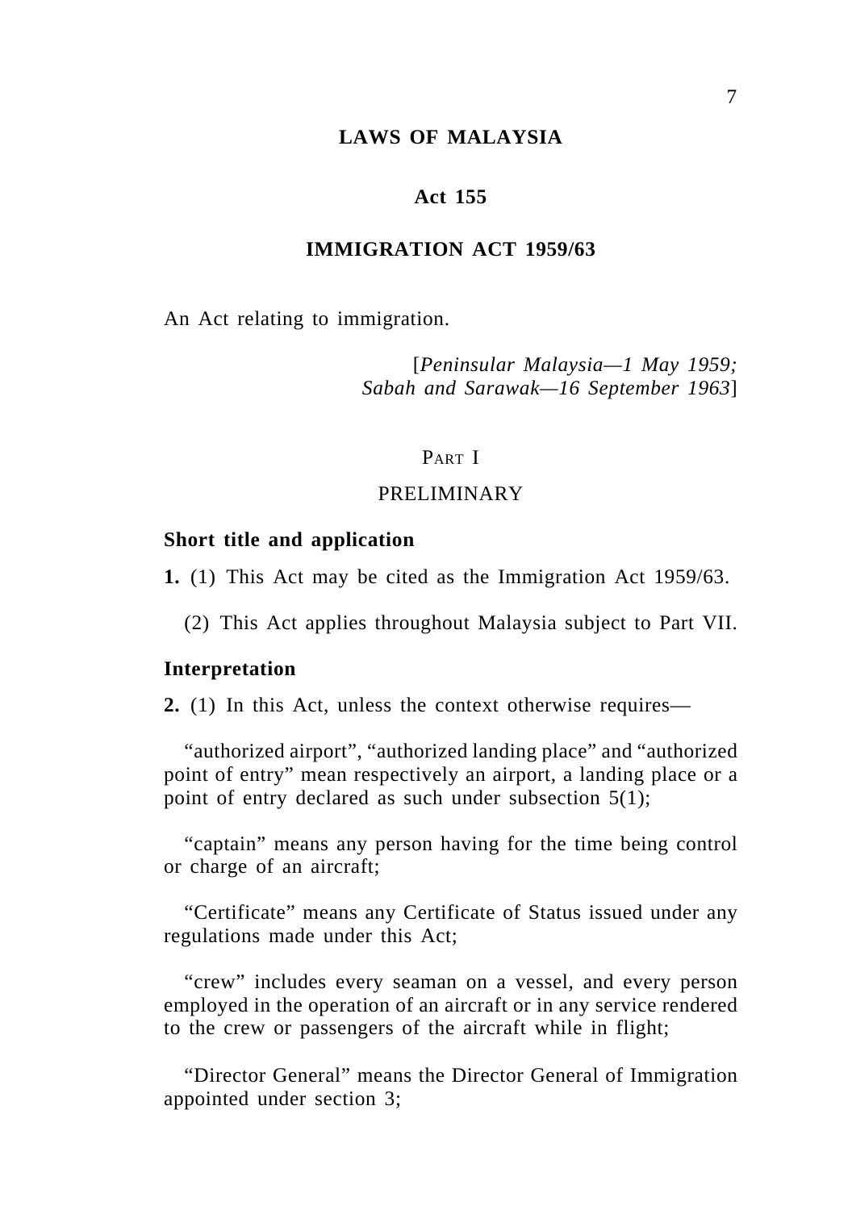### **LAWS OF MALAYSIA**

### **Act 155**

### **IMMIGRATION ACT 1959/63**

An Act relating to immigration.

[*Peninsular Malaysia—1 May 1959; Sabah and Sarawak—16 September 1963*]

### PART I

### PRELIMINARY

#### **Short title and application**

**1.** (1) This Act may be cited as the Immigration Act 1959/63.

(2) This Act applies throughout Malaysia subject to Part VII.

#### **Interpretation**

**2.** (1) In this Act, unless the context otherwise requires—

"authorized airport", "authorized landing place" and "authorized point of entry" mean respectively an airport, a landing place or a point of entry declared as such under subsection 5(1);

"captain" means any person having for the time being control or charge of an aircraft;

"Certificate" means any Certificate of Status issued under any regulations made under this Act;

"crew" includes every seaman on a vessel, and every person employed in the operation of an aircraft or in any service rendered to the crew or passengers of the aircraft while in flight;

"Director General" means the Director General of Immigration appointed under section 3;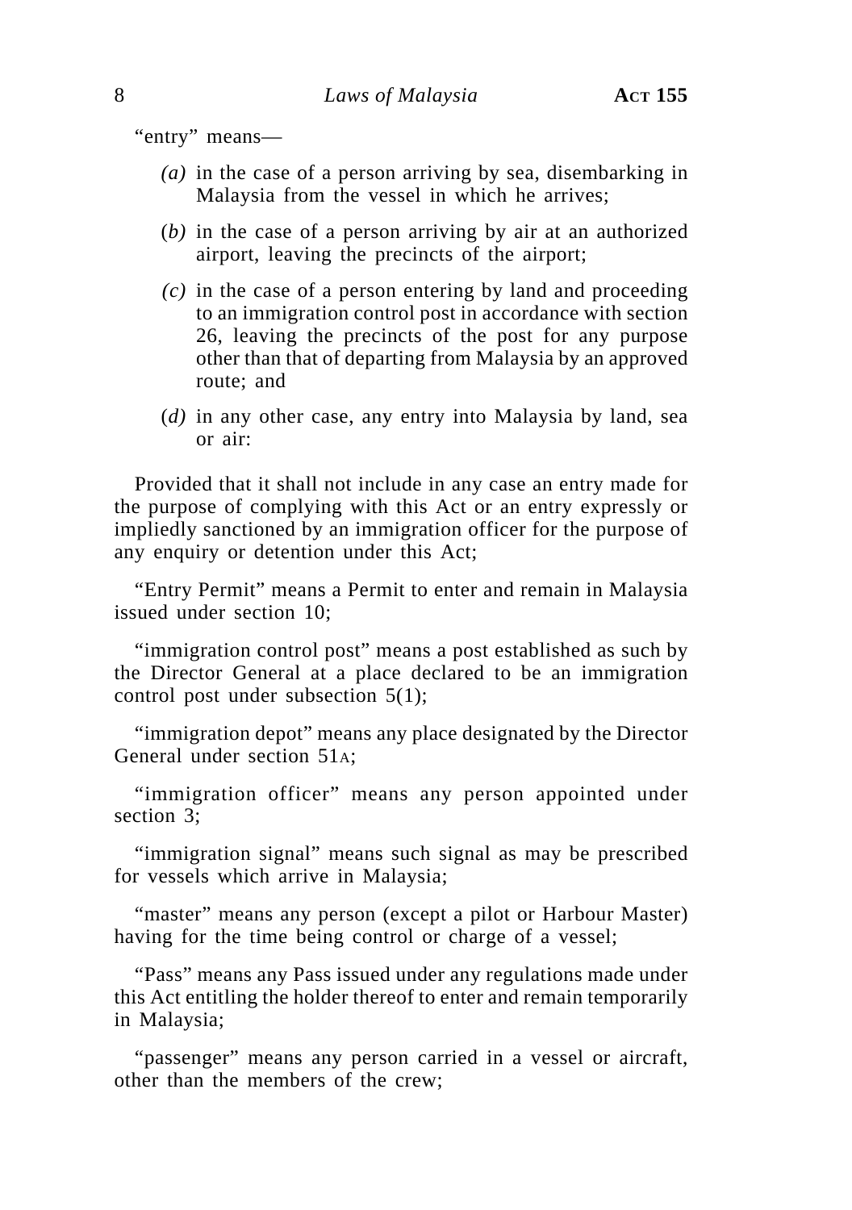"entry" means—

- *(a)* in the case of a person arriving by sea, disembarking in Malaysia from the vessel in which he arrives;
- (*b)* in the case of a person arriving by air at an authorized airport, leaving the precincts of the airport;
- *(c)* in the case of a person entering by land and proceeding to an immigration control post in accordance with section 26, leaving the precincts of the post for any purpose other than that of departing from Malaysia by an approved route; and
- (*d)* in any other case, any entry into Malaysia by land, sea or air:

Provided that it shall not include in any case an entry made for the purpose of complying with this Act or an entry expressly or impliedly sanctioned by an immigration officer for the purpose of any enquiry or detention under this Act;

"Entry Permit" means a Permit to enter and remain in Malaysia issued under section 10;

"immigration control post" means a post established as such by the Director General at a place declared to be an immigration control post under subsection 5(1);

"immigration depot" means any place designated by the Director General under section 51A;

"immigration officer" means any person appointed under section 3;

"immigration signal" means such signal as may be prescribed for vessels which arrive in Malaysia;

"master" means any person (except a pilot or Harbour Master) having for the time being control or charge of a vessel;

"Pass" means any Pass issued under any regulations made under this Act entitling the holder thereof to enter and remain temporarily in Malaysia;

"passenger" means any person carried in a vessel or aircraft, other than the members of the crew;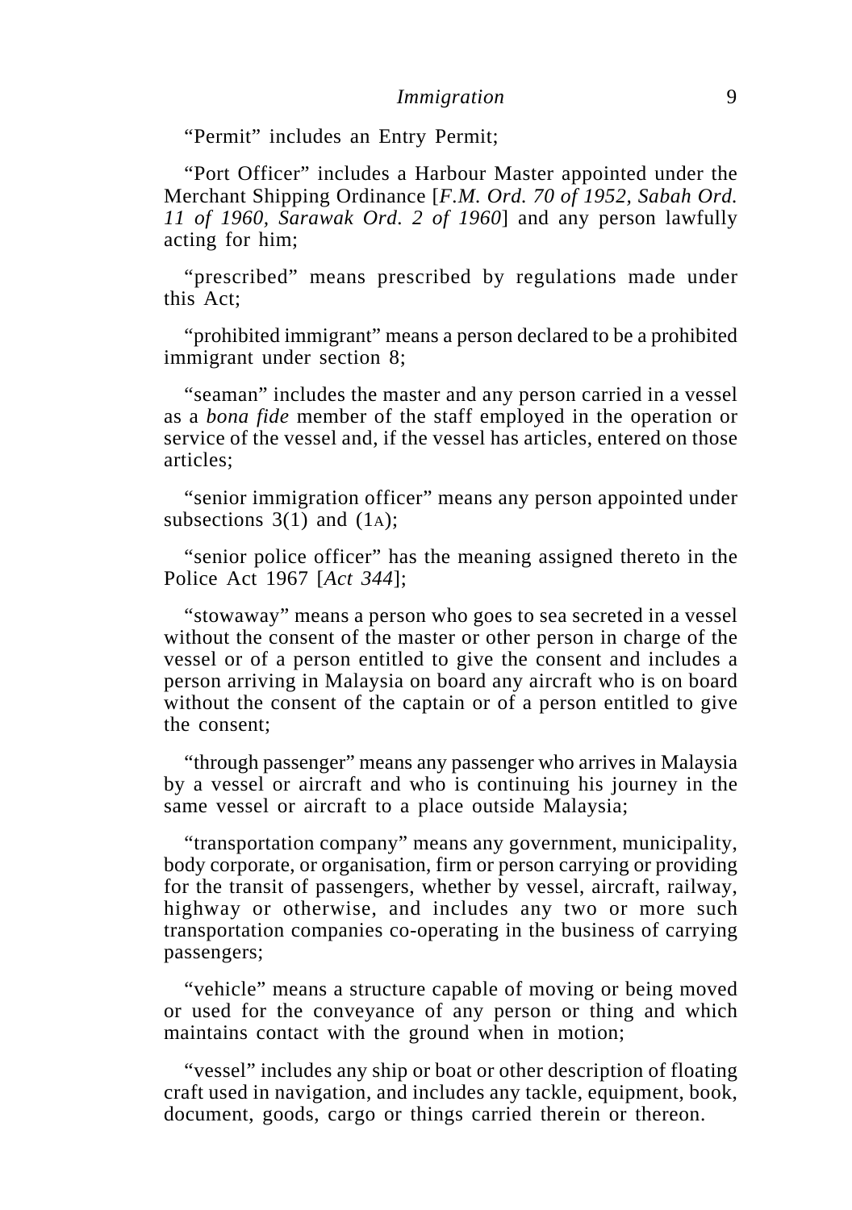"Permit" includes an Entry Permit;

"Port Officer" includes a Harbour Master appointed under the Merchant Shipping Ordinance [*F.M. Ord. 70 of 1952, Sabah Ord. 11 of 1960, Sarawak Ord. 2 of 1960*] and any person lawfully acting for him;

"prescribed" means prescribed by regulations made under this Act;

"prohibited immigrant" means a person declared to be a prohibited immigrant under section 8;

"seaman" includes the master and any person carried in a vessel as a *bona fide* member of the staff employed in the operation or service of the vessel and, if the vessel has articles, entered on those articles;

"senior immigration officer" means any person appointed under subsections  $3(1)$  and  $(1<sub>A</sub>)$ ;

"senior police officer" has the meaning assigned thereto in the Police Act 1967 [*Act 344*];

"stowaway" means a person who goes to sea secreted in a vessel without the consent of the master or other person in charge of the vessel or of a person entitled to give the consent and includes a person arriving in Malaysia on board any aircraft who is on board without the consent of the captain or of a person entitled to give the consent;

"through passenger" means any passenger who arrives in Malaysia by a vessel or aircraft and who is continuing his journey in the same vessel or aircraft to a place outside Malaysia;

"transportation company" means any government, municipality, body corporate, or organisation, firm or person carrying or providing for the transit of passengers, whether by vessel, aircraft, railway, highway or otherwise, and includes any two or more such transportation companies co-operating in the business of carrying passengers;

"vehicle" means a structure capable of moving or being moved or used for the conveyance of any person or thing and which maintains contact with the ground when in motion;

"vessel" includes any ship or boat or other description of floating craft used in navigation, and includes any tackle, equipment, book, document, goods, cargo or things carried therein or thereon.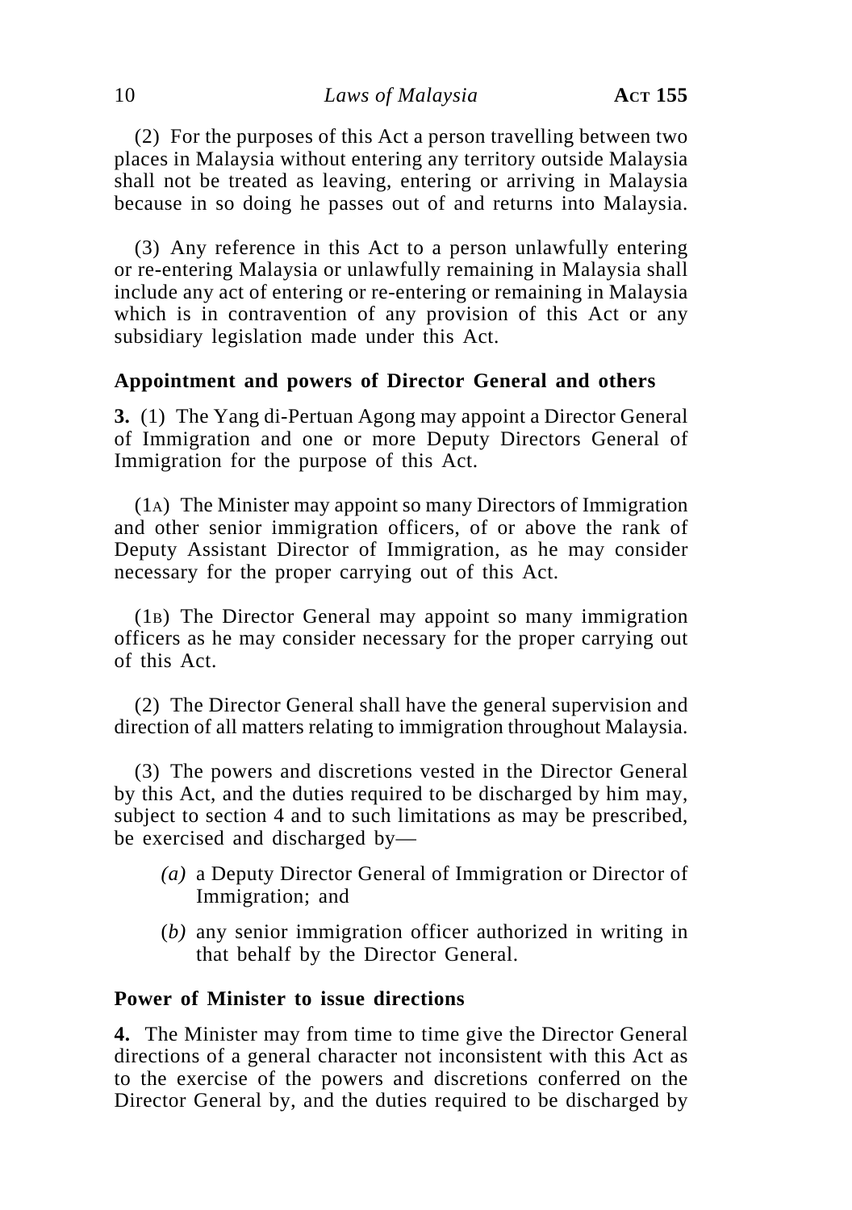(2) For the purposes of this Act a person travelling between two places in Malaysia without entering any territory outside Malaysia shall not be treated as leaving, entering or arriving in Malaysia because in so doing he passes out of and returns into Malaysia.

(3) Any reference in this Act to a person unlawfully entering or re-entering Malaysia or unlawfully remaining in Malaysia shall include any act of entering or re-entering or remaining in Malaysia which is in contravention of any provision of this Act or any subsidiary legislation made under this Act.

### **Appointment and powers of Director General and others**

**3.** (1) The Yang di-Pertuan Agong may appoint a Director General of Immigration and one or more Deputy Directors General of Immigration for the purpose of this Act.

(1A) The Minister may appoint so many Directors of Immigration and other senior immigration officers, of or above the rank of Deputy Assistant Director of Immigration, as he may consider necessary for the proper carrying out of this Act.

(1B) The Director General may appoint so many immigration officers as he may consider necessary for the proper carrying out of this Act.

(2) The Director General shall have the general supervision and direction of all matters relating to immigration throughout Malaysia.

(3) The powers and discretions vested in the Director General by this Act, and the duties required to be discharged by him may, subject to section 4 and to such limitations as may be prescribed, be exercised and discharged by—

- *(a)* a Deputy Director General of Immigration or Director of Immigration; and
- (*b)* any senior immigration officer authorized in writing in that behalf by the Director General.

### **Power of Minister to issue directions**

**4.** The Minister may from time to time give the Director General directions of a general character not inconsistent with this Act as to the exercise of the powers and discretions conferred on the Director General by, and the duties required to be discharged by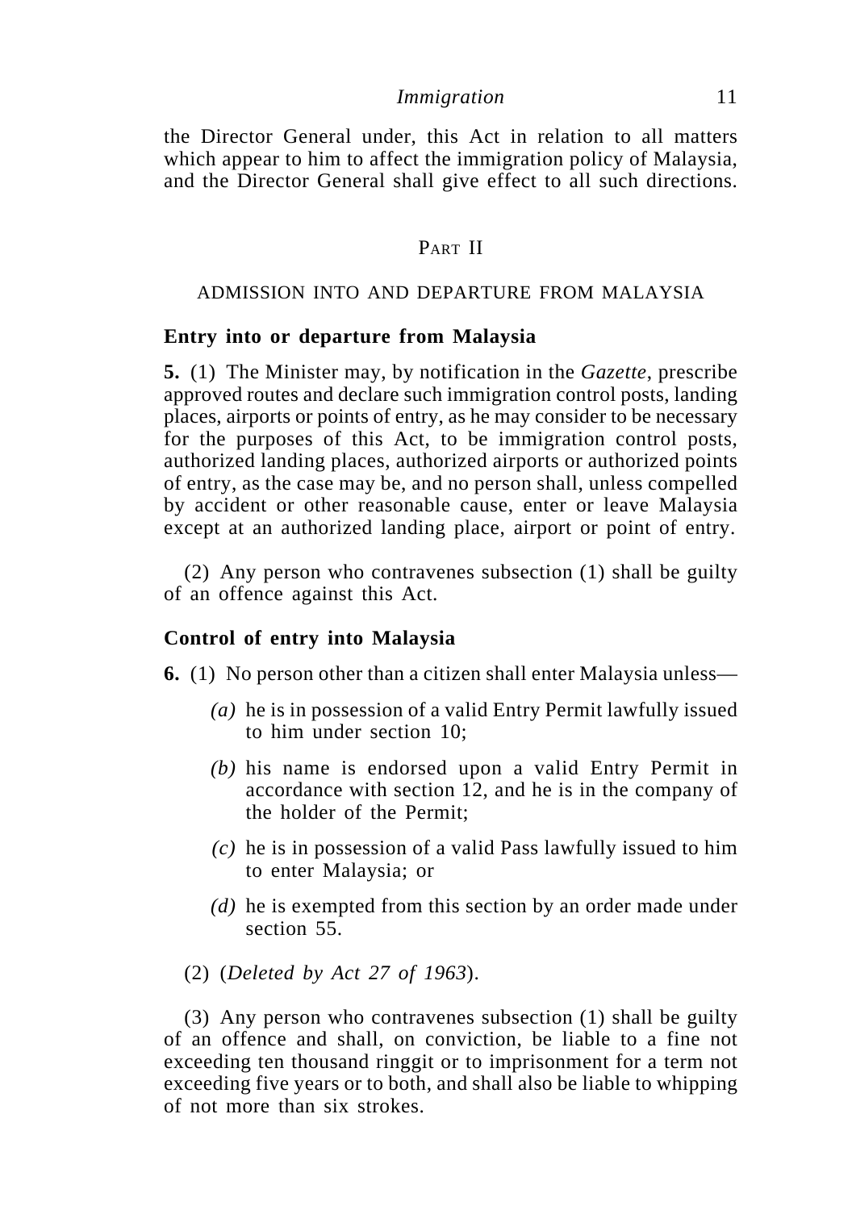the Director General under, this Act in relation to all matters which appear to him to affect the immigration policy of Malaysia. and the Director General shall give effect to all such directions.

### PART II

#### ADMISSION INTO AND DEPARTURE FROM MALAYSIA

### **Entry into or departure from Malaysia**

**5.** (1) The Minister may, by notification in the *Gazette*, prescribe approved routes and declare such immigration control posts, landing places, airports or points of entry, as he may consider to be necessary for the purposes of this Act, to be immigration control posts, authorized landing places, authorized airports or authorized points of entry, as the case may be, and no person shall, unless compelled by accident or other reasonable cause, enter or leave Malaysia except at an authorized landing place, airport or point of entry.

(2) Any person who contravenes subsection (1) shall be guilty of an offence against this Act.

### **Control of entry into Malaysia**

**6.** (1) No person other than a citizen shall enter Malaysia unless—

- *(a)* he is in possession of a valid Entry Permit lawfully issued to him under section 10;
- *(b)* his name is endorsed upon a valid Entry Permit in accordance with section 12, and he is in the company of the holder of the Permit;
- *(c)* he is in possession of a valid Pass lawfully issued to him to enter Malaysia; or
- *(d)* he is exempted from this section by an order made under section 55.
- (2) (*Deleted by Act 27 of 1963*).

(3) Any person who contravenes subsection (1) shall be guilty of an offence and shall, on conviction, be liable to a fine not exceeding ten thousand ringgit or to imprisonment for a term not exceeding five years or to both, and shall also be liable to whipping of not more than six strokes.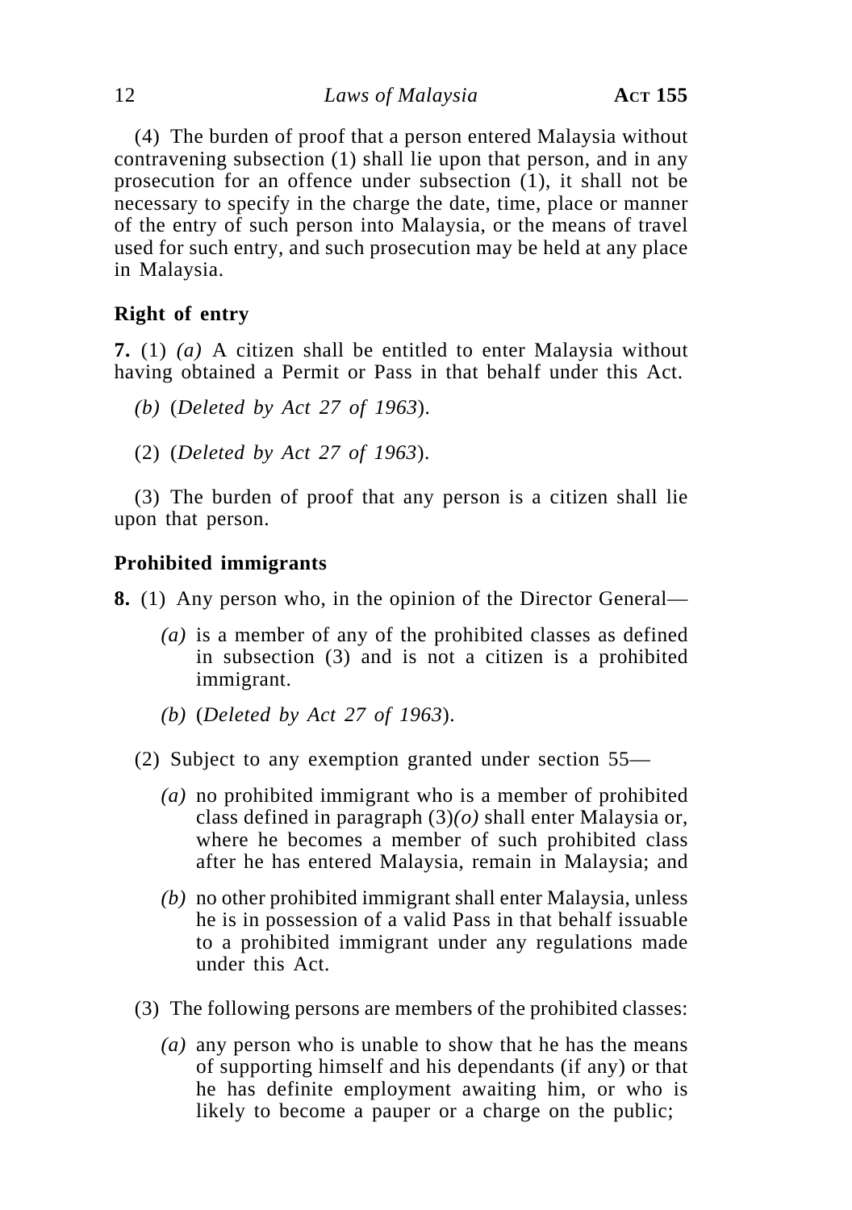12 *Laws of Malaysia* **ACT 155**

(4) The burden of proof that a person entered Malaysia without contravening subsection (1) shall lie upon that person, and in any prosecution for an offence under subsection (1), it shall not be necessary to specify in the charge the date, time, place or manner of the entry of such person into Malaysia, or the means of travel used for such entry, and such prosecution may be held at any place in Malaysia.

# **Right of entry**

**7.** (1) *(a)* A citizen shall be entitled to enter Malaysia without having obtained a Permit or Pass in that behalf under this Act.

- *(b)* (*Deleted by Act 27 of 1963*).
- (2) (*Deleted by Act 27 of 1963*).

(3) The burden of proof that any person is a citizen shall lie upon that person.

# **Prohibited immigrants**

**8.** (1) Any person who, in the opinion of the Director General—

- *(a)* is a member of any of the prohibited classes as defined in subsection (3) and is not a citizen is a prohibited immigrant.
- *(b)* (*Deleted by Act 27 of 1963*).
- (2) Subject to any exemption granted under section 55—
	- *(a)* no prohibited immigrant who is a member of prohibited class defined in paragraph (3)*(o)* shall enter Malaysia or, where he becomes a member of such prohibited class after he has entered Malaysia, remain in Malaysia; and
	- *(b)* no other prohibited immigrant shall enter Malaysia, unless he is in possession of a valid Pass in that behalf issuable to a prohibited immigrant under any regulations made under this Act.
- (3) The following persons are members of the prohibited classes:
	- *(a)* any person who is unable to show that he has the means of supporting himself and his dependants (if any) or that he has definite employment awaiting him, or who is likely to become a pauper or a charge on the public;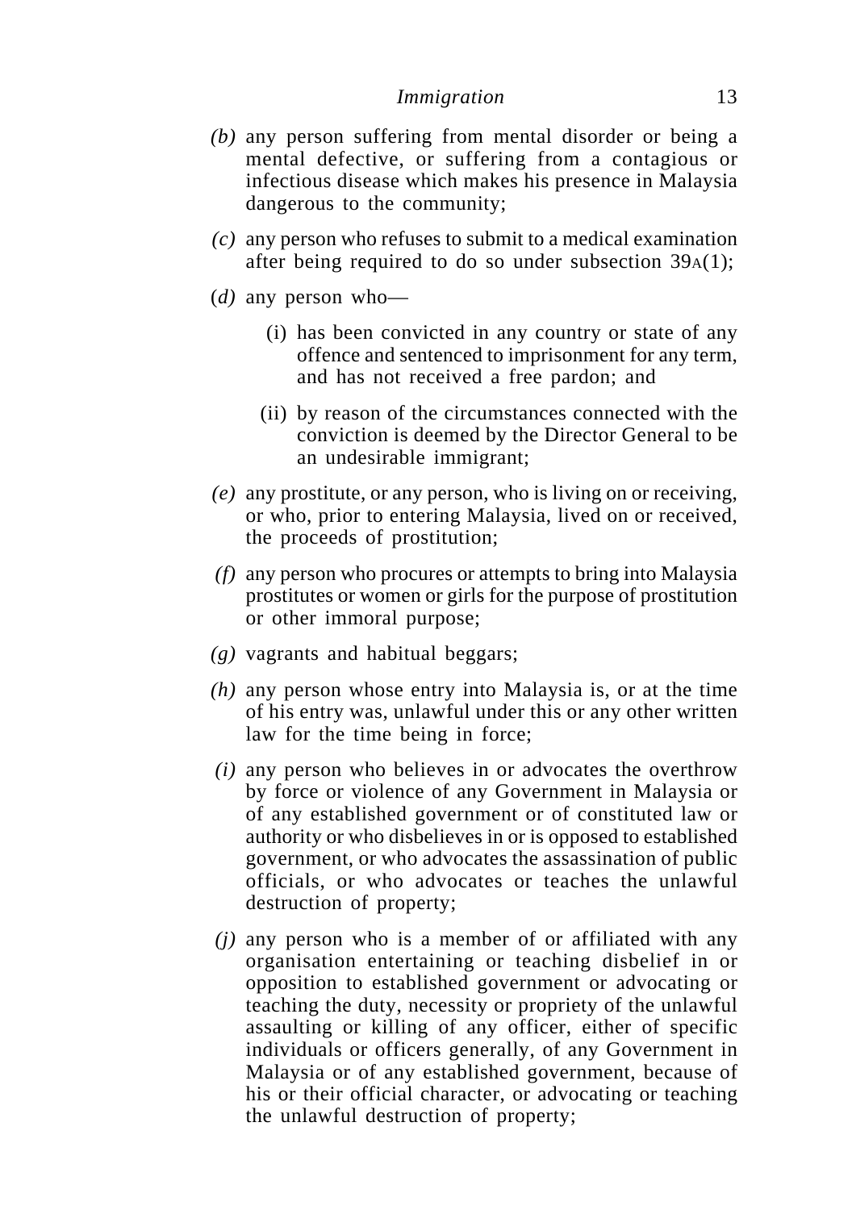- *(b)* any person suffering from mental disorder or being a mental defective, or suffering from a contagious or infectious disease which makes his presence in Malaysia dangerous to the community;
- *(c)* any person who refuses to submit to a medical examination after being required to do so under subsection 39A(1);
- (*d)* any person who—
	- (i) has been convicted in any country or state of any offence and sentenced to imprisonment for any term, and has not received a free pardon; and
	- (ii) by reason of the circumstances connected with the conviction is deemed by the Director General to be an undesirable immigrant;
- *(e)* any prostitute, or any person, who is living on or receiving, or who, prior to entering Malaysia, lived on or received, the proceeds of prostitution;
- *(f)* any person who procures or attempts to bring into Malaysia prostitutes or women or girls for the purpose of prostitution or other immoral purpose;
- *(g)* vagrants and habitual beggars;
- *(h)* any person whose entry into Malaysia is, or at the time of his entry was, unlawful under this or any other written law for the time being in force;
- *(i)* any person who believes in or advocates the overthrow by force or violence of any Government in Malaysia or of any established government or of constituted law or authority or who disbelieves in or is opposed to established government, or who advocates the assassination of public officials, or who advocates or teaches the unlawful destruction of property;
- *(j)* any person who is a member of or affiliated with any organisation entertaining or teaching disbelief in or opposition to established government or advocating or teaching the duty, necessity or propriety of the unlawful assaulting or killing of any officer, either of specific individuals or officers generally, of any Government in Malaysia or of any established government, because of his or their official character, or advocating or teaching the unlawful destruction of property;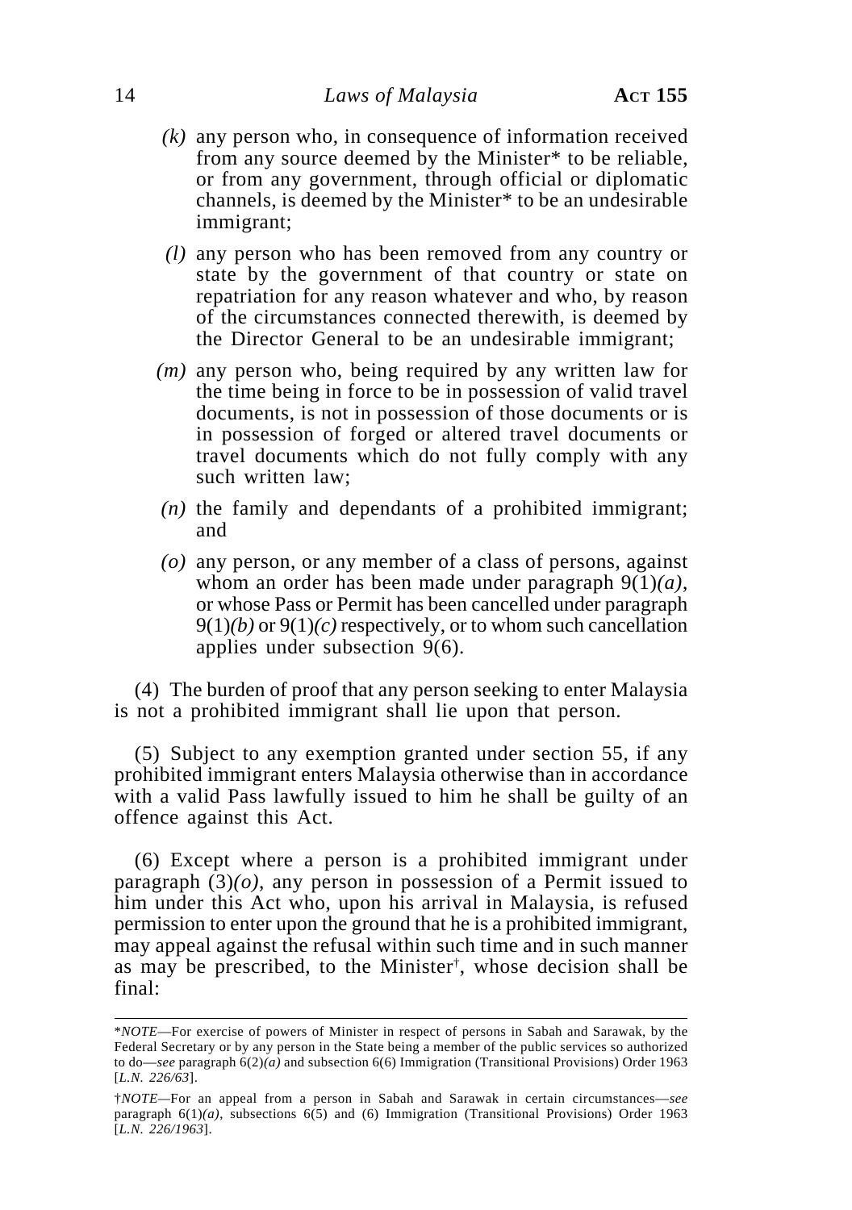- *(k)* any person who, in consequence of information received from any source deemed by the Minister\* to be reliable, or from any government, through official or diplomatic channels, is deemed by the Minister\* to be an undesirable immigrant;
- *(l)* any person who has been removed from any country or state by the government of that country or state on repatriation for any reason whatever and who, by reason of the circumstances connected therewith, is deemed by the Director General to be an undesirable immigrant;
- *(m)* any person who, being required by any written law for the time being in force to be in possession of valid travel documents, is not in possession of those documents or is in possession of forged or altered travel documents or travel documents which do not fully comply with any such written law;
- *(n)* the family and dependants of a prohibited immigrant; and
- *(o)* any person, or any member of a class of persons, against whom an order has been made under paragraph 9(1)*(a)*, or whose Pass or Permit has been cancelled under paragraph 9(1)*(b)* or 9(1)*(c)* respectively, or to whom such cancellation applies under subsection 9(6).

(4) The burden of proof that any person seeking to enter Malaysia is not a prohibited immigrant shall lie upon that person.

(5) Subject to any exemption granted under section 55, if any prohibited immigrant enters Malaysia otherwise than in accordance with a valid Pass lawfully issued to him he shall be guilty of an offence against this Act.

(6) Except where a person is a prohibited immigrant under paragraph  $(3)(o)$ , any person in possession of a Permit issued to him under this Act who, upon his arrival in Malaysia, is refused permission to enter upon the ground that he is a prohibited immigrant, may appeal against the refusal within such time and in such manner as may be prescribed, to the Minister† , whose decision shall be final:

<sup>\*</sup>*NOTE*—For exercise of powers of Minister in respect of persons in Sabah and Sarawak, by the Federal Secretary or by any person in the State being a member of the public services so authorized to do—*see* paragraph 6(2)*(a)* and subsection 6(6) Immigration (Transitional Provisions) Order 1963 [*L.N. 226/63*].

<sup>†</sup>*NOTE—*For an appeal from a person in Sabah and Sarawak in certain circumstances—*see* paragraph  $6(1)(a)$ , subsections  $6(5)$  and  $(6)$  Immigration (Transitional Provisions) Order 1963 [*L.N. 226/1963*].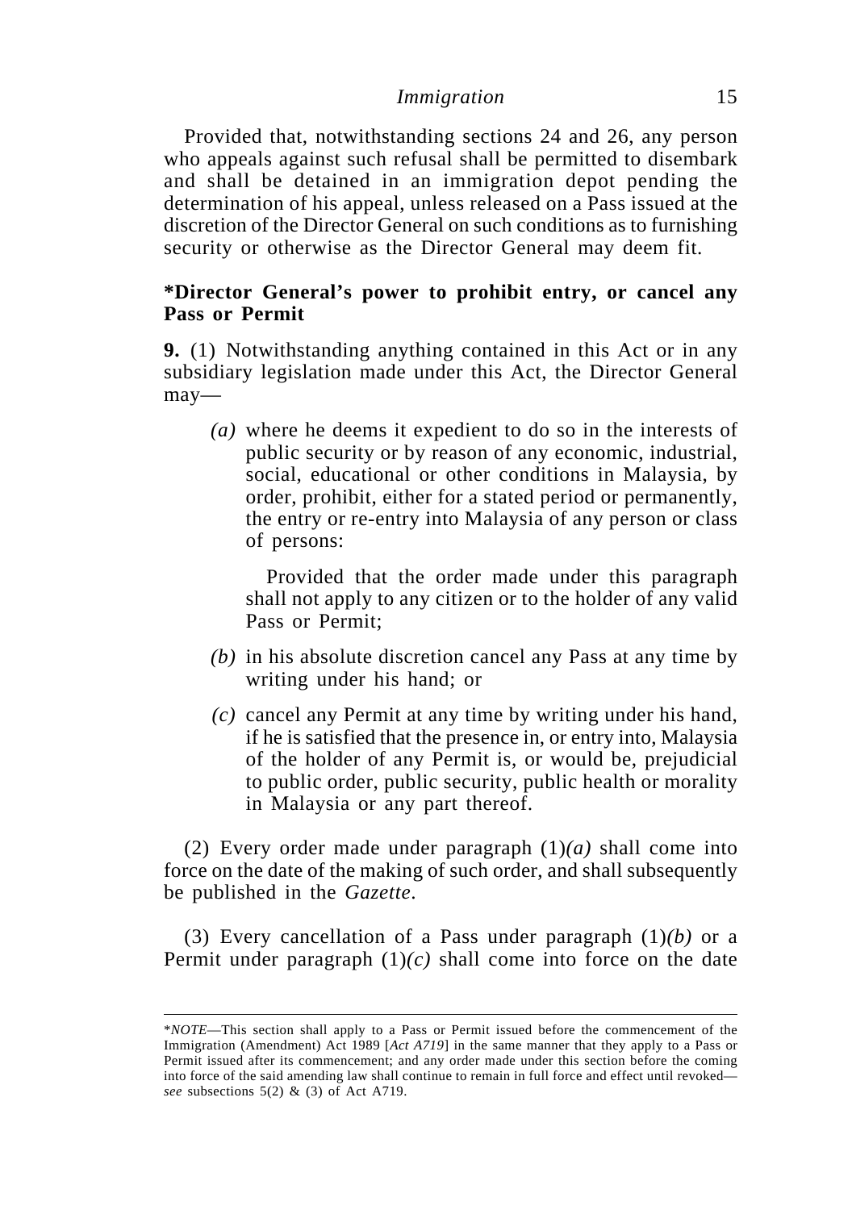Provided that, notwithstanding sections 24 and 26, any person who appeals against such refusal shall be permitted to disembark and shall be detained in an immigration depot pending the determination of his appeal, unless released on a Pass issued at the discretion of the Director General on such conditions as to furnishing security or otherwise as the Director General may deem fit.

# **\*Director General's power to prohibit entry, or cancel any Pass or Permit**

**9.** (1) Notwithstanding anything contained in this Act or in any subsidiary legislation made under this Act, the Director General may—

*(a)* where he deems it expedient to do so in the interests of public security or by reason of any economic, industrial, social, educational or other conditions in Malaysia, by order, prohibit, either for a stated period or permanently, the entry or re-entry into Malaysia of any person or class of persons:

Provided that the order made under this paragraph shall not apply to any citizen or to the holder of any valid Pass or Permit;

- *(b)* in his absolute discretion cancel any Pass at any time by writing under his hand; or
- *(c)* cancel any Permit at any time by writing under his hand, if he is satisfied that the presence in, or entry into, Malaysia of the holder of any Permit is, or would be, prejudicial to public order, public security, public health or morality in Malaysia or any part thereof.

(2) Every order made under paragraph (1)*(a)* shall come into force on the date of the making of such order, and shall subsequently be published in the *Gazette*.

(3) Every cancellation of a Pass under paragraph (1)*(b)* or a Permit under paragraph  $(1)(c)$  shall come into force on the date

<sup>\*</sup>*NOTE*—This section shall apply to a Pass or Permit issued before the commencement of the Immigration (Amendment) Act 1989 [*Act A719*] in the same manner that they apply to a Pass or Permit issued after its commencement; and any order made under this section before the coming into force of the said amending law shall continue to remain in full force and effect until revoked *see* subsections 5(2) & (3) of Act A719.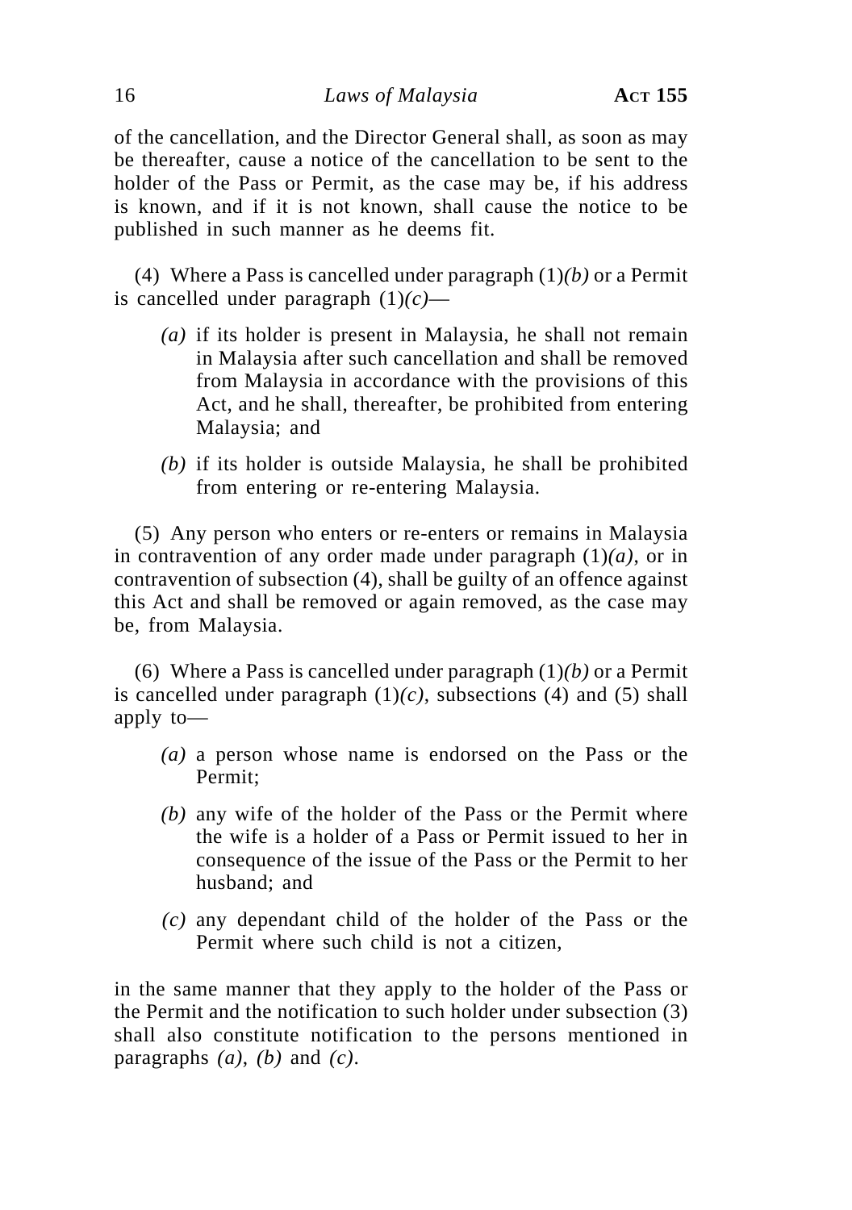of the cancellation, and the Director General shall, as soon as may be thereafter, cause a notice of the cancellation to be sent to the holder of the Pass or Permit, as the case may be, if his address is known, and if it is not known, shall cause the notice to be published in such manner as he deems fit.

(4) Where a Pass is cancelled under paragraph (1)*(b)* or a Permit is cancelled under paragraph (1)*(c)*—

- *(a)* if its holder is present in Malaysia, he shall not remain in Malaysia after such cancellation and shall be removed from Malaysia in accordance with the provisions of this Act, and he shall, thereafter, be prohibited from entering Malaysia; and
- *(b)* if its holder is outside Malaysia, he shall be prohibited from entering or re-entering Malaysia.

(5) Any person who enters or re-enters or remains in Malaysia in contravention of any order made under paragraph  $(1)(a)$ , or in contravention of subsection (4), shall be guilty of an offence against this Act and shall be removed or again removed, as the case may be, from Malaysia.

(6) Where a Pass is cancelled under paragraph (1)*(b)* or a Permit is cancelled under paragraph  $(1)(c)$ , subsections  $(4)$  and  $(5)$  shall apply to—

- *(a)* a person whose name is endorsed on the Pass or the Permit;
- *(b)* any wife of the holder of the Pass or the Permit where the wife is a holder of a Pass or Permit issued to her in consequence of the issue of the Pass or the Permit to her husband; and
- *(c)* any dependant child of the holder of the Pass or the Permit where such child is not a citizen,

in the same manner that they apply to the holder of the Pass or the Permit and the notification to such holder under subsection (3) shall also constitute notification to the persons mentioned in paragraphs  $(a)$ ,  $(b)$  and  $(c)$ .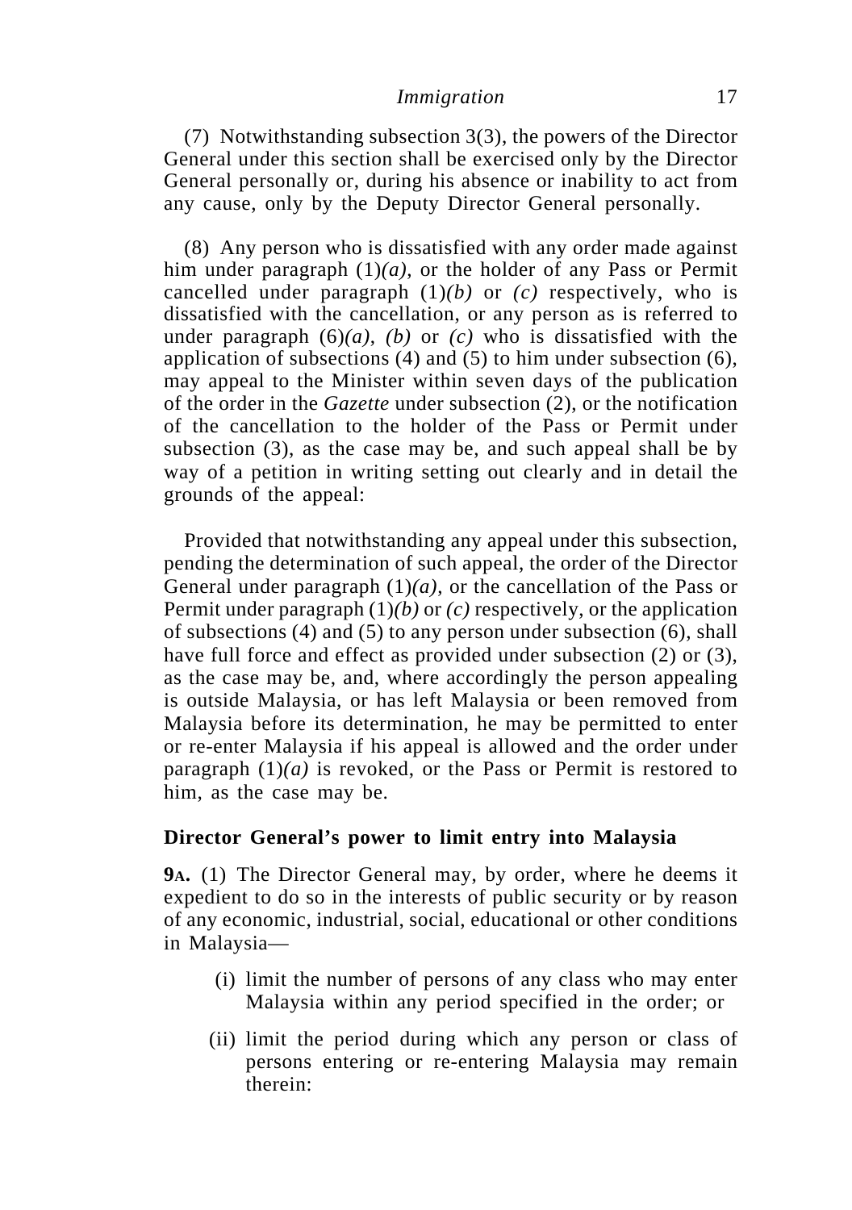(7) Notwithstanding subsection 3(3), the powers of the Director General under this section shall be exercised only by the Director General personally or, during his absence or inability to act from any cause, only by the Deputy Director General personally.

(8) Any person who is dissatisfied with any order made against him under paragraph (1)*(a)*, or the holder of any Pass or Permit cancelled under paragraph (1)*(b)* or *(c)* respectively, who is dissatisfied with the cancellation, or any person as is referred to under paragraph  $(6)(a)$ ,  $(b)$  or  $(c)$  who is dissatisfied with the application of subsections (4) and (5) to him under subsection (6), may appeal to the Minister within seven days of the publication of the order in the *Gazette* under subsection (2), or the notification of the cancellation to the holder of the Pass or Permit under subsection (3), as the case may be, and such appeal shall be by way of a petition in writing setting out clearly and in detail the grounds of the appeal:

Provided that notwithstanding any appeal under this subsection, pending the determination of such appeal, the order of the Director General under paragraph  $(1)(a)$ , or the cancellation of the Pass or Permit under paragraph (1)*(b)* or *(c)* respectively, or the application of subsections (4) and (5) to any person under subsection (6), shall have full force and effect as provided under subsection (2) or (3), as the case may be, and, where accordingly the person appealing is outside Malaysia, or has left Malaysia or been removed from Malaysia before its determination, he may be permitted to enter or re-enter Malaysia if his appeal is allowed and the order under paragraph  $(1)(a)$  is revoked, or the Pass or Permit is restored to him, as the case may be.

### **Director General's power to limit entry into Malaysia**

**9A.** (1) The Director General may, by order, where he deems it expedient to do so in the interests of public security or by reason of any economic, industrial, social, educational or other conditions in Malaysia—

- (i) limit the number of persons of any class who may enter Malaysia within any period specified in the order; or
- (ii) limit the period during which any person or class of persons entering or re-entering Malaysia may remain therein: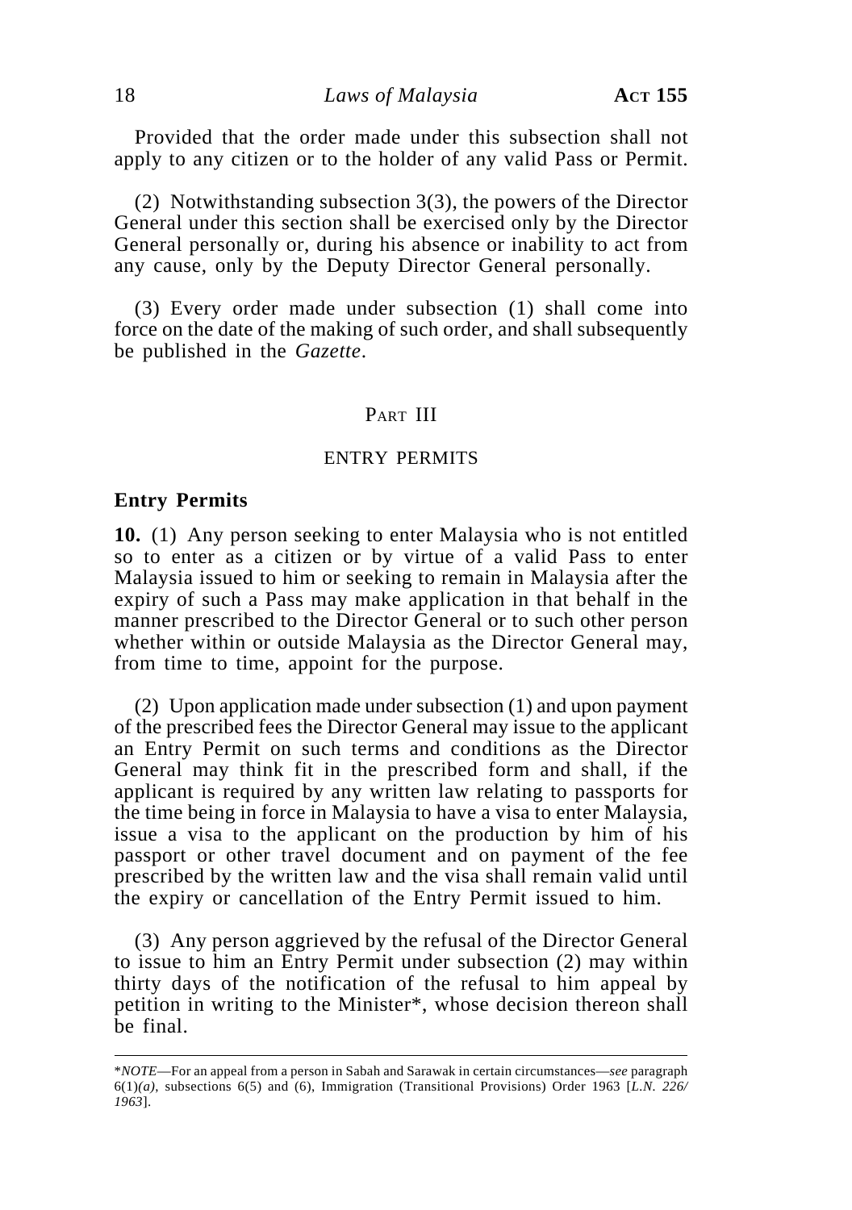Provided that the order made under this subsection shall not apply to any citizen or to the holder of any valid Pass or Permit.

(2) Notwithstanding subsection 3(3), the powers of the Director General under this section shall be exercised only by the Director General personally or, during his absence or inability to act from any cause, only by the Deputy Director General personally.

(3) Every order made under subsection (1) shall come into force on the date of the making of such order, and shall subsequently be published in the *Gazette*.

### PART III

### ENTRY PERMITS

#### **Entry Permits**

**10.** (1) Any person seeking to enter Malaysia who is not entitled so to enter as a citizen or by virtue of a valid Pass to enter Malaysia issued to him or seeking to remain in Malaysia after the expiry of such a Pass may make application in that behalf in the manner prescribed to the Director General or to such other person whether within or outside Malaysia as the Director General may, from time to time, appoint for the purpose.

(2) Upon application made under subsection (1) and upon payment of the prescribed fees the Director General may issue to the applicant an Entry Permit on such terms and conditions as the Director General may think fit in the prescribed form and shall, if the applicant is required by any written law relating to passports for the time being in force in Malaysia to have a visa to enter Malaysia, issue a visa to the applicant on the production by him of his passport or other travel document and on payment of the fee prescribed by the written law and the visa shall remain valid until the expiry or cancellation of the Entry Permit issued to him.

(3) Any person aggrieved by the refusal of the Director General to issue to him an Entry Permit under subsection (2) may within thirty days of the notification of the refusal to him appeal by petition in writing to the Minister\*, whose decision thereon shall be final.

<sup>\*</sup>*NOTE*—For an appeal from a person in Sabah and Sarawak in certain circumstances—*see* paragraph 6(1)*(a)*, subsections 6(5) and (6), Immigration (Transitional Provisions) Order 1963 [*L.N. 226/ 1963*].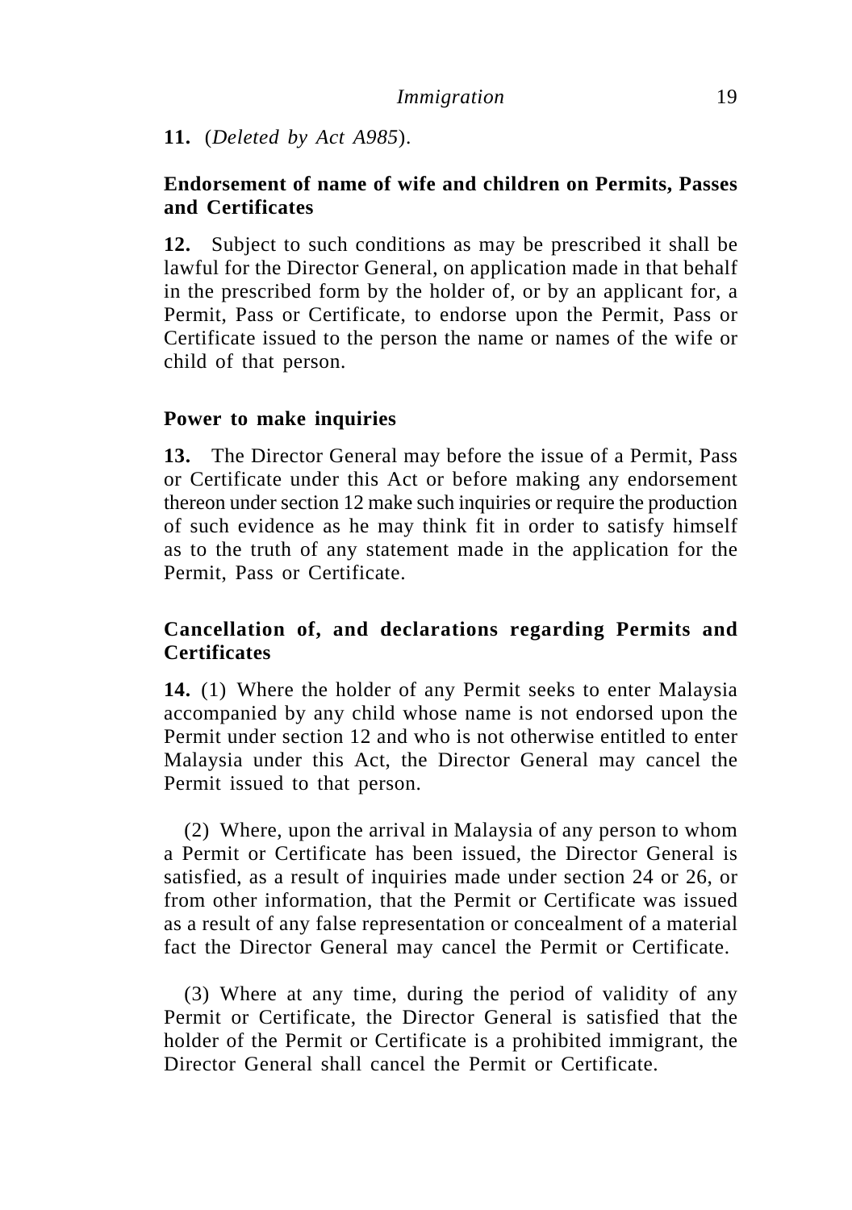**11.** (*Deleted by Act A985*).

# **Endorsement of name of wife and children on Permits, Passes and Certificates**

**12.** Subject to such conditions as may be prescribed it shall be lawful for the Director General, on application made in that behalf in the prescribed form by the holder of, or by an applicant for, a Permit, Pass or Certificate, to endorse upon the Permit, Pass or Certificate issued to the person the name or names of the wife or child of that person.

# **Power to make inquiries**

**13.** The Director General may before the issue of a Permit, Pass or Certificate under this Act or before making any endorsement thereon under section 12 make such inquiries or require the production of such evidence as he may think fit in order to satisfy himself as to the truth of any statement made in the application for the Permit, Pass or Certificate.

# **Cancellation of, and declarations regarding Permits and Certificates**

**14.** (1) Where the holder of any Permit seeks to enter Malaysia accompanied by any child whose name is not endorsed upon the Permit under section 12 and who is not otherwise entitled to enter Malaysia under this Act, the Director General may cancel the Permit issued to that person.

(2) Where, upon the arrival in Malaysia of any person to whom a Permit or Certificate has been issued, the Director General is satisfied, as a result of inquiries made under section 24 or 26, or from other information, that the Permit or Certificate was issued as a result of any false representation or concealment of a material fact the Director General may cancel the Permit or Certificate.

(3) Where at any time, during the period of validity of any Permit or Certificate, the Director General is satisfied that the holder of the Permit or Certificate is a prohibited immigrant, the Director General shall cancel the Permit or Certificate.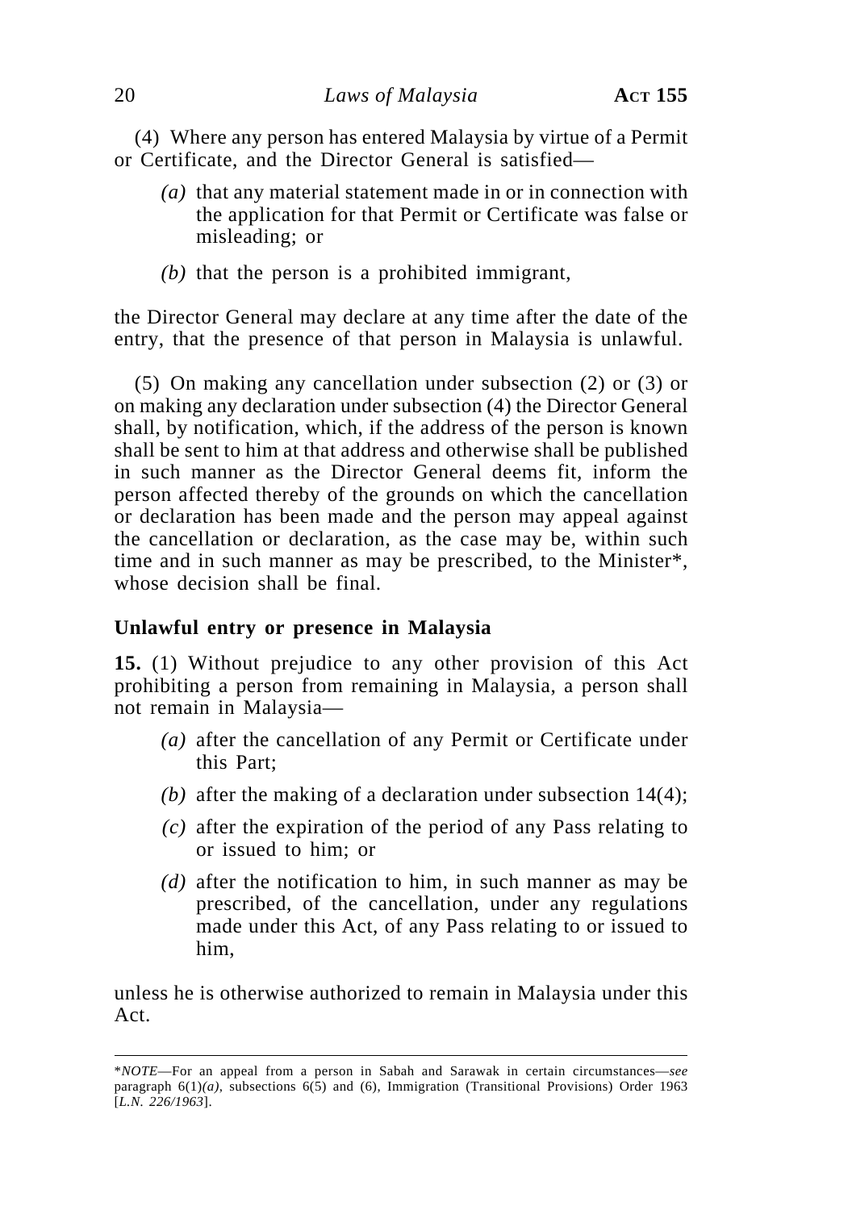(4) Where any person has entered Malaysia by virtue of a Permit or Certificate, and the Director General is satisfied—

- *(a)* that any material statement made in or in connection with the application for that Permit or Certificate was false or misleading; or
- *(b)* that the person is a prohibited immigrant,

the Director General may declare at any time after the date of the entry, that the presence of that person in Malaysia is unlawful.

(5) On making any cancellation under subsection (2) or (3) or on making any declaration under subsection (4) the Director General shall, by notification, which, if the address of the person is known shall be sent to him at that address and otherwise shall be published in such manner as the Director General deems fit, inform the person affected thereby of the grounds on which the cancellation or declaration has been made and the person may appeal against the cancellation or declaration, as the case may be, within such time and in such manner as may be prescribed, to the Minister\*, whose decision shall be final.

### **Unlawful entry or presence in Malaysia**

**15.** (1) Without prejudice to any other provision of this Act prohibiting a person from remaining in Malaysia, a person shall not remain in Malaysia—

- *(a)* after the cancellation of any Permit or Certificate under this Part;
- *(b)* after the making of a declaration under subsection 14(4);
- *(c)* after the expiration of the period of any Pass relating to or issued to him; or
- *(d)* after the notification to him, in such manner as may be prescribed, of the cancellation, under any regulations made under this Act, of any Pass relating to or issued to him,

unless he is otherwise authorized to remain in Malaysia under this Act.

<sup>\*</sup>*NOTE*—For an appeal from a person in Sabah and Sarawak in certain circumstances—*see* paragraph 6(1)*(a)*, subsections 6(5) and (6), Immigration (Transitional Provisions) Order 1963 [*L.N. 226/1963*].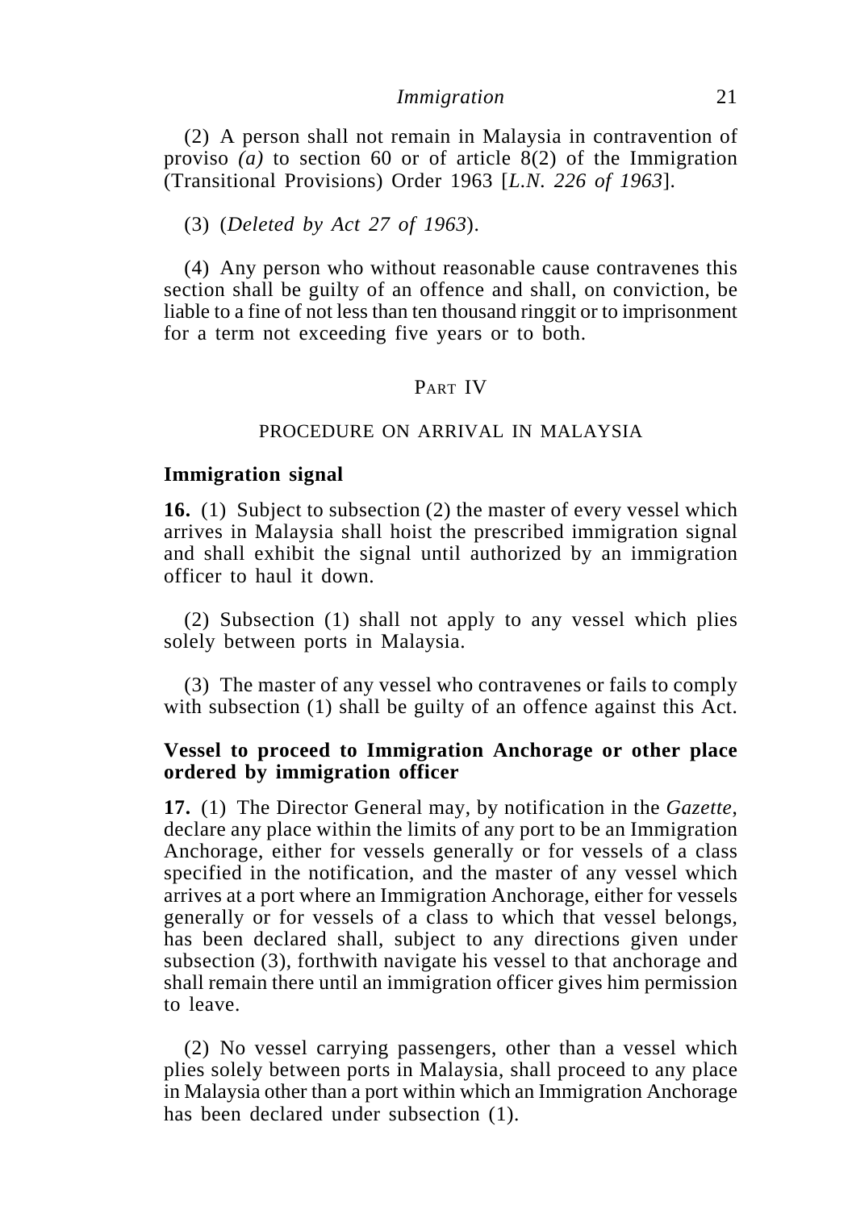(2) A person shall not remain in Malaysia in contravention of proviso *(a)* to section 60 or of article 8(2) of the Immigration (Transitional Provisions) Order 1963 [*L.N. 226 of 1963*].

#### (3) (*Deleted by Act 27 of 1963*).

(4) Any person who without reasonable cause contravenes this section shall be guilty of an offence and shall, on conviction, be liable to a fine of not less than ten thousand ringgit or to imprisonment for a term not exceeding five years or to both.

### PART IV

#### PROCEDURE ON ARRIVAL IN MALAYSIA

#### **Immigration signal**

**16.** (1) Subject to subsection (2) the master of every vessel which arrives in Malaysia shall hoist the prescribed immigration signal and shall exhibit the signal until authorized by an immigration officer to haul it down.

(2) Subsection (1) shall not apply to any vessel which plies solely between ports in Malaysia.

(3) The master of any vessel who contravenes or fails to comply with subsection (1) shall be guilty of an offence against this Act.

### **Vessel to proceed to Immigration Anchorage or other place ordered by immigration officer**

**17.** (1) The Director General may, by notification in the *Gazette*, declare any place within the limits of any port to be an Immigration Anchorage, either for vessels generally or for vessels of a class specified in the notification, and the master of any vessel which arrives at a port where an Immigration Anchorage, either for vessels generally or for vessels of a class to which that vessel belongs, has been declared shall, subject to any directions given under subsection (3), forthwith navigate his vessel to that anchorage and shall remain there until an immigration officer gives him permission to leave.

(2) No vessel carrying passengers, other than a vessel which plies solely between ports in Malaysia, shall proceed to any place in Malaysia other than a port within which an Immigration Anchorage has been declared under subsection (1).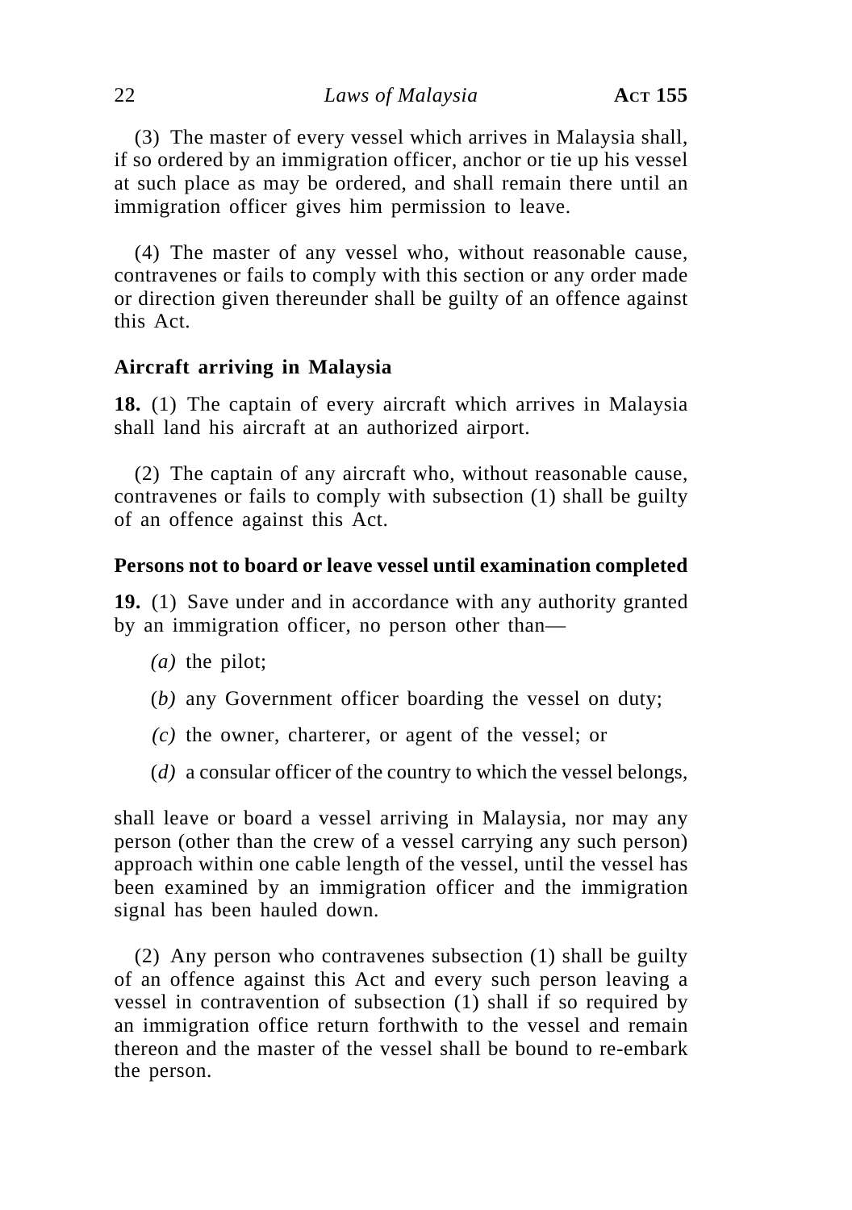(3) The master of every vessel which arrives in Malaysia shall, if so ordered by an immigration officer, anchor or tie up his vessel at such place as may be ordered, and shall remain there until an immigration officer gives him permission to leave.

(4) The master of any vessel who, without reasonable cause, contravenes or fails to comply with this section or any order made or direction given thereunder shall be guilty of an offence against this Act.

### **Aircraft arriving in Malaysia**

**18.** (1) The captain of every aircraft which arrives in Malaysia shall land his aircraft at an authorized airport.

(2) The captain of any aircraft who, without reasonable cause, contravenes or fails to comply with subsection (1) shall be guilty of an offence against this Act.

### **Persons not to board or leave vessel until examination completed**

**19.** (1) Save under and in accordance with any authority granted by an immigration officer, no person other than—

- *(a)* the pilot;
- (*b)* any Government officer boarding the vessel on duty;
- *(c)* the owner, charterer, or agent of the vessel; or
- (*d)* a consular officer of the country to which the vessel belongs,

shall leave or board a vessel arriving in Malaysia, nor may any person (other than the crew of a vessel carrying any such person) approach within one cable length of the vessel, until the vessel has been examined by an immigration officer and the immigration signal has been hauled down.

(2) Any person who contravenes subsection (1) shall be guilty of an offence against this Act and every such person leaving a vessel in contravention of subsection (1) shall if so required by an immigration office return forthwith to the vessel and remain thereon and the master of the vessel shall be bound to re-embark the person.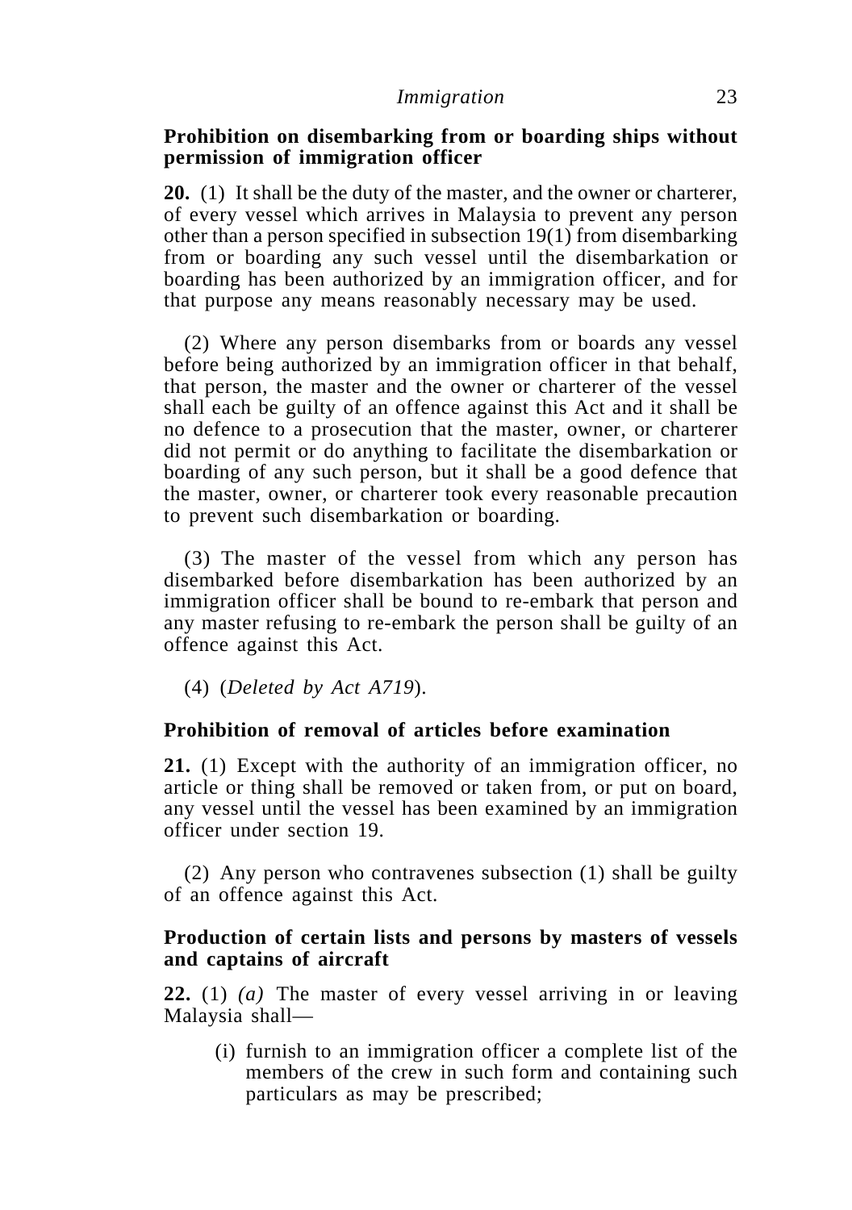### **Prohibition on disembarking from or boarding ships without permission of immigration officer**

**20.** (1) It shall be the duty of the master, and the owner or charterer, of every vessel which arrives in Malaysia to prevent any person other than a person specified in subsection 19(1) from disembarking from or boarding any such vessel until the disembarkation or boarding has been authorized by an immigration officer, and for that purpose any means reasonably necessary may be used.

(2) Where any person disembarks from or boards any vessel before being authorized by an immigration officer in that behalf, that person, the master and the owner or charterer of the vessel shall each be guilty of an offence against this Act and it shall be no defence to a prosecution that the master, owner, or charterer did not permit or do anything to facilitate the disembarkation or boarding of any such person, but it shall be a good defence that the master, owner, or charterer took every reasonable precaution to prevent such disembarkation or boarding.

(3) The master of the vessel from which any person has disembarked before disembarkation has been authorized by an immigration officer shall be bound to re-embark that person and any master refusing to re-embark the person shall be guilty of an offence against this Act.

(4) (*Deleted by Act A719*).

### **Prohibition of removal of articles before examination**

**21.** (1) Except with the authority of an immigration officer, no article or thing shall be removed or taken from, or put on board, any vessel until the vessel has been examined by an immigration officer under section 19.

(2) Any person who contravenes subsection (1) shall be guilty of an offence against this Act.

### **Production of certain lists and persons by masters of vessels and captains of aircraft**

**22.** (1) *(a)* The master of every vessel arriving in or leaving Malaysia shall—

(i) furnish to an immigration officer a complete list of the members of the crew in such form and containing such particulars as may be prescribed;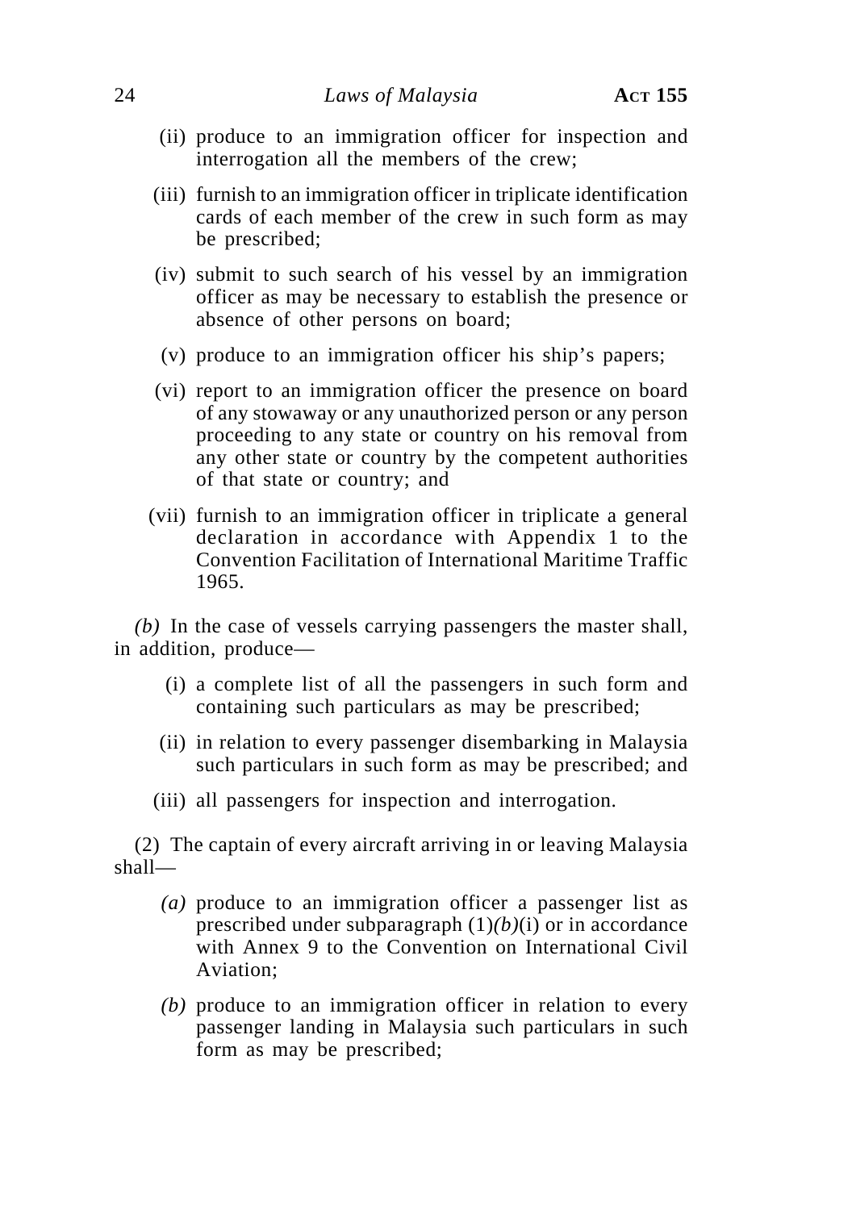- (ii) produce to an immigration officer for inspection and interrogation all the members of the crew;
- (iii) furnish to an immigration officer in triplicate identification cards of each member of the crew in such form as may be prescribed;
- (iv) submit to such search of his vessel by an immigration officer as may be necessary to establish the presence or absence of other persons on board;
- (v) produce to an immigration officer his ship's papers;
- (vi) report to an immigration officer the presence on board of any stowaway or any unauthorized person or any person proceeding to any state or country on his removal from any other state or country by the competent authorities of that state or country; and
- (vii) furnish to an immigration officer in triplicate a general declaration in accordance with Appendix 1 to the Convention Facilitation of International Maritime Traffic 1965.

*(b)* In the case of vessels carrying passengers the master shall, in addition, produce—

- (i) a complete list of all the passengers in such form and containing such particulars as may be prescribed;
- (ii) in relation to every passenger disembarking in Malaysia such particulars in such form as may be prescribed; and
- (iii) all passengers for inspection and interrogation.

(2) The captain of every aircraft arriving in or leaving Malaysia shall—

- *(a)* produce to an immigration officer a passenger list as prescribed under subparagraph (1)*(b)*(i) or in accordance with Annex 9 to the Convention on International Civil Aviation;
- *(b)* produce to an immigration officer in relation to every passenger landing in Malaysia such particulars in such form as may be prescribed;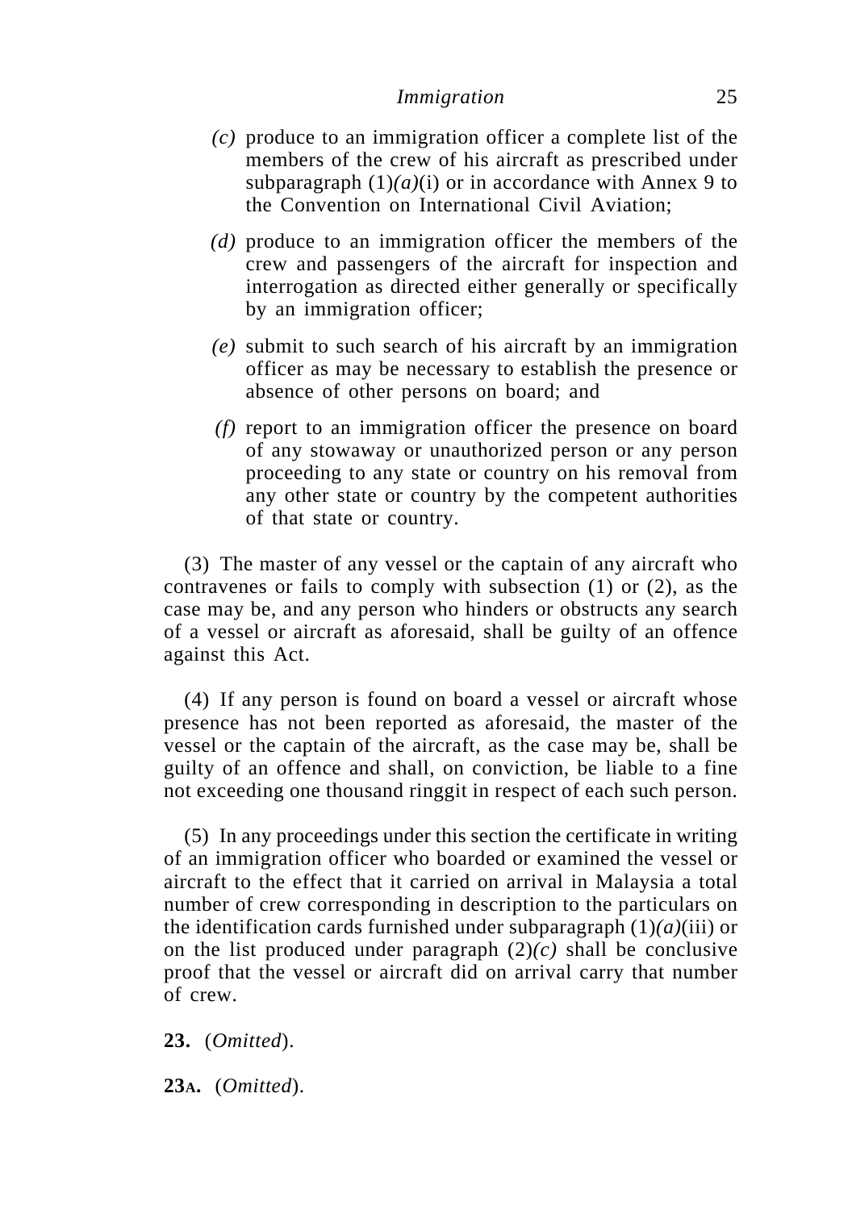- *(c)* produce to an immigration officer a complete list of the members of the crew of his aircraft as prescribed under subparagraph  $(1)(a)(i)$  or in accordance with Annex 9 to the Convention on International Civil Aviation;
- *(d)* produce to an immigration officer the members of the crew and passengers of the aircraft for inspection and interrogation as directed either generally or specifically by an immigration officer;
- *(e)* submit to such search of his aircraft by an immigration officer as may be necessary to establish the presence or absence of other persons on board; and
- *(f)* report to an immigration officer the presence on board of any stowaway or unauthorized person or any person proceeding to any state or country on his removal from any other state or country by the competent authorities of that state or country.

(3) The master of any vessel or the captain of any aircraft who contravenes or fails to comply with subsection (1) or (2), as the case may be, and any person who hinders or obstructs any search of a vessel or aircraft as aforesaid, shall be guilty of an offence against this Act.

(4) If any person is found on board a vessel or aircraft whose presence has not been reported as aforesaid, the master of the vessel or the captain of the aircraft, as the case may be, shall be guilty of an offence and shall, on conviction, be liable to a fine not exceeding one thousand ringgit in respect of each such person.

(5) In any proceedings under this section the certificate in writing of an immigration officer who boarded or examined the vessel or aircraft to the effect that it carried on arrival in Malaysia a total number of crew corresponding in description to the particulars on the identification cards furnished under subparagraph  $(1)(a)$ (iii) or on the list produced under paragraph  $(2)(c)$  shall be conclusive proof that the vessel or aircraft did on arrival carry that number of crew.

**23.** (*Omitted*).

**23A.** (*Omitted*).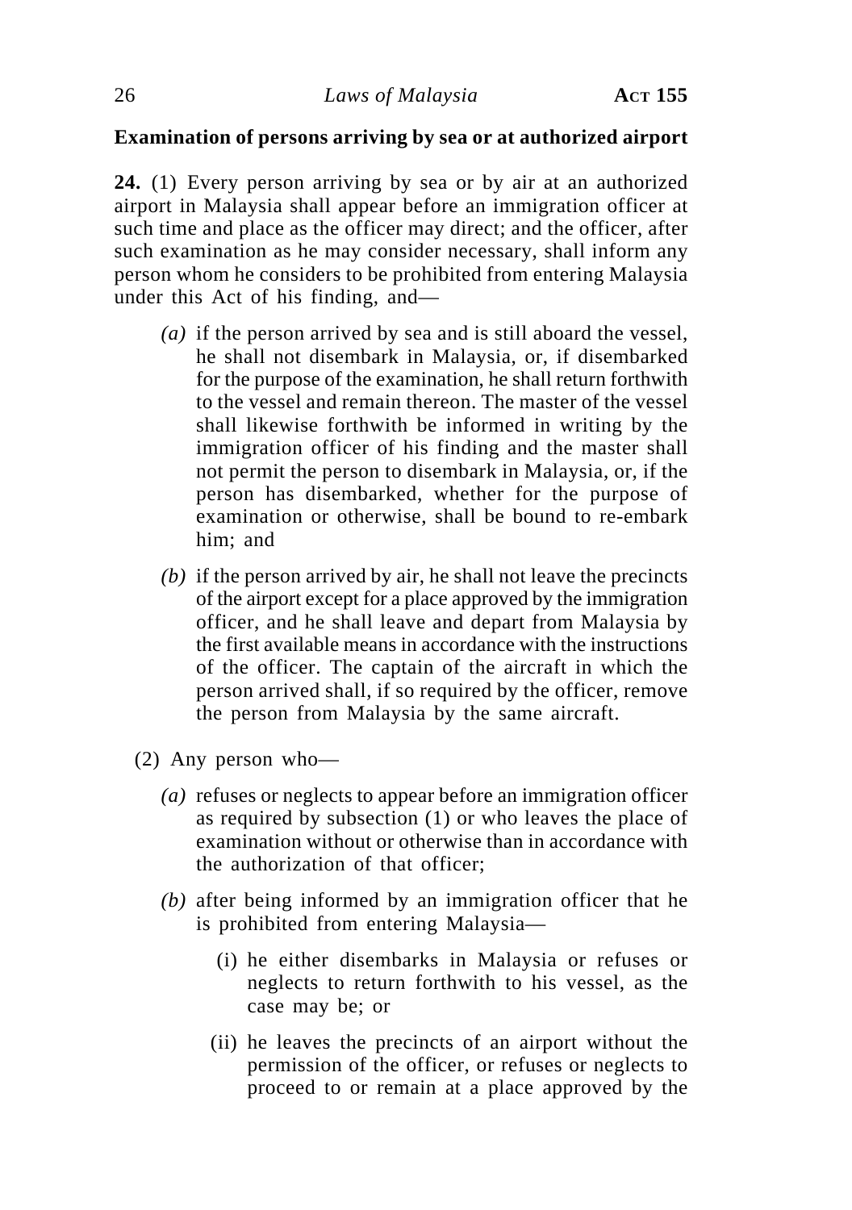# **Examination of persons arriving by sea or at authorized airport**

**24.** (1) Every person arriving by sea or by air at an authorized airport in Malaysia shall appear before an immigration officer at such time and place as the officer may direct; and the officer, after such examination as he may consider necessary, shall inform any person whom he considers to be prohibited from entering Malaysia under this Act of his finding, and—

- *(a)* if the person arrived by sea and is still aboard the vessel, he shall not disembark in Malaysia, or, if disembarked for the purpose of the examination, he shall return forthwith to the vessel and remain thereon. The master of the vessel shall likewise forthwith be informed in writing by the immigration officer of his finding and the master shall not permit the person to disembark in Malaysia, or, if the person has disembarked, whether for the purpose of examination or otherwise, shall be bound to re-embark him; and
- *(b)* if the person arrived by air, he shall not leave the precincts of the airport except for a place approved by the immigration officer, and he shall leave and depart from Malaysia by the first available means in accordance with the instructions of the officer. The captain of the aircraft in which the person arrived shall, if so required by the officer, remove the person from Malaysia by the same aircraft.
- (2) Any person who—
	- *(a)* refuses or neglects to appear before an immigration officer as required by subsection (1) or who leaves the place of examination without or otherwise than in accordance with the authorization of that officer;
	- *(b)* after being informed by an immigration officer that he is prohibited from entering Malaysia—
		- (i) he either disembarks in Malaysia or refuses or neglects to return forthwith to his vessel, as the case may be; or
		- (ii) he leaves the precincts of an airport without the permission of the officer, or refuses or neglects to proceed to or remain at a place approved by the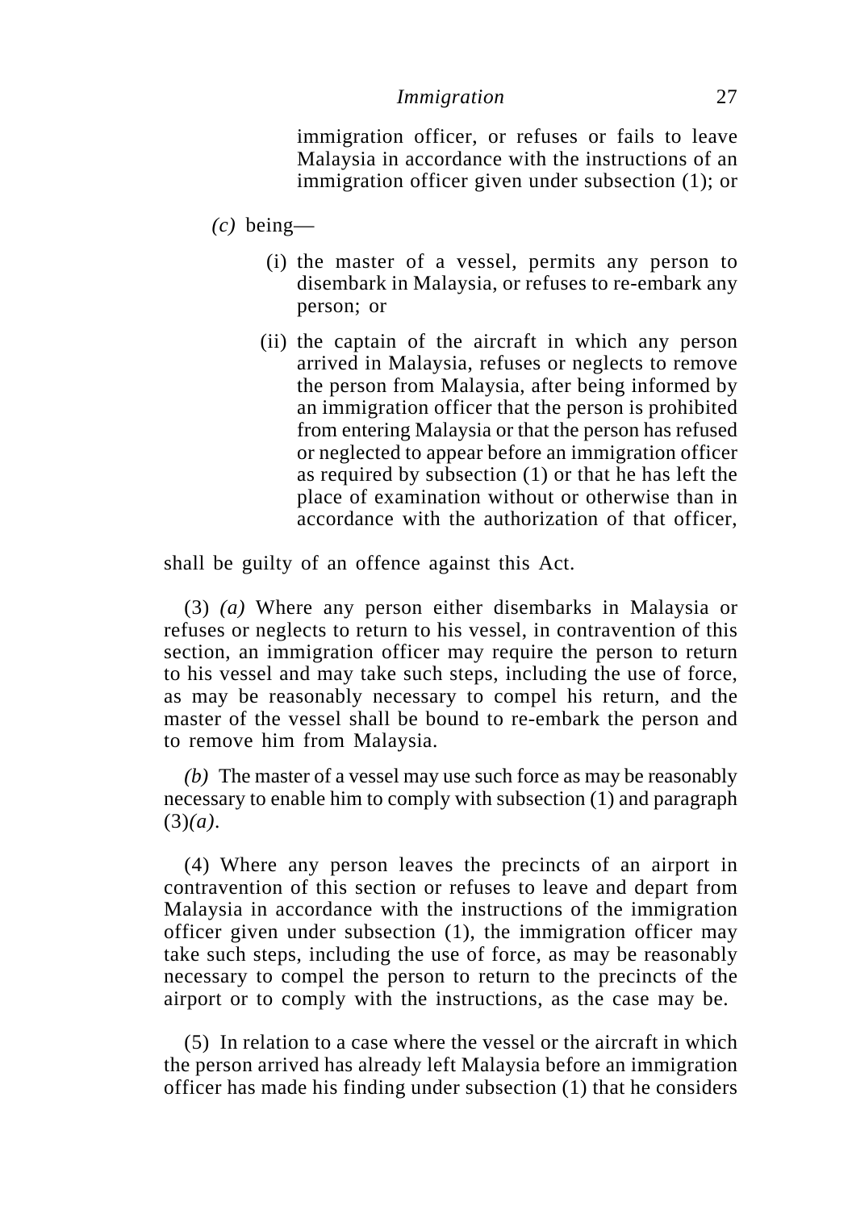immigration officer, or refuses or fails to leave Malaysia in accordance with the instructions of an immigration officer given under subsection (1); or

- *(c)* being—
	- (i) the master of a vessel, permits any person to disembark in Malaysia, or refuses to re-embark any person; or
	- (ii) the captain of the aircraft in which any person arrived in Malaysia, refuses or neglects to remove the person from Malaysia, after being informed by an immigration officer that the person is prohibited from entering Malaysia or that the person has refused or neglected to appear before an immigration officer as required by subsection (1) or that he has left the place of examination without or otherwise than in accordance with the authorization of that officer,

shall be guilty of an offence against this Act.

(3) *(a)* Where any person either disembarks in Malaysia or refuses or neglects to return to his vessel, in contravention of this section, an immigration officer may require the person to return to his vessel and may take such steps, including the use of force, as may be reasonably necessary to compel his return, and the master of the vessel shall be bound to re-embark the person and to remove him from Malaysia.

*(b)* The master of a vessel may use such force as may be reasonably necessary to enable him to comply with subsection (1) and paragraph (3)*(a)*.

(4) Where any person leaves the precincts of an airport in contravention of this section or refuses to leave and depart from Malaysia in accordance with the instructions of the immigration officer given under subsection (1), the immigration officer may take such steps, including the use of force, as may be reasonably necessary to compel the person to return to the precincts of the airport or to comply with the instructions, as the case may be.

(5) In relation to a case where the vessel or the aircraft in which the person arrived has already left Malaysia before an immigration officer has made his finding under subsection (1) that he considers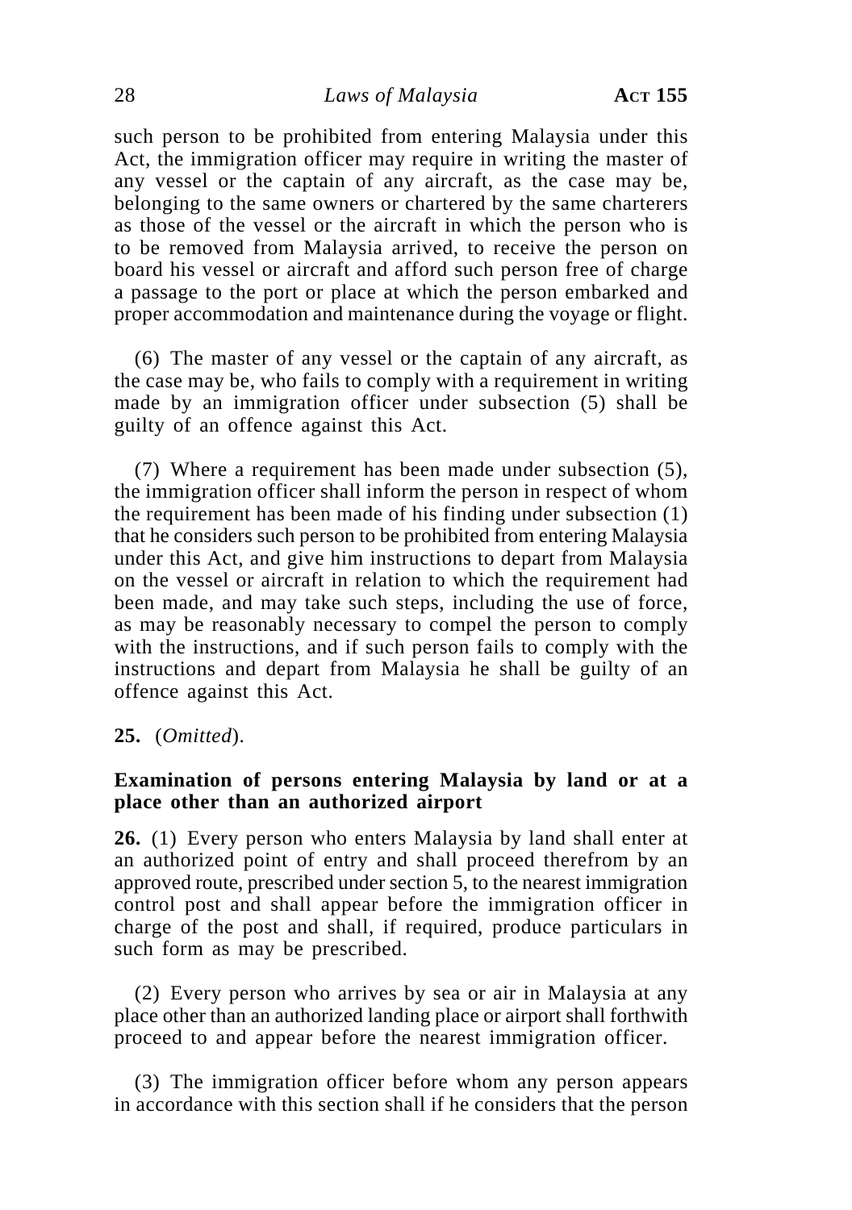such person to be prohibited from entering Malaysia under this Act, the immigration officer may require in writing the master of any vessel or the captain of any aircraft, as the case may be, belonging to the same owners or chartered by the same charterers as those of the vessel or the aircraft in which the person who is to be removed from Malaysia arrived, to receive the person on board his vessel or aircraft and afford such person free of charge a passage to the port or place at which the person embarked and proper accommodation and maintenance during the voyage or flight.

(6) The master of any vessel or the captain of any aircraft, as the case may be, who fails to comply with a requirement in writing made by an immigration officer under subsection (5) shall be guilty of an offence against this Act.

(7) Where a requirement has been made under subsection (5), the immigration officer shall inform the person in respect of whom the requirement has been made of his finding under subsection (1) that he considers such person to be prohibited from entering Malaysia under this Act, and give him instructions to depart from Malaysia on the vessel or aircraft in relation to which the requirement had been made, and may take such steps, including the use of force, as may be reasonably necessary to compel the person to comply with the instructions, and if such person fails to comply with the instructions and depart from Malaysia he shall be guilty of an offence against this Act.

#### **25.** (*Omitted*).

### **Examination of persons entering Malaysia by land or at a place other than an authorized airport**

**26.** (1) Every person who enters Malaysia by land shall enter at an authorized point of entry and shall proceed therefrom by an approved route, prescribed under section 5, to the nearest immigration control post and shall appear before the immigration officer in charge of the post and shall, if required, produce particulars in such form as may be prescribed.

(2) Every person who arrives by sea or air in Malaysia at any place other than an authorized landing place or airport shall forthwith proceed to and appear before the nearest immigration officer.

(3) The immigration officer before whom any person appears in accordance with this section shall if he considers that the person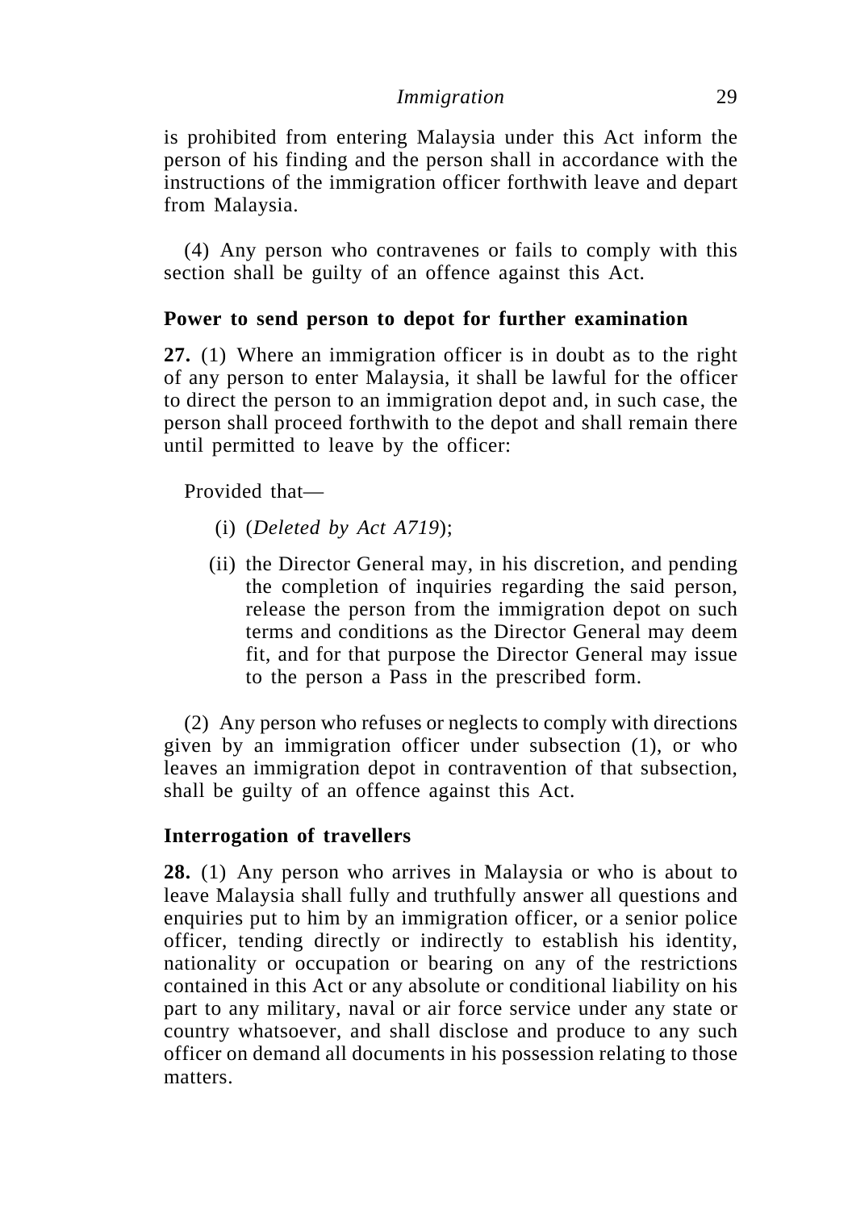is prohibited from entering Malaysia under this Act inform the person of his finding and the person shall in accordance with the instructions of the immigration officer forthwith leave and depart from Malaysia.

(4) Any person who contravenes or fails to comply with this section shall be guilty of an offence against this Act.

# **Power to send person to depot for further examination**

**27.** (1) Where an immigration officer is in doubt as to the right of any person to enter Malaysia, it shall be lawful for the officer to direct the person to an immigration depot and, in such case, the person shall proceed forthwith to the depot and shall remain there until permitted to leave by the officer:

Provided that—

- (i) (*Deleted by Act A719*);
- (ii) the Director General may, in his discretion, and pending the completion of inquiries regarding the said person, release the person from the immigration depot on such terms and conditions as the Director General may deem fit, and for that purpose the Director General may issue to the person a Pass in the prescribed form.

(2) Any person who refuses or neglects to comply with directions given by an immigration officer under subsection (1), or who leaves an immigration depot in contravention of that subsection, shall be guilty of an offence against this Act.

# **Interrogation of travellers**

**28.** (1) Any person who arrives in Malaysia or who is about to leave Malaysia shall fully and truthfully answer all questions and enquiries put to him by an immigration officer, or a senior police officer, tending directly or indirectly to establish his identity, nationality or occupation or bearing on any of the restrictions contained in this Act or any absolute or conditional liability on his part to any military, naval or air force service under any state or country whatsoever, and shall disclose and produce to any such officer on demand all documents in his possession relating to those matters.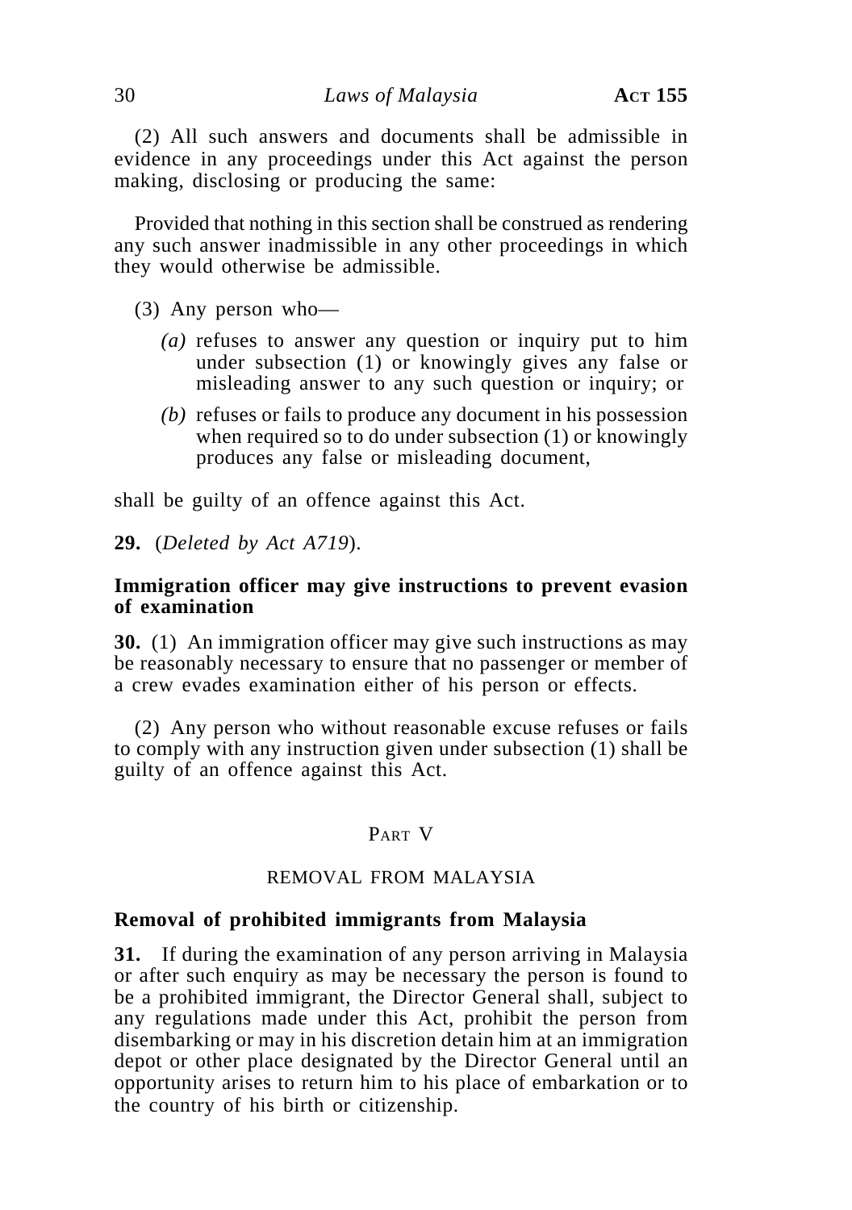(2) All such answers and documents shall be admissible in evidence in any proceedings under this Act against the person making, disclosing or producing the same:

Provided that nothing in this section shall be construed as rendering any such answer inadmissible in any other proceedings in which they would otherwise be admissible.

- (3) Any person who—
	- *(a)* refuses to answer any question or inquiry put to him under subsection (1) or knowingly gives any false or misleading answer to any such question or inquiry; or
	- *(b)* refuses or fails to produce any document in his possession when required so to do under subsection (1) or knowingly produces any false or misleading document,

shall be guilty of an offence against this Act.

**29.** (*Deleted by Act A719*).

### **Immigration officer may give instructions to prevent evasion of examination**

**30.** (1) An immigration officer may give such instructions as may be reasonably necessary to ensure that no passenger or member of a crew evades examination either of his person or effects.

(2) Any person who without reasonable excuse refuses or fails to comply with any instruction given under subsection (1) shall be guilty of an offence against this Act.

# PART V

### REMOVAL FROM MALAYSIA

### **Removal of prohibited immigrants from Malaysia**

**31.** If during the examination of any person arriving in Malaysia or after such enquiry as may be necessary the person is found to be a prohibited immigrant, the Director General shall, subject to any regulations made under this Act, prohibit the person from disembarking or may in his discretion detain him at an immigration depot or other place designated by the Director General until an opportunity arises to return him to his place of embarkation or to the country of his birth or citizenship.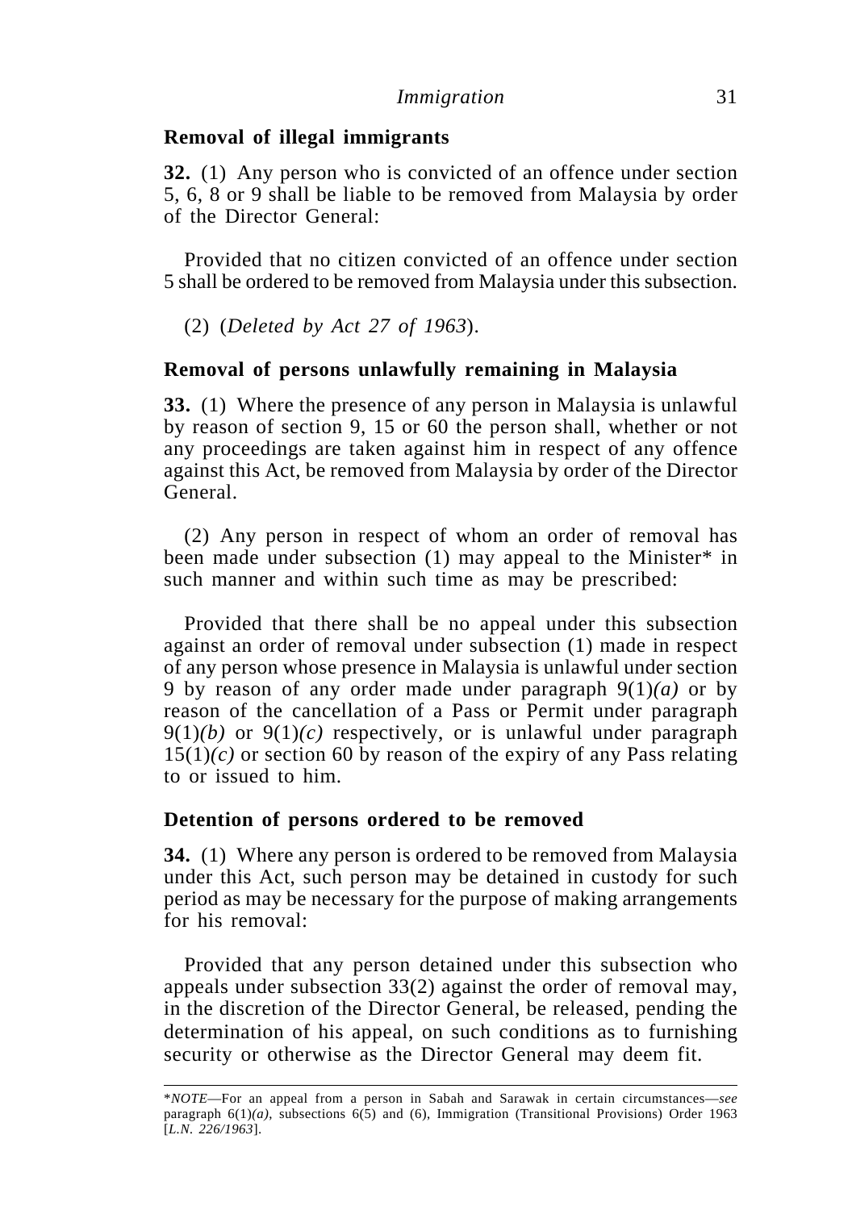### **Removal of illegal immigrants**

**32.** (1) Any person who is convicted of an offence under section 5, 6, 8 or 9 shall be liable to be removed from Malaysia by order of the Director General:

Provided that no citizen convicted of an offence under section 5 shall be ordered to be removed from Malaysia under this subsection.

(2) (*Deleted by Act 27 of 1963*).

# **Removal of persons unlawfully remaining in Malaysia**

**33.** (1) Where the presence of any person in Malaysia is unlawful by reason of section 9, 15 or 60 the person shall, whether or not any proceedings are taken against him in respect of any offence against this Act, be removed from Malaysia by order of the Director General.

(2) Any person in respect of whom an order of removal has been made under subsection (1) may appeal to the Minister<sup>\*</sup> in such manner and within such time as may be prescribed:

Provided that there shall be no appeal under this subsection against an order of removal under subsection (1) made in respect of any person whose presence in Malaysia is unlawful under section 9 by reason of any order made under paragraph 9(1)*(a)* or by reason of the cancellation of a Pass or Permit under paragraph  $9(1)(b)$  or  $9(1)(c)$  respectively, or is unlawful under paragraph  $15(1)(c)$  or section 60 by reason of the expiry of any Pass relating to or issued to him.

### **Detention of persons ordered to be removed**

**34.** (1) Where any person is ordered to be removed from Malaysia under this Act, such person may be detained in custody for such period as may be necessary for the purpose of making arrangements for his removal:

Provided that any person detained under this subsection who appeals under subsection 33(2) against the order of removal may, in the discretion of the Director General, be released, pending the determination of his appeal, on such conditions as to furnishing security or otherwise as the Director General may deem fit.

<sup>\*</sup>*NOTE*—For an appeal from a person in Sabah and Sarawak in certain circumstances—*see* paragraph 6(1)*(a)*, subsections 6(5) and (6), Immigration (Transitional Provisions) Order 1963 [*L.N. 226/1963*].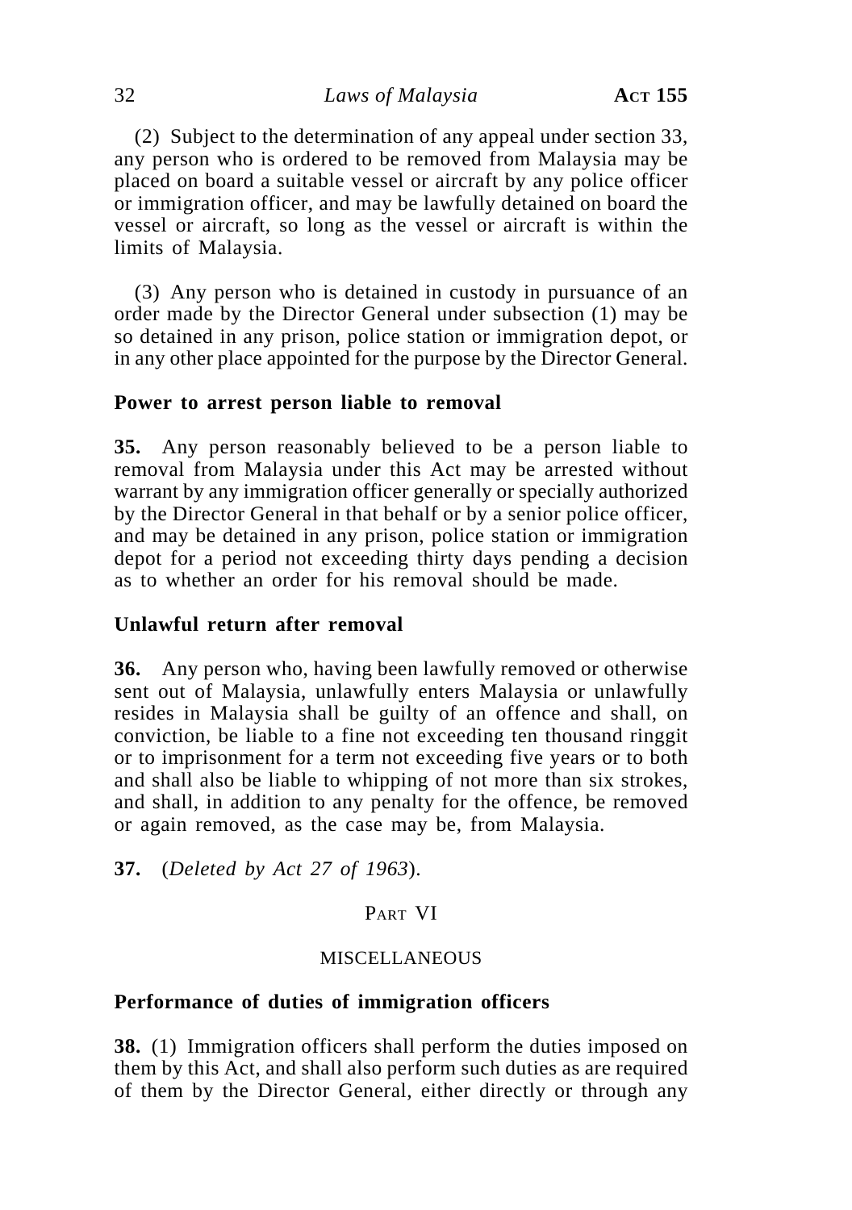(2) Subject to the determination of any appeal under section 33, any person who is ordered to be removed from Malaysia may be placed on board a suitable vessel or aircraft by any police officer or immigration officer, and may be lawfully detained on board the vessel or aircraft, so long as the vessel or aircraft is within the limits of Malaysia.

(3) Any person who is detained in custody in pursuance of an order made by the Director General under subsection (1) may be so detained in any prison, police station or immigration depot, or in any other place appointed for the purpose by the Director General.

### **Power to arrest person liable to removal**

**35.** Any person reasonably believed to be a person liable to removal from Malaysia under this Act may be arrested without warrant by any immigration officer generally or specially authorized by the Director General in that behalf or by a senior police officer, and may be detained in any prison, police station or immigration depot for a period not exceeding thirty days pending a decision as to whether an order for his removal should be made.

### **Unlawful return after removal**

**36.** Any person who, having been lawfully removed or otherwise sent out of Malaysia, unlawfully enters Malaysia or unlawfully resides in Malaysia shall be guilty of an offence and shall, on conviction, be liable to a fine not exceeding ten thousand ringgit or to imprisonment for a term not exceeding five years or to both and shall also be liable to whipping of not more than six strokes, and shall, in addition to any penalty for the offence, be removed or again removed, as the case may be, from Malaysia.

**37.** (*Deleted by Act 27 of 1963*).

# PART VI

### MISCELLANEOUS

### **Performance of duties of immigration officers**

**38.** (1) Immigration officers shall perform the duties imposed on them by this Act, and shall also perform such duties as are required of them by the Director General, either directly or through any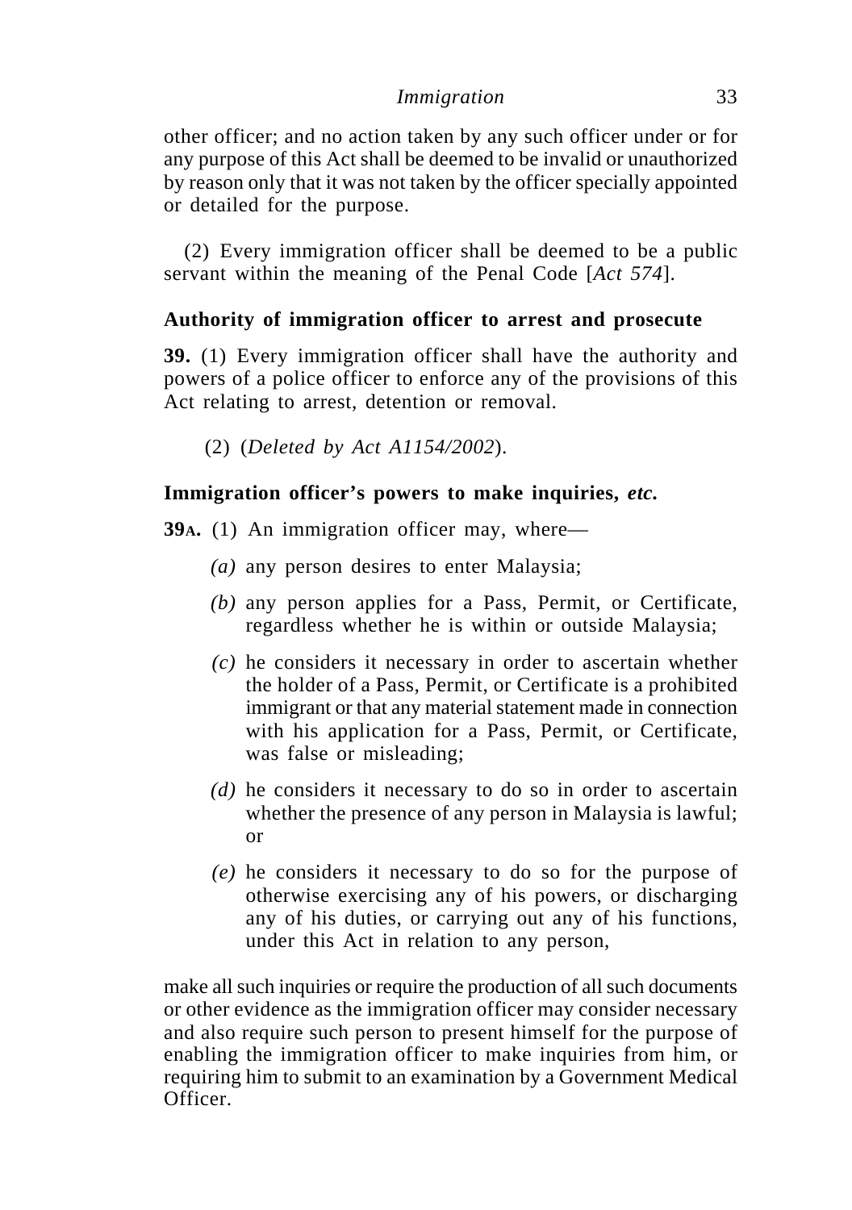other officer; and no action taken by any such officer under or for any purpose of this Act shall be deemed to be invalid or unauthorized by reason only that it was not taken by the officer specially appointed or detailed for the purpose.

(2) Every immigration officer shall be deemed to be a public servant within the meaning of the Penal Code [*Act 574*].

# **Authority of immigration officer to arrest and prosecute**

**39.** (1) Every immigration officer shall have the authority and powers of a police officer to enforce any of the provisions of this Act relating to arrest, detention or removal.

(2) (*Deleted by Act A1154/2002*).

# **Immigration officer's powers to make inquiries,** *etc.*

**39A.** (1) An immigration officer may, where—

- *(a)* any person desires to enter Malaysia;
- *(b)* any person applies for a Pass, Permit, or Certificate, regardless whether he is within or outside Malaysia;
- *(c)* he considers it necessary in order to ascertain whether the holder of a Pass, Permit, or Certificate is a prohibited immigrant or that any material statement made in connection with his application for a Pass, Permit, or Certificate, was false or misleading;
- *(d)* he considers it necessary to do so in order to ascertain whether the presence of any person in Malaysia is lawful; or
- *(e)* he considers it necessary to do so for the purpose of otherwise exercising any of his powers, or discharging any of his duties, or carrying out any of his functions, under this Act in relation to any person,

make all such inquiries or require the production of all such documents or other evidence as the immigration officer may consider necessary and also require such person to present himself for the purpose of enabling the immigration officer to make inquiries from him, or requiring him to submit to an examination by a Government Medical Officer.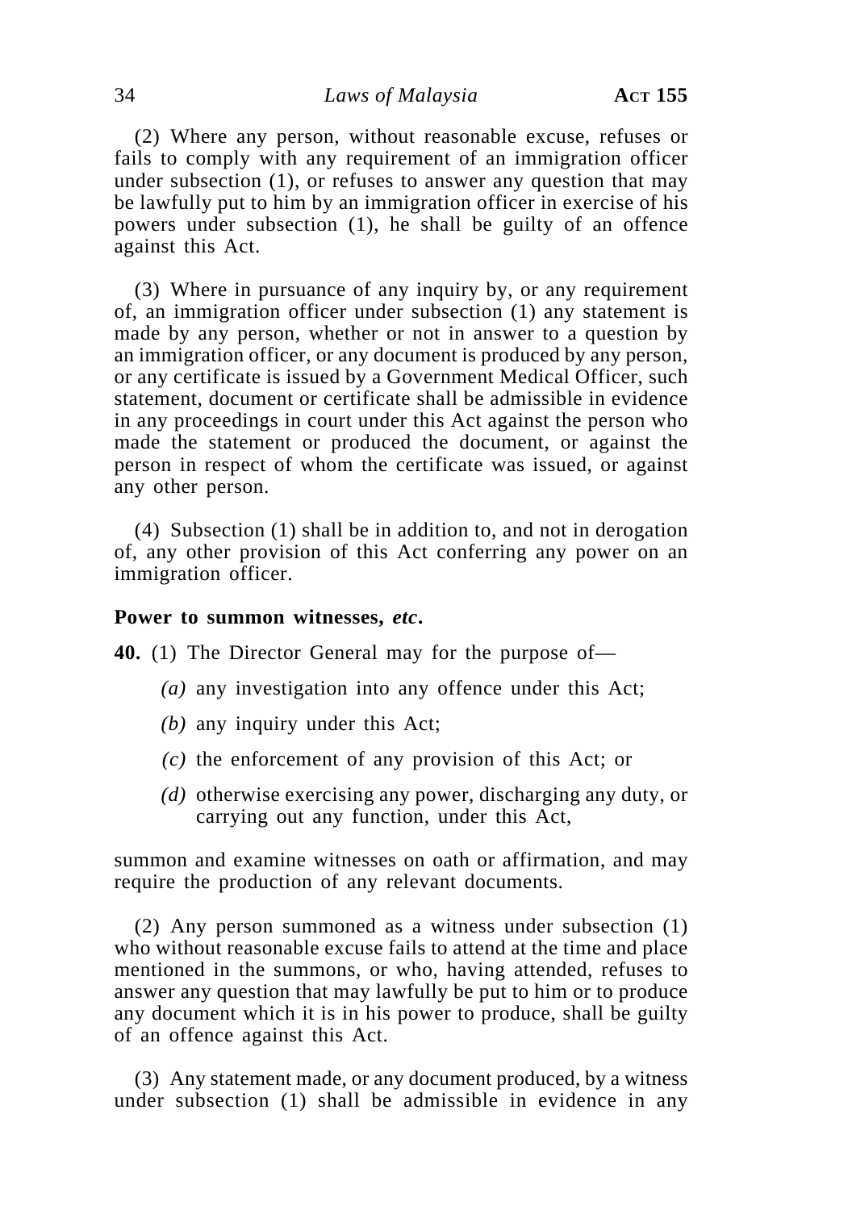(2) Where any person, without reasonable excuse, refuses or fails to comply with any requirement of an immigration officer under subsection (1), or refuses to answer any question that may be lawfully put to him by an immigration officer in exercise of his powers under subsection (1), he shall be guilty of an offence against this Act.

(3) Where in pursuance of any inquiry by, or any requirement of, an immigration officer under subsection (1) any statement is made by any person, whether or not in answer to a question by an immigration officer, or any document is produced by any person, or any certificate is issued by a Government Medical Officer, such statement, document or certificate shall be admissible in evidence in any proceedings in court under this Act against the person who made the statement or produced the document, or against the person in respect of whom the certificate was issued, or against any other person.

(4) Subsection (1) shall be in addition to, and not in derogation of, any other provision of this Act conferring any power on an immigration officer.

#### **Power to summon witnesses,** *etc***.**

**40.** (1) The Director General may for the purpose of—

- *(a)* any investigation into any offence under this Act;
- *(b)* any inquiry under this Act;
- *(c)* the enforcement of any provision of this Act; or
- *(d)* otherwise exercising any power, discharging any duty, or carrying out any function, under this Act,

summon and examine witnesses on oath or affirmation, and may require the production of any relevant documents.

(2) Any person summoned as a witness under subsection (1) who without reasonable excuse fails to attend at the time and place mentioned in the summons, or who, having attended, refuses to answer any question that may lawfully be put to him or to produce any document which it is in his power to produce, shall be guilty of an offence against this Act.

(3) Any statement made, or any document produced, by a witness under subsection (1) shall be admissible in evidence in any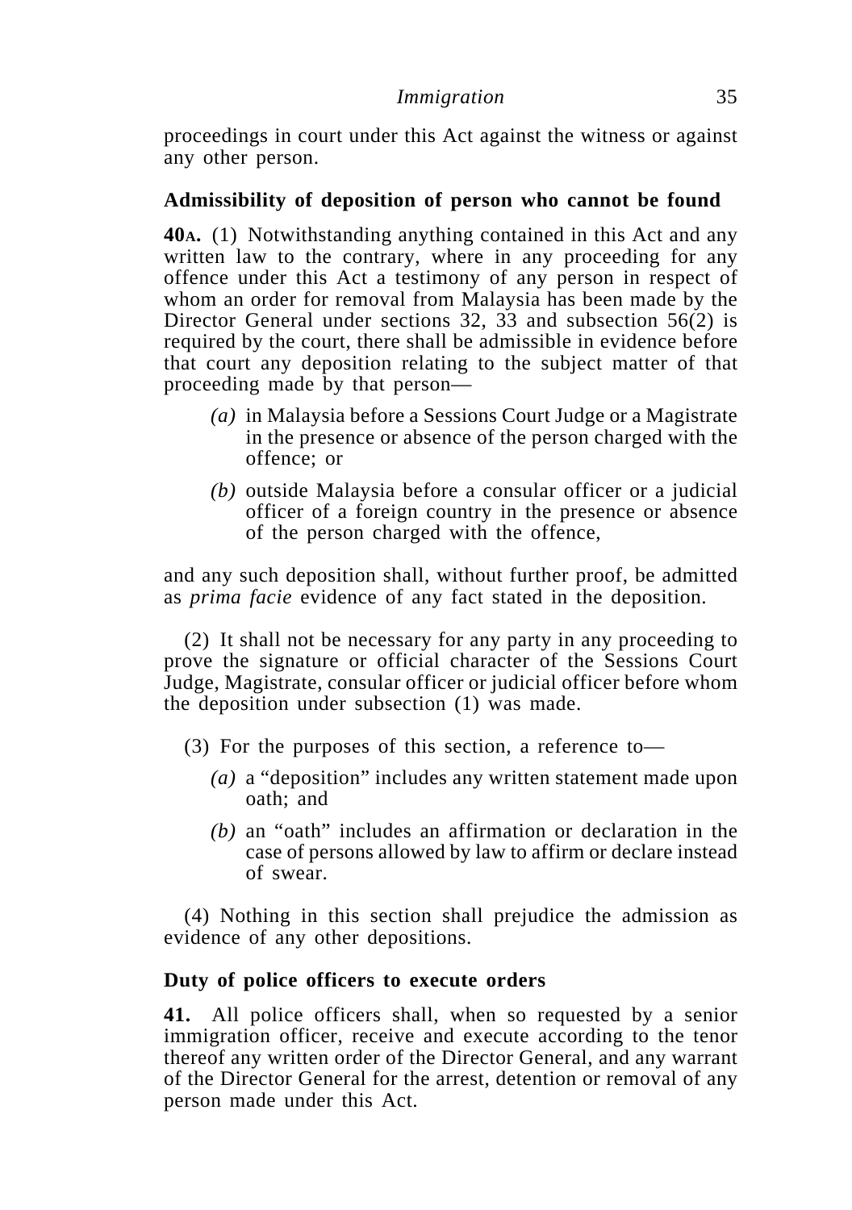proceedings in court under this Act against the witness or against any other person.

### **Admissibility of deposition of person who cannot be found**

**40A.** (1) Notwithstanding anything contained in this Act and any written law to the contrary, where in any proceeding for any offence under this Act a testimony of any person in respect of whom an order for removal from Malaysia has been made by the Director General under sections 32, 33 and subsection 56(2) is required by the court, there shall be admissible in evidence before that court any deposition relating to the subject matter of that proceeding made by that person—

- *(a)* in Malaysia before a Sessions Court Judge or a Magistrate in the presence or absence of the person charged with the offence; or
- *(b)* outside Malaysia before a consular officer or a judicial officer of a foreign country in the presence or absence of the person charged with the offence,

and any such deposition shall, without further proof, be admitted as *prima facie* evidence of any fact stated in the deposition.

(2) It shall not be necessary for any party in any proceeding to prove the signature or official character of the Sessions Court Judge, Magistrate, consular officer or judicial officer before whom the deposition under subsection (1) was made.

- (3) For the purposes of this section, a reference to—
	- *(a)* a "deposition" includes any written statement made upon oath; and
	- *(b)* an "oath" includes an affirmation or declaration in the case of persons allowed by law to affirm or declare instead of swear.

(4) Nothing in this section shall prejudice the admission as evidence of any other depositions.

### **Duty of police officers to execute orders**

**41.** All police officers shall, when so requested by a senior immigration officer, receive and execute according to the tenor thereof any written order of the Director General, and any warrant of the Director General for the arrest, detention or removal of any person made under this Act.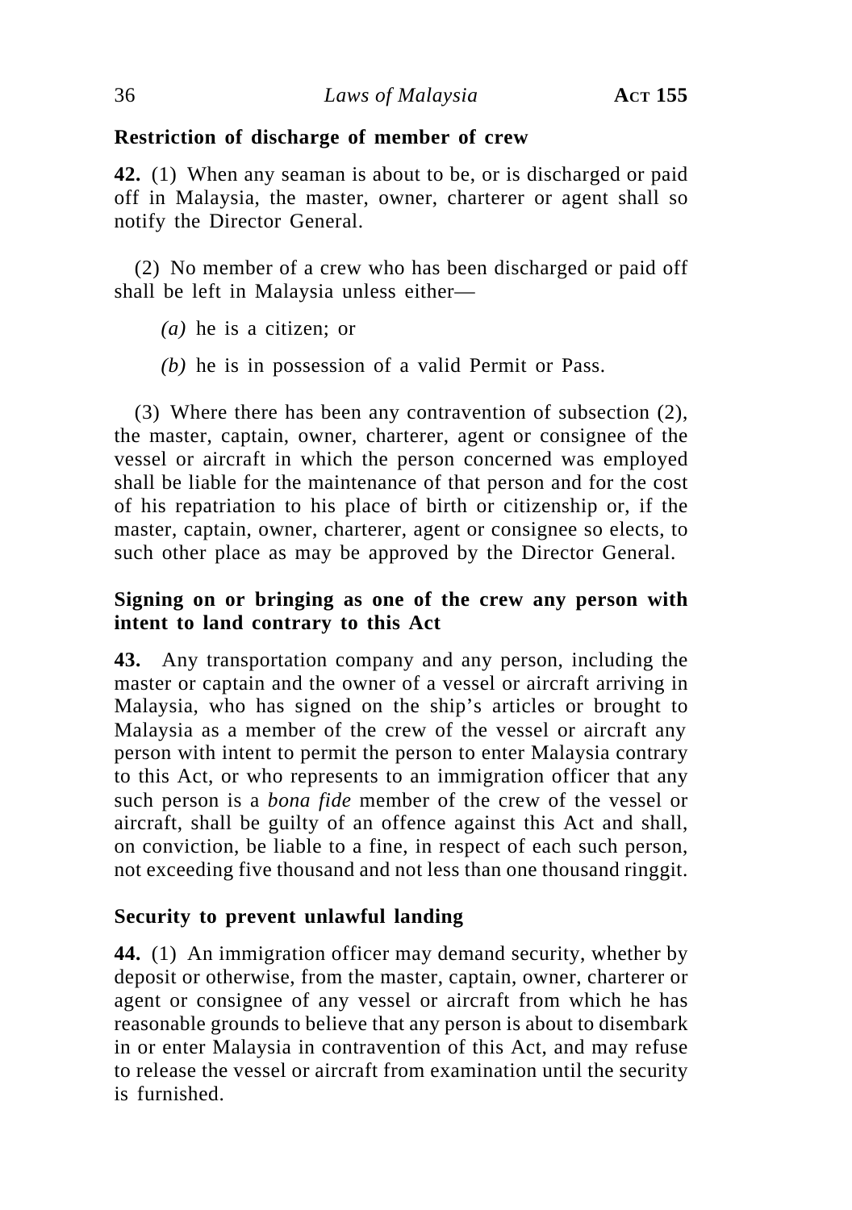# **Restriction of discharge of member of crew**

**42.** (1) When any seaman is about to be, or is discharged or paid off in Malaysia, the master, owner, charterer or agent shall so notify the Director General.

(2) No member of a crew who has been discharged or paid off shall be left in Malaysia unless either—

*(a)* he is a citizen; or

*(b)* he is in possession of a valid Permit or Pass.

(3) Where there has been any contravention of subsection (2), the master, captain, owner, charterer, agent or consignee of the vessel or aircraft in which the person concerned was employed shall be liable for the maintenance of that person and for the cost of his repatriation to his place of birth or citizenship or, if the master, captain, owner, charterer, agent or consignee so elects, to such other place as may be approved by the Director General.

# **Signing on or bringing as one of the crew any person with intent to land contrary to this Act**

**43.** Any transportation company and any person, including the master or captain and the owner of a vessel or aircraft arriving in Malaysia, who has signed on the ship's articles or brought to Malaysia as a member of the crew of the vessel or aircraft any person with intent to permit the person to enter Malaysia contrary to this Act, or who represents to an immigration officer that any such person is a *bona fide* member of the crew of the vessel or aircraft, shall be guilty of an offence against this Act and shall, on conviction, be liable to a fine, in respect of each such person, not exceeding five thousand and not less than one thousand ringgit.

# **Security to prevent unlawful landing**

**44.** (1) An immigration officer may demand security, whether by deposit or otherwise, from the master, captain, owner, charterer or agent or consignee of any vessel or aircraft from which he has reasonable grounds to believe that any person is about to disembark in or enter Malaysia in contravention of this Act, and may refuse to release the vessel or aircraft from examination until the security is furnished.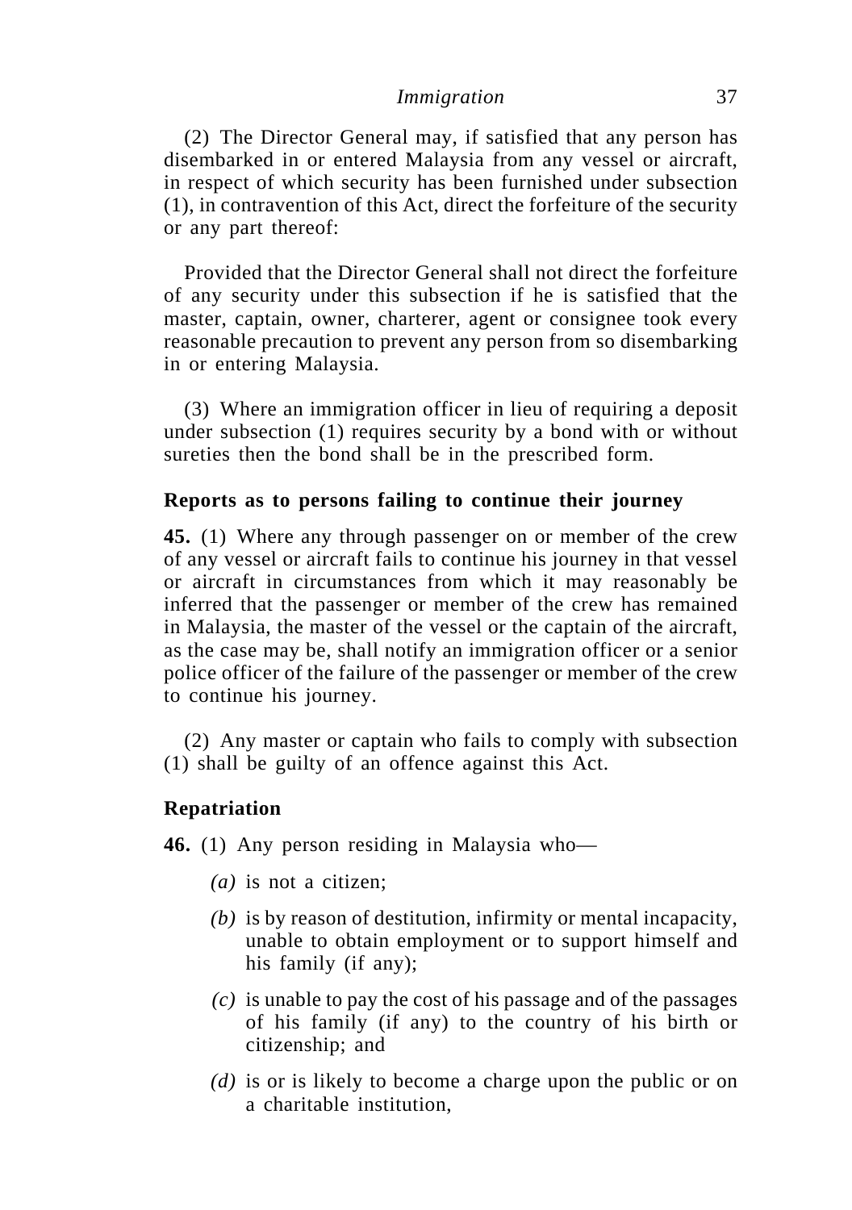(2) The Director General may, if satisfied that any person has disembarked in or entered Malaysia from any vessel or aircraft, in respect of which security has been furnished under subsection (1), in contravention of this Act, direct the forfeiture of the security or any part thereof:

Provided that the Director General shall not direct the forfeiture of any security under this subsection if he is satisfied that the master, captain, owner, charterer, agent or consignee took every reasonable precaution to prevent any person from so disembarking in or entering Malaysia.

(3) Where an immigration officer in lieu of requiring a deposit under subsection (1) requires security by a bond with or without sureties then the bond shall be in the prescribed form.

### **Reports as to persons failing to continue their journey**

**45.** (1) Where any through passenger on or member of the crew of any vessel or aircraft fails to continue his journey in that vessel or aircraft in circumstances from which it may reasonably be inferred that the passenger or member of the crew has remained in Malaysia, the master of the vessel or the captain of the aircraft, as the case may be, shall notify an immigration officer or a senior police officer of the failure of the passenger or member of the crew to continue his journey.

(2) Any master or captain who fails to comply with subsection (1) shall be guilty of an offence against this Act.

### **Repatriation**

**46.** (1) Any person residing in Malaysia who—

- *(a)* is not a citizen;
- *(b)* is by reason of destitution, infirmity or mental incapacity, unable to obtain employment or to support himself and his family (if any);
- *(c)* is unable to pay the cost of his passage and of the passages of his family (if any) to the country of his birth or citizenship; and
- *(d)* is or is likely to become a charge upon the public or on a charitable institution,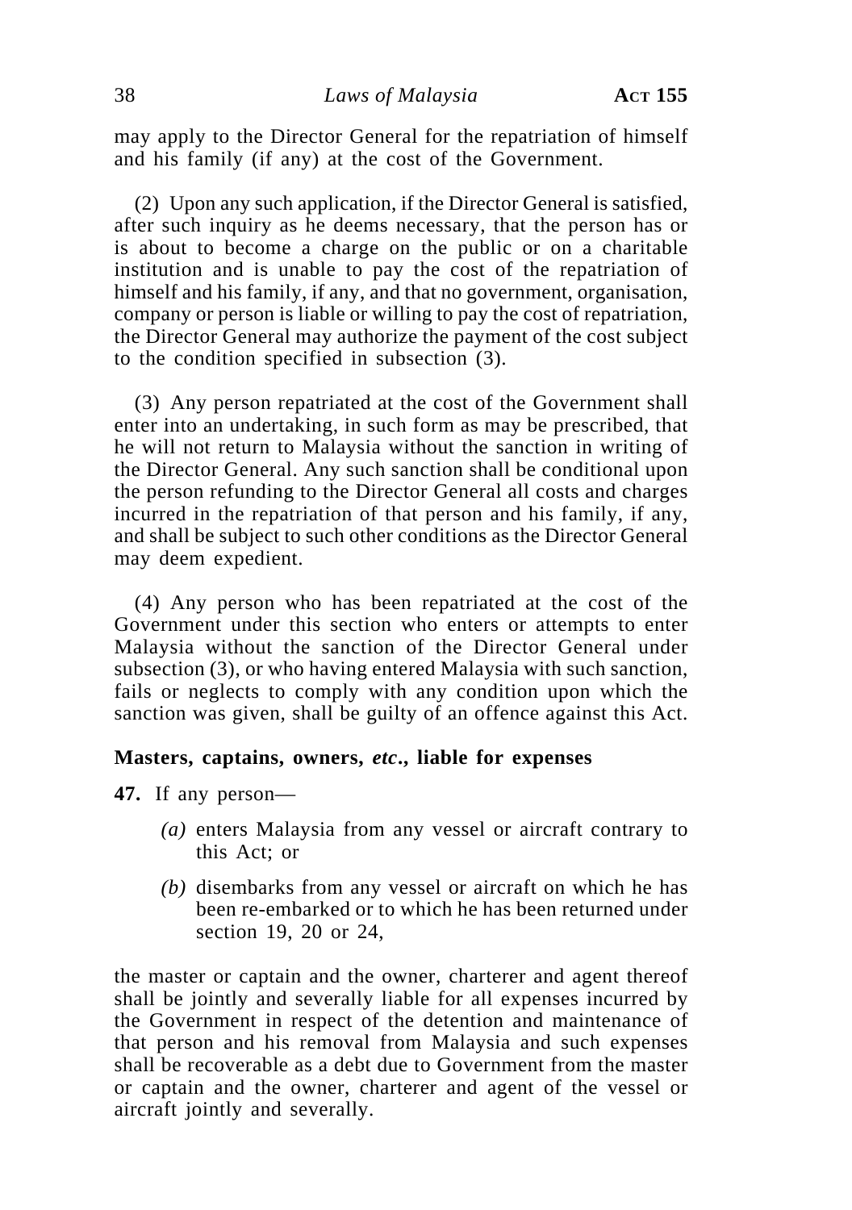may apply to the Director General for the repatriation of himself and his family (if any) at the cost of the Government.

(2) Upon any such application, if the Director General is satisfied, after such inquiry as he deems necessary, that the person has or is about to become a charge on the public or on a charitable institution and is unable to pay the cost of the repatriation of himself and his family, if any, and that no government, organisation, company or person is liable or willing to pay the cost of repatriation, the Director General may authorize the payment of the cost subject to the condition specified in subsection (3).

(3) Any person repatriated at the cost of the Government shall enter into an undertaking, in such form as may be prescribed, that he will not return to Malaysia without the sanction in writing of the Director General. Any such sanction shall be conditional upon the person refunding to the Director General all costs and charges incurred in the repatriation of that person and his family, if any, and shall be subject to such other conditions as the Director General may deem expedient.

(4) Any person who has been repatriated at the cost of the Government under this section who enters or attempts to enter Malaysia without the sanction of the Director General under subsection (3), or who having entered Malaysia with such sanction, fails or neglects to comply with any condition upon which the sanction was given, shall be guilty of an offence against this Act.

#### **Masters, captains, owners,** *etc***., liable for expenses**

**47.** If any person—

- *(a)* enters Malaysia from any vessel or aircraft contrary to this Act; or
- *(b)* disembarks from any vessel or aircraft on which he has been re-embarked or to which he has been returned under section 19, 20 or 24,

the master or captain and the owner, charterer and agent thereof shall be jointly and severally liable for all expenses incurred by the Government in respect of the detention and maintenance of that person and his removal from Malaysia and such expenses shall be recoverable as a debt due to Government from the master or captain and the owner, charterer and agent of the vessel or aircraft jointly and severally.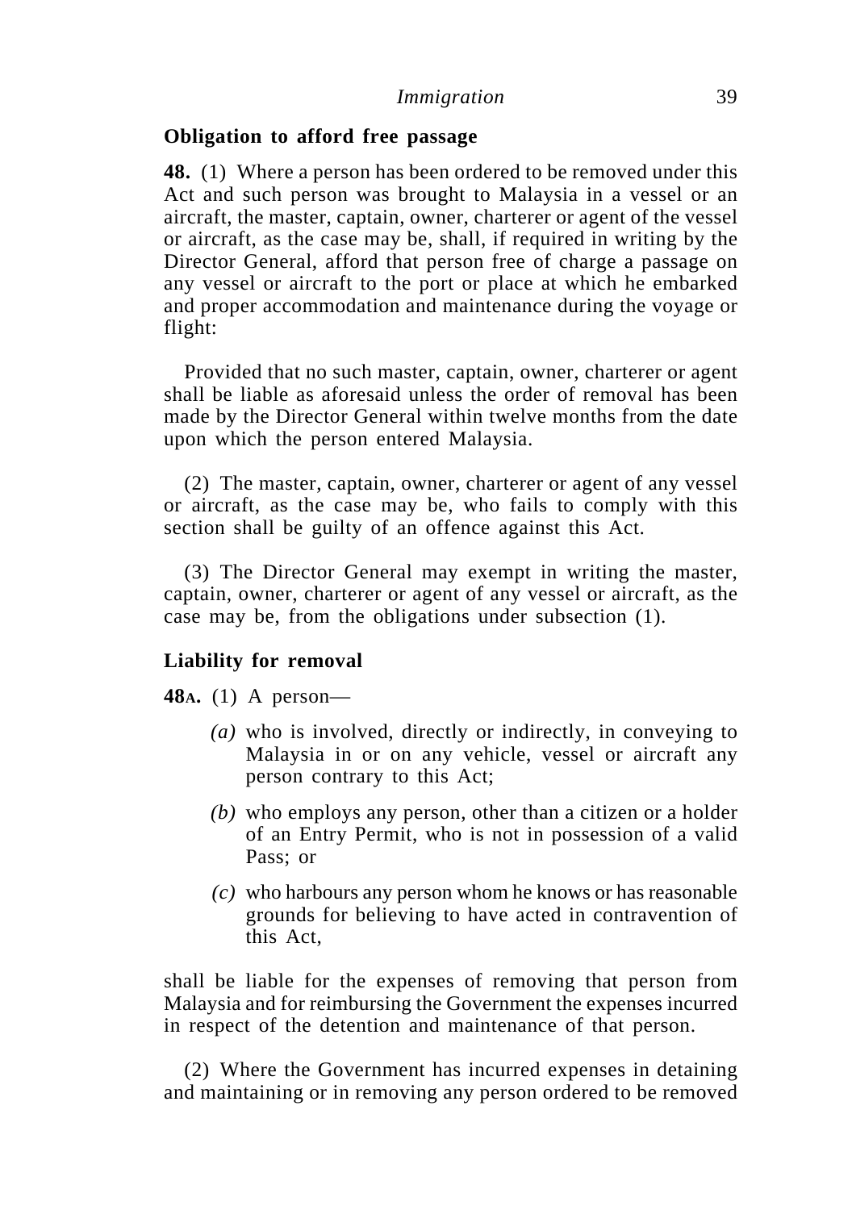### **Obligation to afford free passage**

**48.** (1) Where a person has been ordered to be removed under this Act and such person was brought to Malaysia in a vessel or an aircraft, the master, captain, owner, charterer or agent of the vessel or aircraft, as the case may be, shall, if required in writing by the Director General, afford that person free of charge a passage on any vessel or aircraft to the port or place at which he embarked and proper accommodation and maintenance during the voyage or flight:

Provided that no such master, captain, owner, charterer or agent shall be liable as aforesaid unless the order of removal has been made by the Director General within twelve months from the date upon which the person entered Malaysia.

(2) The master, captain, owner, charterer or agent of any vessel or aircraft, as the case may be, who fails to comply with this section shall be guilty of an offence against this Act.

(3) The Director General may exempt in writing the master, captain, owner, charterer or agent of any vessel or aircraft, as the case may be, from the obligations under subsection (1).

### **Liability for removal**

**48A.** (1) A person—

- *(a)* who is involved, directly or indirectly, in conveying to Malaysia in or on any vehicle, vessel or aircraft any person contrary to this Act;
- *(b)* who employs any person, other than a citizen or a holder of an Entry Permit, who is not in possession of a valid Pass; or
- *(c)* who harbours any person whom he knows or has reasonable grounds for believing to have acted in contravention of this Act,

shall be liable for the expenses of removing that person from Malaysia and for reimbursing the Government the expenses incurred in respect of the detention and maintenance of that person.

(2) Where the Government has incurred expenses in detaining and maintaining or in removing any person ordered to be removed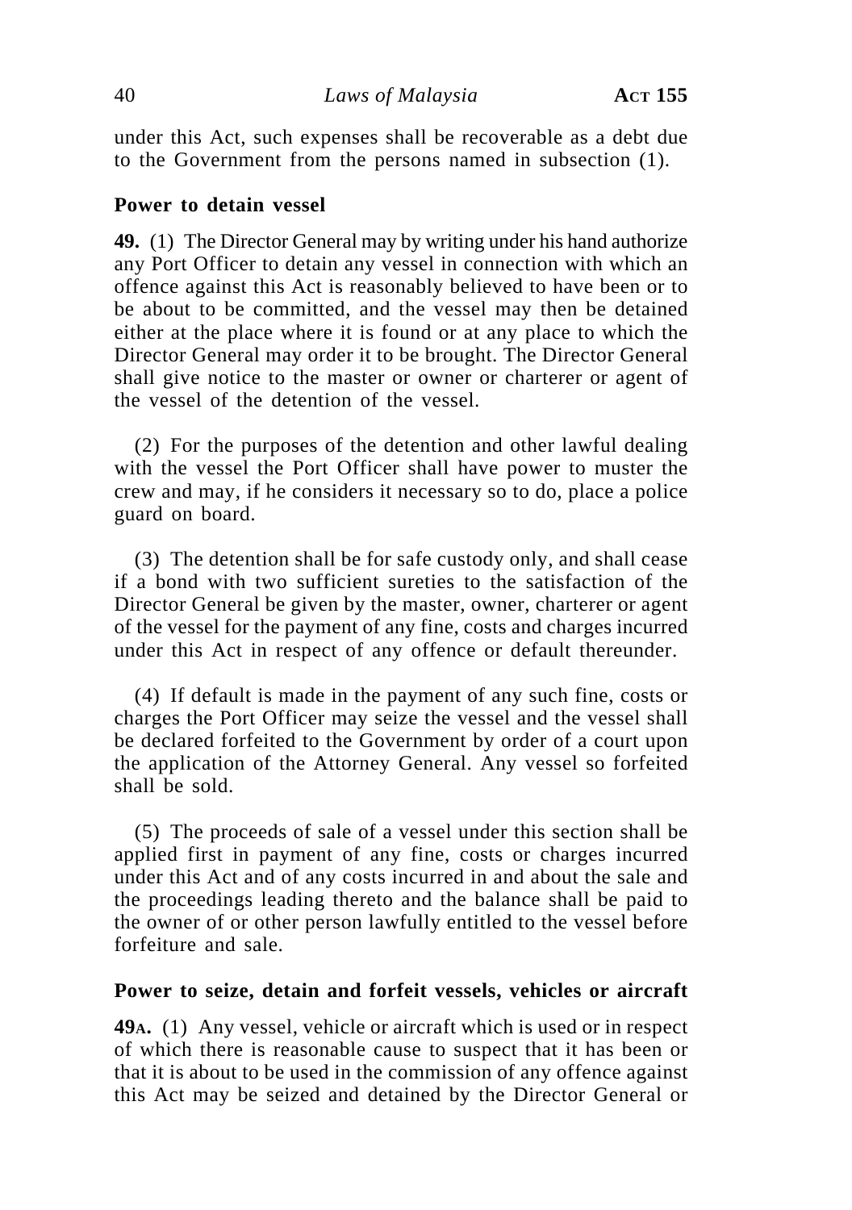under this Act, such expenses shall be recoverable as a debt due to the Government from the persons named in subsection (1).

### **Power to detain vessel**

**49.** (1) The Director General may by writing under his hand authorize any Port Officer to detain any vessel in connection with which an offence against this Act is reasonably believed to have been or to be about to be committed, and the vessel may then be detained either at the place where it is found or at any place to which the Director General may order it to be brought. The Director General shall give notice to the master or owner or charterer or agent of the vessel of the detention of the vessel.

(2) For the purposes of the detention and other lawful dealing with the vessel the Port Officer shall have power to muster the crew and may, if he considers it necessary so to do, place a police guard on board.

(3) The detention shall be for safe custody only, and shall cease if a bond with two sufficient sureties to the satisfaction of the Director General be given by the master, owner, charterer or agent of the vessel for the payment of any fine, costs and charges incurred under this Act in respect of any offence or default thereunder.

(4) If default is made in the payment of any such fine, costs or charges the Port Officer may seize the vessel and the vessel shall be declared forfeited to the Government by order of a court upon the application of the Attorney General. Any vessel so forfeited shall be sold.

(5) The proceeds of sale of a vessel under this section shall be applied first in payment of any fine, costs or charges incurred under this Act and of any costs incurred in and about the sale and the proceedings leading thereto and the balance shall be paid to the owner of or other person lawfully entitled to the vessel before forfeiture and sale.

### **Power to seize, detain and forfeit vessels, vehicles or aircraft**

**49A.** (1) Any vessel, vehicle or aircraft which is used or in respect of which there is reasonable cause to suspect that it has been or that it is about to be used in the commission of any offence against this Act may be seized and detained by the Director General or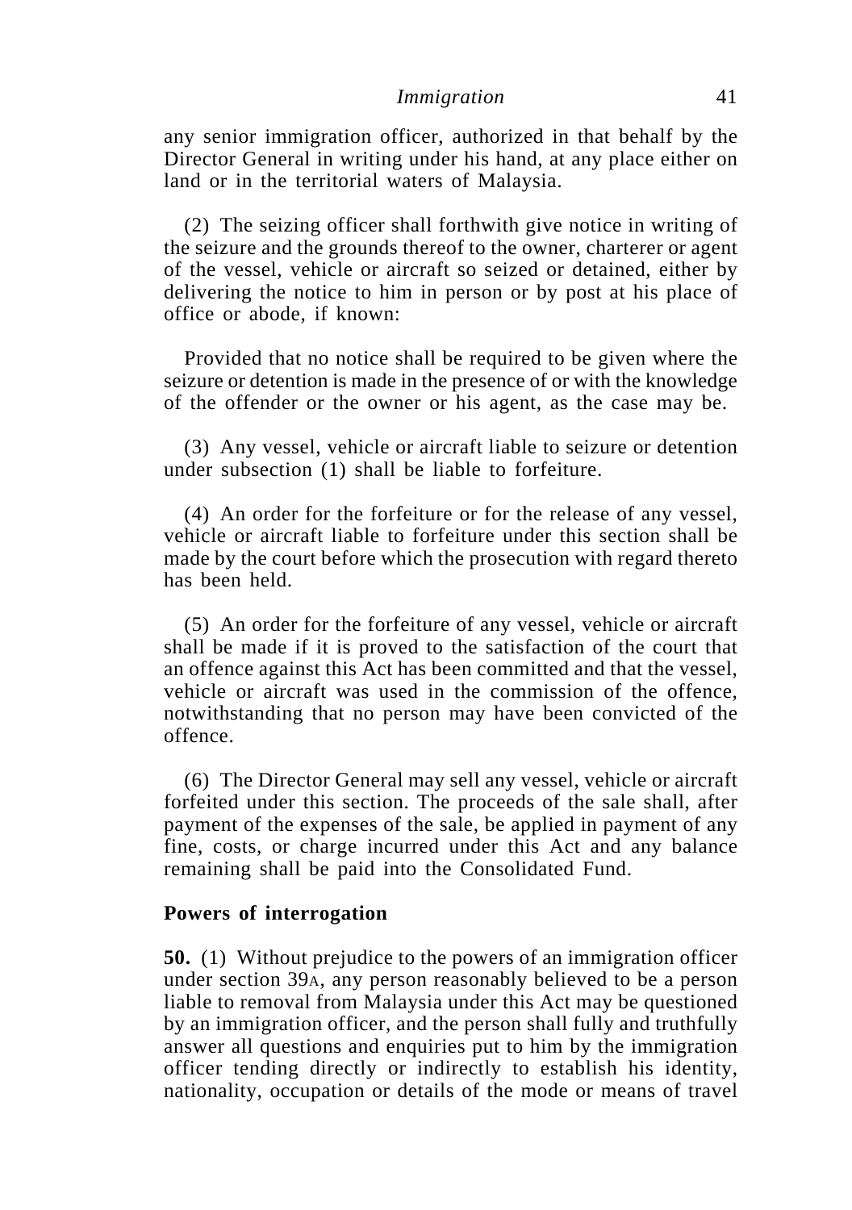any senior immigration officer, authorized in that behalf by the Director General in writing under his hand, at any place either on land or in the territorial waters of Malaysia.

(2) The seizing officer shall forthwith give notice in writing of the seizure and the grounds thereof to the owner, charterer or agent of the vessel, vehicle or aircraft so seized or detained, either by delivering the notice to him in person or by post at his place of office or abode, if known:

Provided that no notice shall be required to be given where the seizure or detention is made in the presence of or with the knowledge of the offender or the owner or his agent, as the case may be.

(3) Any vessel, vehicle or aircraft liable to seizure or detention under subsection (1) shall be liable to forfeiture.

(4) An order for the forfeiture or for the release of any vessel, vehicle or aircraft liable to forfeiture under this section shall be made by the court before which the prosecution with regard thereto has been held.

(5) An order for the forfeiture of any vessel, vehicle or aircraft shall be made if it is proved to the satisfaction of the court that an offence against this Act has been committed and that the vessel, vehicle or aircraft was used in the commission of the offence, notwithstanding that no person may have been convicted of the offence.

(6) The Director General may sell any vessel, vehicle or aircraft forfeited under this section. The proceeds of the sale shall, after payment of the expenses of the sale, be applied in payment of any fine, costs, or charge incurred under this Act and any balance remaining shall be paid into the Consolidated Fund.

### **Powers of interrogation**

**50.** (1) Without prejudice to the powers of an immigration officer under section 39A, any person reasonably believed to be a person liable to removal from Malaysia under this Act may be questioned by an immigration officer, and the person shall fully and truthfully answer all questions and enquiries put to him by the immigration officer tending directly or indirectly to establish his identity, nationality, occupation or details of the mode or means of travel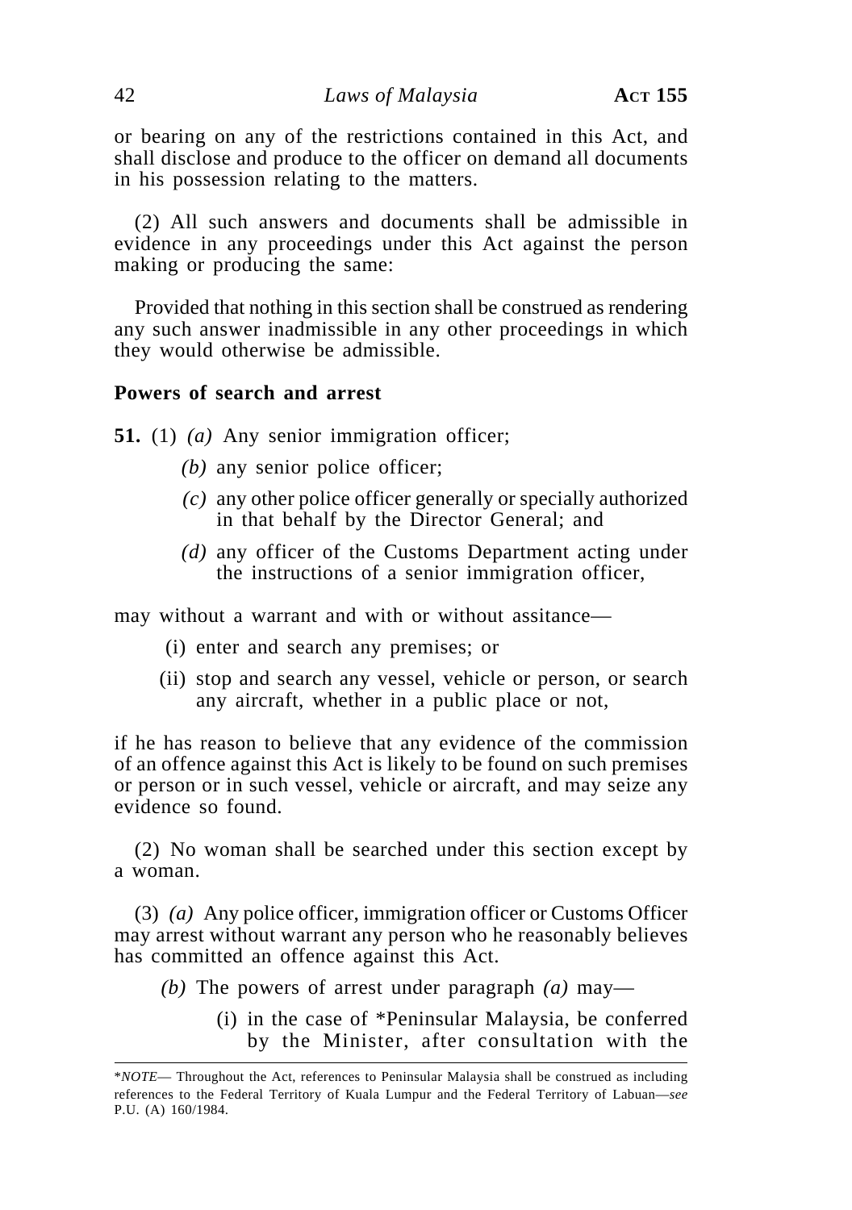or bearing on any of the restrictions contained in this Act, and shall disclose and produce to the officer on demand all documents in his possession relating to the matters.

(2) All such answers and documents shall be admissible in evidence in any proceedings under this Act against the person making or producing the same:

Provided that nothing in this section shall be construed as rendering any such answer inadmissible in any other proceedings in which they would otherwise be admissible.

#### **Powers of search and arrest**

**51.** (1) *(a)* Any senior immigration officer;

- *(b)* any senior police officer;
- *(c)* any other police officer generally or specially authorized in that behalf by the Director General; and
- *(d)* any officer of the Customs Department acting under the instructions of a senior immigration officer,

may without a warrant and with or without assitance—

- (i) enter and search any premises; or
- (ii) stop and search any vessel, vehicle or person, or search any aircraft, whether in a public place or not,

if he has reason to believe that any evidence of the commission of an offence against this Act is likely to be found on such premises or person or in such vessel, vehicle or aircraft, and may seize any evidence so found.

(2) No woman shall be searched under this section except by a woman.

(3) *(a)* Any police officer, immigration officer or Customs Officer may arrest without warrant any person who he reasonably believes has committed an offence against this Act.

- *(b)* The powers of arrest under paragraph *(a)* may—
	- (i) in the case of \*Peninsular Malaysia, be conferred by the Minister, after consultation with the

<sup>\*</sup>*NOTE*— Throughout the Act, references to Peninsular Malaysia shall be construed as including references to the Federal Territory of Kuala Lumpur and the Federal Territory of Labuan—*see* P.U. (A) 160/1984.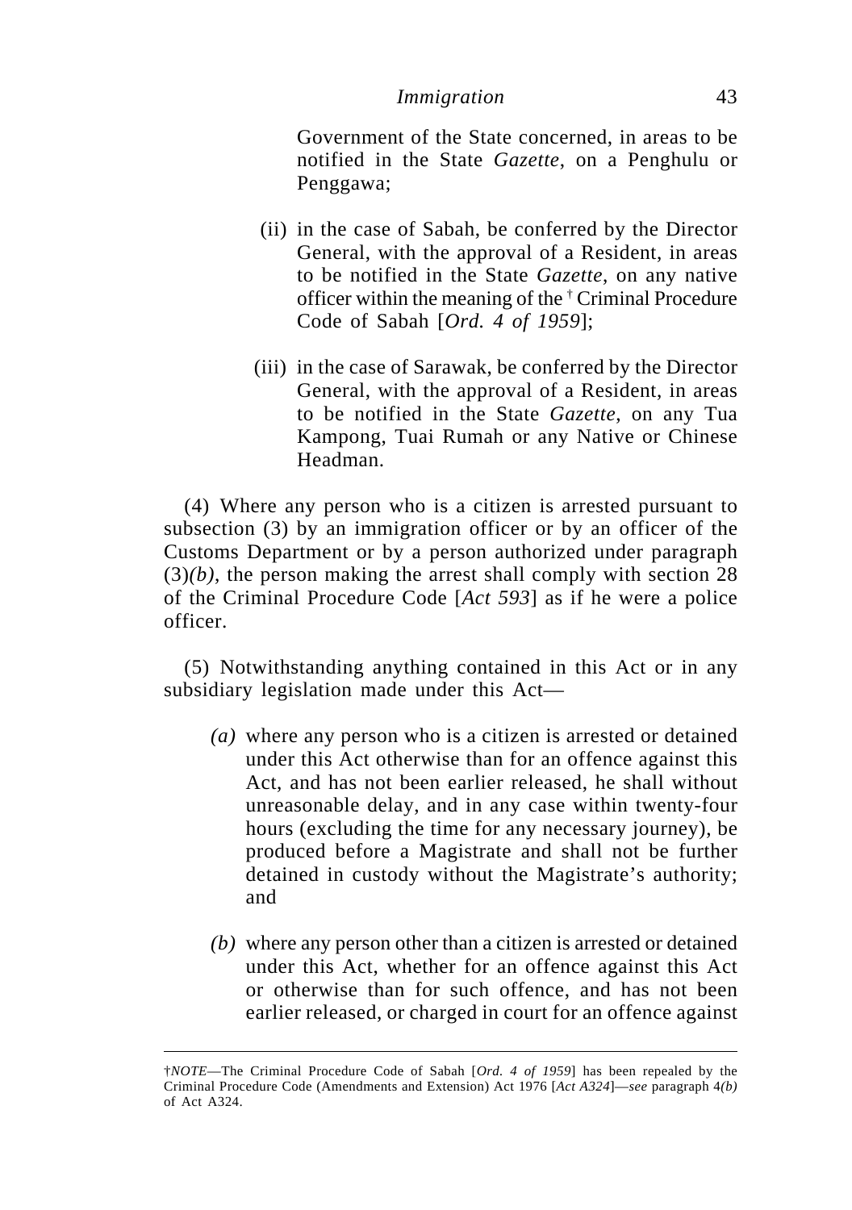Government of the State concerned, in areas to be notified in the State *Gazette*, on a Penghulu or Penggawa;

- (ii) in the case of Sabah, be conferred by the Director General, with the approval of a Resident, in areas to be notified in the State *Gazette*, on any native officer within the meaning of the † Criminal Procedure Code of Sabah [*Ord. 4 of 1959*];
- (iii) in the case of Sarawak, be conferred by the Director General, with the approval of a Resident, in areas to be notified in the State *Gazette*, on any Tua Kampong, Tuai Rumah or any Native or Chinese Headman.

(4) Where any person who is a citizen is arrested pursuant to subsection (3) by an immigration officer or by an officer of the Customs Department or by a person authorized under paragraph  $(3)(b)$ , the person making the arrest shall comply with section 28 of the Criminal Procedure Code [*Act 593*] as if he were a police officer.

(5) Notwithstanding anything contained in this Act or in any subsidiary legislation made under this Act—

- *(a)* where any person who is a citizen is arrested or detained under this Act otherwise than for an offence against this Act, and has not been earlier released, he shall without unreasonable delay, and in any case within twenty-four hours (excluding the time for any necessary journey), be produced before a Magistrate and shall not be further detained in custody without the Magistrate's authority; and
- *(b)* where any person other than a citizen is arrested or detained under this Act, whether for an offence against this Act or otherwise than for such offence, and has not been earlier released, or charged in court for an offence against

<sup>†</sup>*NOTE*—The Criminal Procedure Code of Sabah [*Ord. 4 of 1959*] has been repealed by the Criminal Procedure Code (Amendments and Extension) Act 1976 [*Act A324*]—*see* paragraph 4*(b)* of Act A324.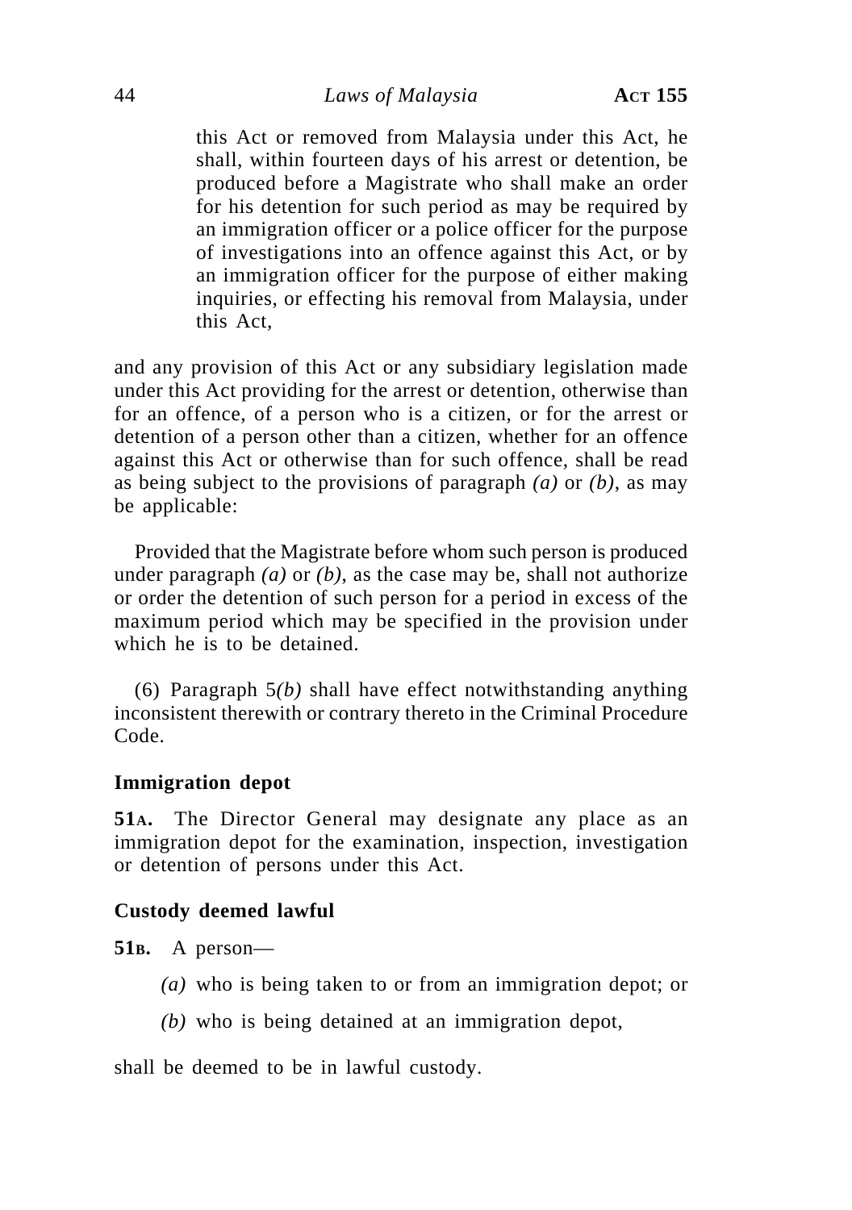this Act or removed from Malaysia under this Act, he shall, within fourteen days of his arrest or detention, be produced before a Magistrate who shall make an order for his detention for such period as may be required by an immigration officer or a police officer for the purpose of investigations into an offence against this Act, or by an immigration officer for the purpose of either making inquiries, or effecting his removal from Malaysia, under this Act,

and any provision of this Act or any subsidiary legislation made under this Act providing for the arrest or detention, otherwise than for an offence, of a person who is a citizen, or for the arrest or detention of a person other than a citizen, whether for an offence against this Act or otherwise than for such offence, shall be read as being subject to the provisions of paragraph *(a)* or *(b)*, as may be applicable:

Provided that the Magistrate before whom such person is produced under paragraph *(a)* or *(b)*, as the case may be, shall not authorize or order the detention of such person for a period in excess of the maximum period which may be specified in the provision under which he is to be detained.

(6) Paragraph 5*(b)* shall have effect notwithstanding anything inconsistent therewith or contrary thereto in the Criminal Procedure Code.

### **Immigration depot**

**51A.** The Director General may designate any place as an immigration depot for the examination, inspection, investigation or detention of persons under this Act.

### **Custody deemed lawful**

**51B.** A person—

- *(a)* who is being taken to or from an immigration depot; or
- *(b)* who is being detained at an immigration depot,

shall be deemed to be in lawful custody.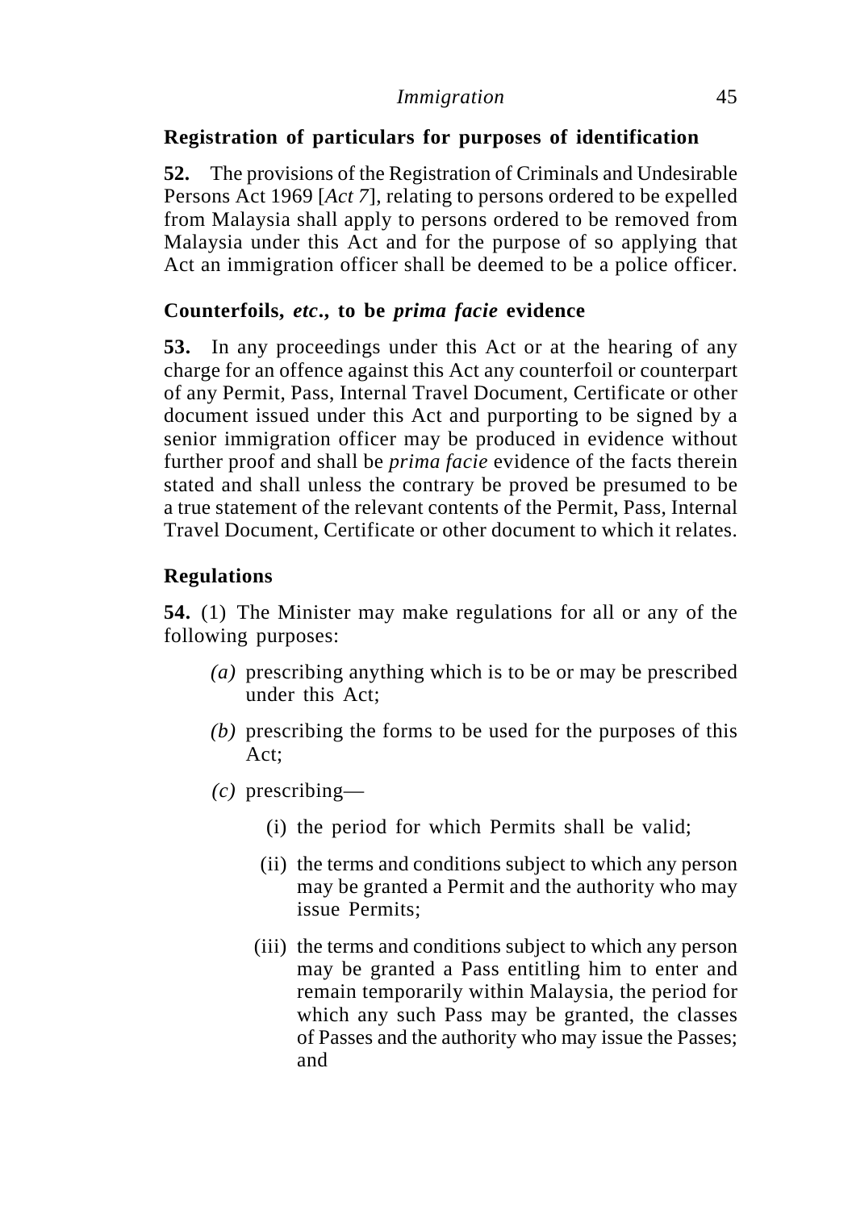# **Registration of particulars for purposes of identification**

**52.** The provisions of the Registration of Criminals and Undesirable Persons Act 1969 [*Act 7*], relating to persons ordered to be expelled from Malaysia shall apply to persons ordered to be removed from Malaysia under this Act and for the purpose of so applying that Act an immigration officer shall be deemed to be a police officer.

# **Counterfoils,** *etc***., to be** *prima facie* **evidence**

**53.** In any proceedings under this Act or at the hearing of any charge for an offence against this Act any counterfoil or counterpart of any Permit, Pass, Internal Travel Document, Certificate or other document issued under this Act and purporting to be signed by a senior immigration officer may be produced in evidence without further proof and shall be *prima facie* evidence of the facts therein stated and shall unless the contrary be proved be presumed to be a true statement of the relevant contents of the Permit, Pass, Internal Travel Document, Certificate or other document to which it relates.

# **Regulations**

**54.** (1) The Minister may make regulations for all or any of the following purposes:

- *(a)* prescribing anything which is to be or may be prescribed under this Act;
- *(b)* prescribing the forms to be used for the purposes of this Act;
- *(c)* prescribing—
	- (i) the period for which Permits shall be valid;
	- (ii) the terms and conditions subject to which any person may be granted a Permit and the authority who may issue Permits;
	- (iii) the terms and conditions subject to which any person may be granted a Pass entitling him to enter and remain temporarily within Malaysia, the period for which any such Pass may be granted, the classes of Passes and the authority who may issue the Passes; and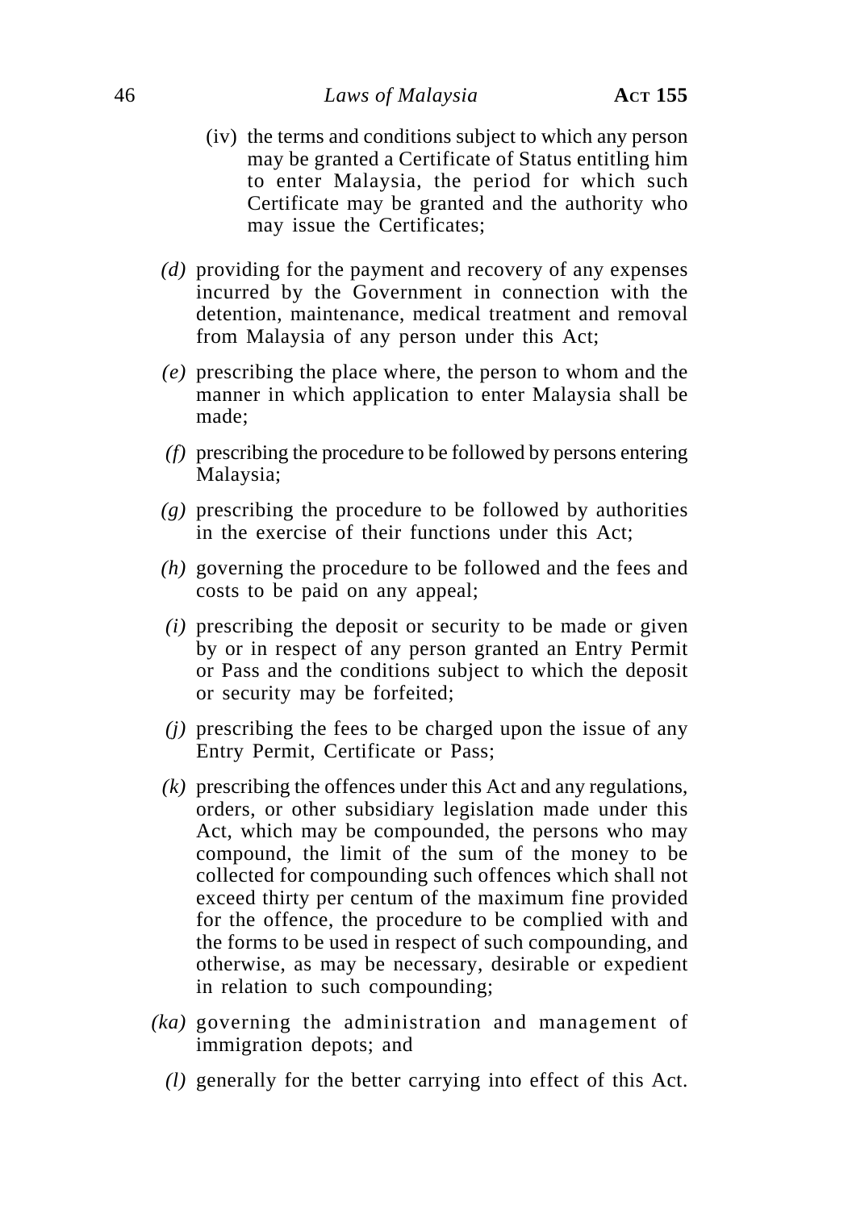- (iv) the terms and conditions subject to which any person may be granted a Certificate of Status entitling him to enter Malaysia, the period for which such Certificate may be granted and the authority who may issue the Certificates;
- *(d)* providing for the payment and recovery of any expenses incurred by the Government in connection with the detention, maintenance, medical treatment and removal from Malaysia of any person under this Act;
- *(e)* prescribing the place where, the person to whom and the manner in which application to enter Malaysia shall be made;
- *(f)* prescribing the procedure to be followed by persons entering Malaysia;
- *(g)* prescribing the procedure to be followed by authorities in the exercise of their functions under this Act;
- *(h)* governing the procedure to be followed and the fees and costs to be paid on any appeal;
- *(i)* prescribing the deposit or security to be made or given by or in respect of any person granted an Entry Permit or Pass and the conditions subject to which the deposit or security may be forfeited;
- *(j)* prescribing the fees to be charged upon the issue of any Entry Permit, Certificate or Pass;
- *(k)* prescribing the offences under this Act and any regulations, orders, or other subsidiary legislation made under this Act, which may be compounded, the persons who may compound, the limit of the sum of the money to be collected for compounding such offences which shall not exceed thirty per centum of the maximum fine provided for the offence, the procedure to be complied with and the forms to be used in respect of such compounding, and otherwise, as may be necessary, desirable or expedient in relation to such compounding;
- *(ka)* governing the administration and management of immigration depots; and
	- *(l)* generally for the better carrying into effect of this Act.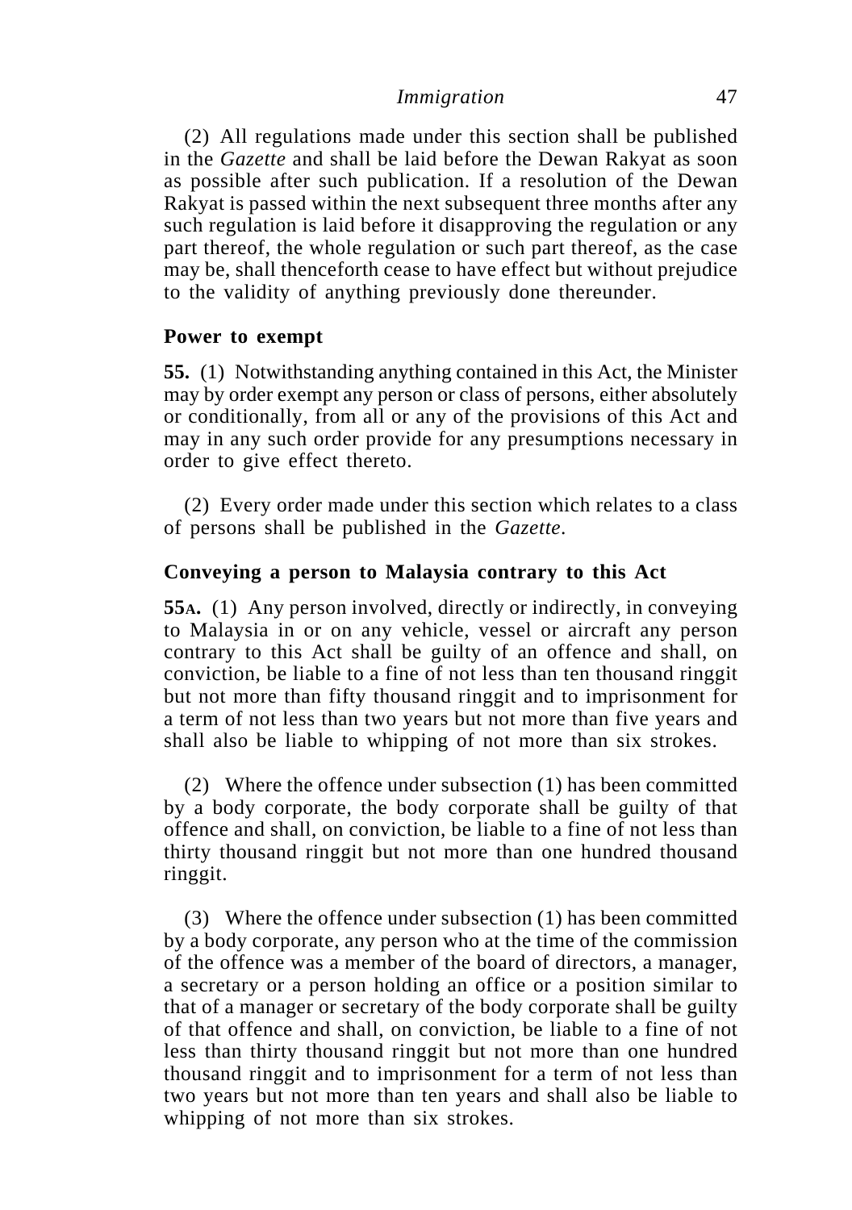(2) All regulations made under this section shall be published in the *Gazette* and shall be laid before the Dewan Rakyat as soon as possible after such publication. If a resolution of the Dewan Rakyat is passed within the next subsequent three months after any such regulation is laid before it disapproving the regulation or any part thereof, the whole regulation or such part thereof, as the case may be, shall thenceforth cease to have effect but without prejudice to the validity of anything previously done thereunder.

### **Power to exempt**

**55.** (1) Notwithstanding anything contained in this Act, the Minister may by order exempt any person or class of persons, either absolutely or conditionally, from all or any of the provisions of this Act and may in any such order provide for any presumptions necessary in order to give effect thereto.

(2) Every order made under this section which relates to a class of persons shall be published in the *Gazette*.

### **Conveying a person to Malaysia contrary to this Act**

**55A.** (1) Any person involved, directly or indirectly, in conveying to Malaysia in or on any vehicle, vessel or aircraft any person contrary to this Act shall be guilty of an offence and shall, on conviction, be liable to a fine of not less than ten thousand ringgit but not more than fifty thousand ringgit and to imprisonment for a term of not less than two years but not more than five years and shall also be liable to whipping of not more than six strokes.

(2) Where the offence under subsection (1) has been committed by a body corporate, the body corporate shall be guilty of that offence and shall, on conviction, be liable to a fine of not less than thirty thousand ringgit but not more than one hundred thousand ringgit.

(3) Where the offence under subsection (1) has been committed by a body corporate, any person who at the time of the commission of the offence was a member of the board of directors, a manager, a secretary or a person holding an office or a position similar to that of a manager or secretary of the body corporate shall be guilty of that offence and shall, on conviction, be liable to a fine of not less than thirty thousand ringgit but not more than one hundred thousand ringgit and to imprisonment for a term of not less than two years but not more than ten years and shall also be liable to whipping of not more than six strokes.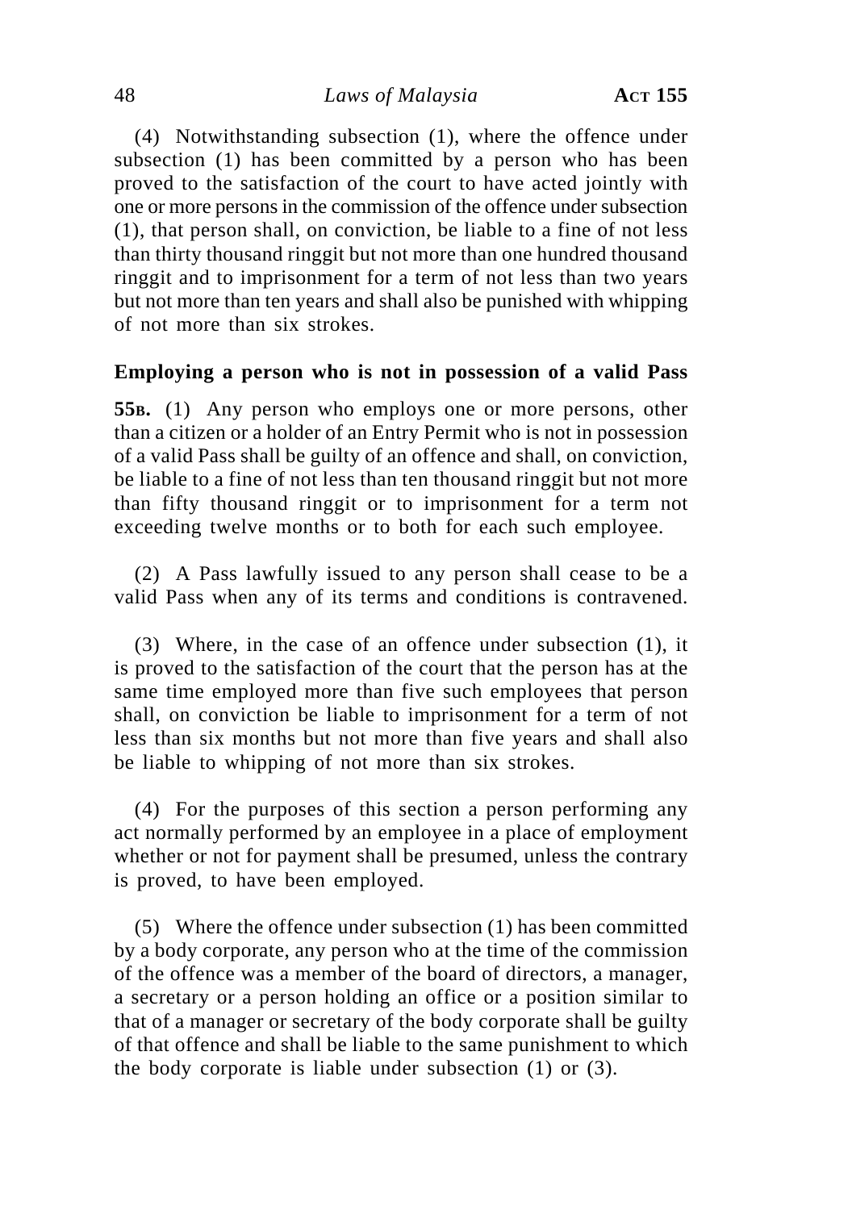(4) Notwithstanding subsection (1), where the offence under subsection (1) has been committed by a person who has been proved to the satisfaction of the court to have acted jointly with one or more persons in the commission of the offence under subsection (1), that person shall, on conviction, be liable to a fine of not less than thirty thousand ringgit but not more than one hundred thousand ringgit and to imprisonment for a term of not less than two years but not more than ten years and shall also be punished with whipping of not more than six strokes.

### **Employing a person who is not in possession of a valid Pass**

**55B.** (1) Any person who employs one or more persons, other than a citizen or a holder of an Entry Permit who is not in possession of a valid Pass shall be guilty of an offence and shall, on conviction, be liable to a fine of not less than ten thousand ringgit but not more than fifty thousand ringgit or to imprisonment for a term not exceeding twelve months or to both for each such employee.

(2) A Pass lawfully issued to any person shall cease to be a valid Pass when any of its terms and conditions is contravened.

(3) Where, in the case of an offence under subsection (1), it is proved to the satisfaction of the court that the person has at the same time employed more than five such employees that person shall, on conviction be liable to imprisonment for a term of not less than six months but not more than five years and shall also be liable to whipping of not more than six strokes.

(4) For the purposes of this section a person performing any act normally performed by an employee in a place of employment whether or not for payment shall be presumed, unless the contrary is proved, to have been employed.

(5) Where the offence under subsection (1) has been committed by a body corporate, any person who at the time of the commission of the offence was a member of the board of directors, a manager, a secretary or a person holding an office or a position similar to that of a manager or secretary of the body corporate shall be guilty of that offence and shall be liable to the same punishment to which the body corporate is liable under subsection (1) or (3).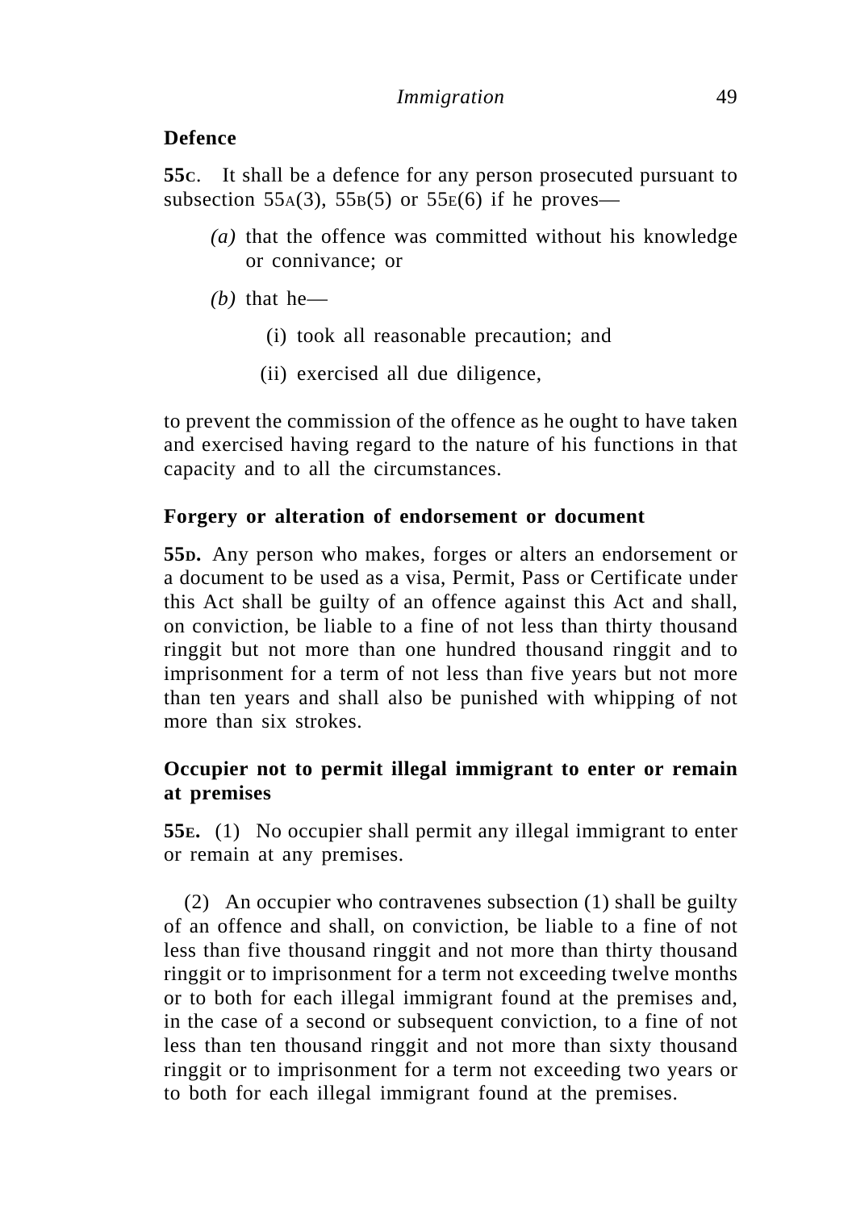# **Defence**

**55C**. It shall be a defence for any person prosecuted pursuant to subsection 55 $A(3)$ , 55 $B(5)$  or 55 $E(6)$  if he proves—

- *(a)* that the offence was committed without his knowledge or connivance; or
- *(b)* that he—
	- (i) took all reasonable precaution; and
	- (ii) exercised all due diligence,

to prevent the commission of the offence as he ought to have taken and exercised having regard to the nature of his functions in that capacity and to all the circumstances.

# **Forgery or alteration of endorsement or document**

**55D.** Any person who makes, forges or alters an endorsement or a document to be used as a visa, Permit, Pass or Certificate under this Act shall be guilty of an offence against this Act and shall, on conviction, be liable to a fine of not less than thirty thousand ringgit but not more than one hundred thousand ringgit and to imprisonment for a term of not less than five years but not more than ten years and shall also be punished with whipping of not more than six strokes.

# **Occupier not to permit illegal immigrant to enter or remain at premises**

**55E.** (1) No occupier shall permit any illegal immigrant to enter or remain at any premises.

(2) An occupier who contravenes subsection (1) shall be guilty of an offence and shall, on conviction, be liable to a fine of not less than five thousand ringgit and not more than thirty thousand ringgit or to imprisonment for a term not exceeding twelve months or to both for each illegal immigrant found at the premises and, in the case of a second or subsequent conviction, to a fine of not less than ten thousand ringgit and not more than sixty thousand ringgit or to imprisonment for a term not exceeding two years or to both for each illegal immigrant found at the premises.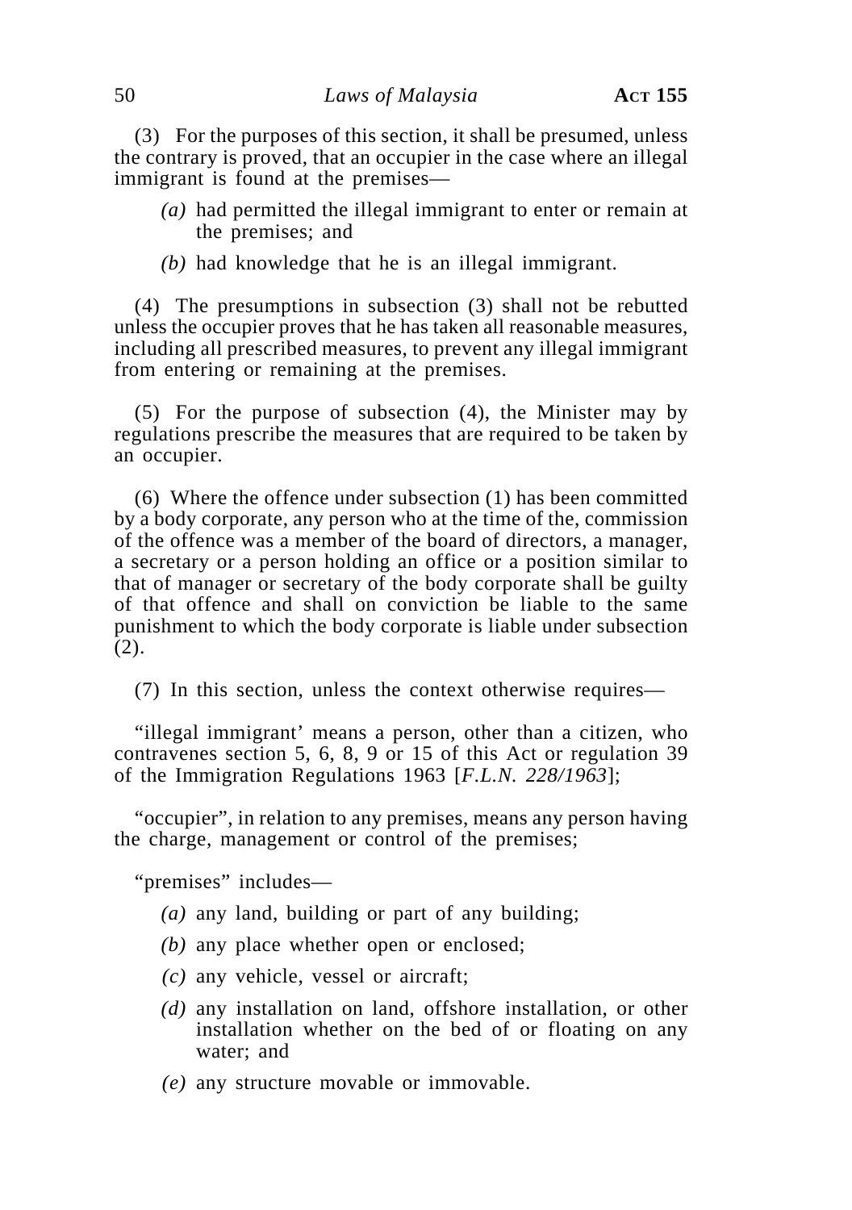(3) For the purposes of this section, it shall be presumed, unless the contrary is proved, that an occupier in the case where an illegal immigrant is found at the premises—

- *(a)* had permitted the illegal immigrant to enter or remain at the premises; and
- *(b)* had knowledge that he is an illegal immigrant.

(4) The presumptions in subsection (3) shall not be rebutted unless the occupier proves that he has taken all reasonable measures, including all prescribed measures, to prevent any illegal immigrant from entering or remaining at the premises.

(5) For the purpose of subsection (4), the Minister may by regulations prescribe the measures that are required to be taken by an occupier.

(6) Where the offence under subsection (1) has been committed by a body corporate, any person who at the time of the, commission of the offence was a member of the board of directors, a manager, a secretary or a person holding an office or a position similar to that of manager or secretary of the body corporate shall be guilty of that offence and shall on conviction be liable to the same punishment to which the body corporate is liable under subsection (2).

(7) In this section, unless the context otherwise requires—

"illegal immigrant' means a person, other than a citizen, who contravenes section 5, 6, 8, 9 or 15 of this Act or regulation 39 of the Immigration Regulations 1963 [*F.L.N. 228/1963*];

"occupier", in relation to any premises, means any person having the charge, management or control of the premises;

"premises" includes—

- *(a)* any land, building or part of any building;
- *(b)* any place whether open or enclosed;
- *(c)* any vehicle, vessel or aircraft;
- *(d)* any installation on land, offshore installation, or other installation whether on the bed of or floating on any water; and
- *(e)* any structure movable or immovable.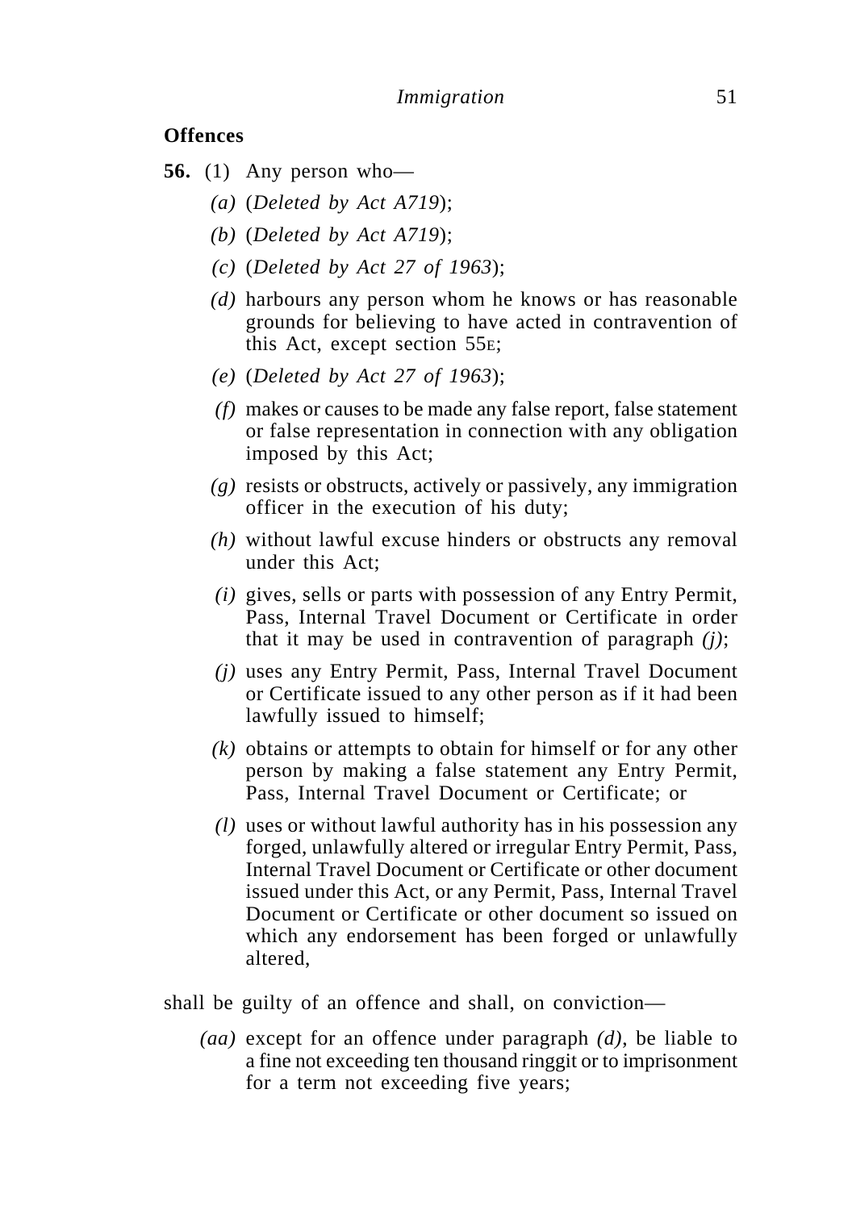### **Offences**

- **56.** (1) Any person who—
	- *(a)* (*Deleted by Act A719*);
	- *(b)* (*Deleted by Act A719*);
	- *(c)* (*Deleted by Act 27 of 1963*);
	- *(d)* harbours any person whom he knows or has reasonable grounds for believing to have acted in contravention of this Act, except section 55E;
	- *(e)* (*Deleted by Act 27 of 1963*);
	- *(f)* makes or causes to be made any false report, false statement or false representation in connection with any obligation imposed by this Act;
	- *(g)* resists or obstructs, actively or passively, any immigration officer in the execution of his duty;
	- *(h)* without lawful excuse hinders or obstructs any removal under this Act;
	- *(i)* gives, sells or parts with possession of any Entry Permit, Pass, Internal Travel Document or Certificate in order that it may be used in contravention of paragraph *(j)*;
	- *(j)* uses any Entry Permit, Pass, Internal Travel Document or Certificate issued to any other person as if it had been lawfully issued to himself;
	- *(k)* obtains or attempts to obtain for himself or for any other person by making a false statement any Entry Permit, Pass, Internal Travel Document or Certificate; or
	- *(l)* uses or without lawful authority has in his possession any forged, unlawfully altered or irregular Entry Permit, Pass, Internal Travel Document or Certificate or other document issued under this Act, or any Permit, Pass, Internal Travel Document or Certificate or other document so issued on which any endorsement has been forged or unlawfully altered,

shall be guilty of an offence and shall, on conviction—

*(aa)* except for an offence under paragraph *(d)*, be liable to a fine not exceeding ten thousand ringgit or to imprisonment for a term not exceeding five years;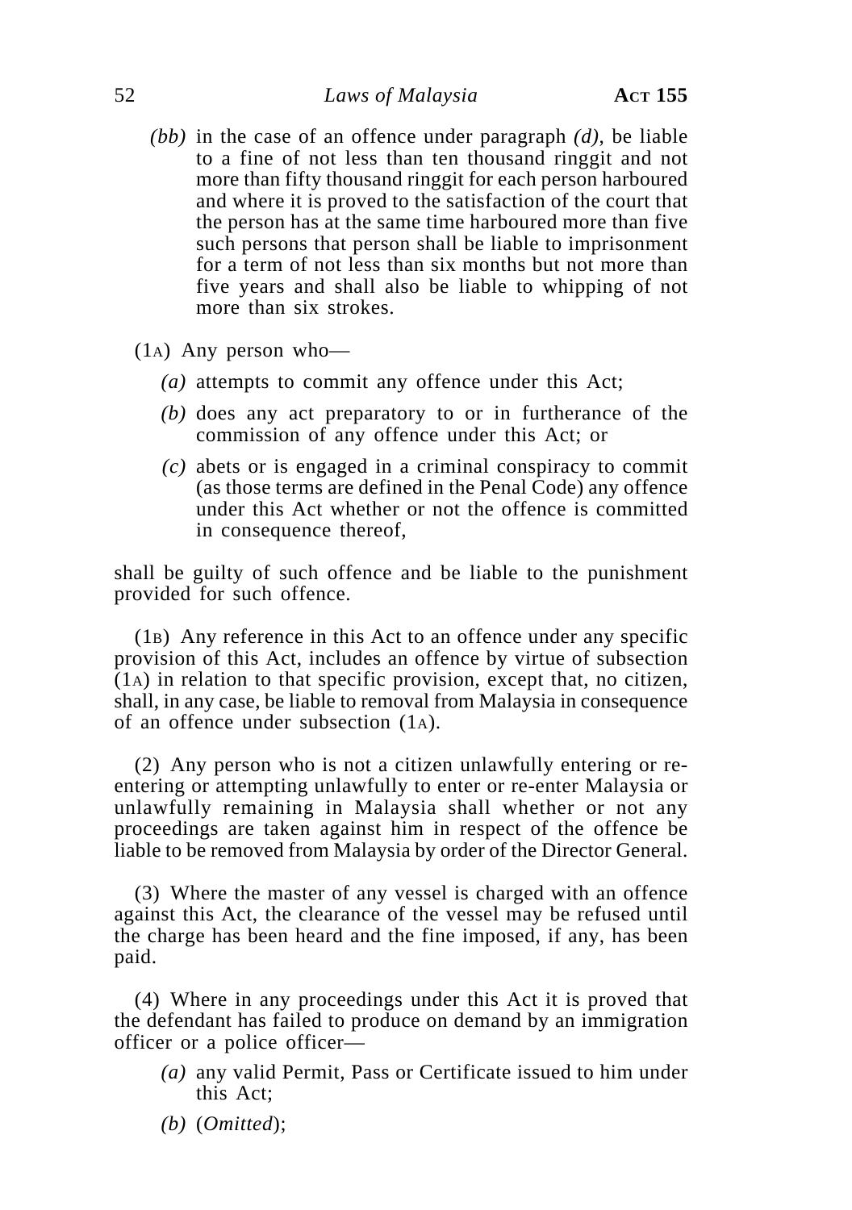- *(bb)* in the case of an offence under paragraph *(d)*, be liable to a fine of not less than ten thousand ringgit and not more than fifty thousand ringgit for each person harboured and where it is proved to the satisfaction of the court that the person has at the same time harboured more than five such persons that person shall be liable to imprisonment for a term of not less than six months but not more than five years and shall also be liable to whipping of not more than six strokes.
- (1A) Any person who—
	- *(a)* attempts to commit any offence under this Act;
	- *(b)* does any act preparatory to or in furtherance of the commission of any offence under this Act; or
	- *(c)* abets or is engaged in a criminal conspiracy to commit (as those terms are defined in the Penal Code) any offence under this Act whether or not the offence is committed in consequence thereof,

shall be guilty of such offence and be liable to the punishment provided for such offence.

(1B) Any reference in this Act to an offence under any specific provision of this Act, includes an offence by virtue of subsection (1A) in relation to that specific provision, except that, no citizen, shall, in any case, be liable to removal from Malaysia in consequence of an offence under subsection (1A).

(2) Any person who is not a citizen unlawfully entering or reentering or attempting unlawfully to enter or re-enter Malaysia or unlawfully remaining in Malaysia shall whether or not any proceedings are taken against him in respect of the offence be liable to be removed from Malaysia by order of the Director General.

(3) Where the master of any vessel is charged with an offence against this Act, the clearance of the vessel may be refused until the charge has been heard and the fine imposed, if any, has been paid.

(4) Where in any proceedings under this Act it is proved that the defendant has failed to produce on demand by an immigration officer or a police officer—

- *(a)* any valid Permit, Pass or Certificate issued to him under this Act;
- *(b)* (*Omitted*);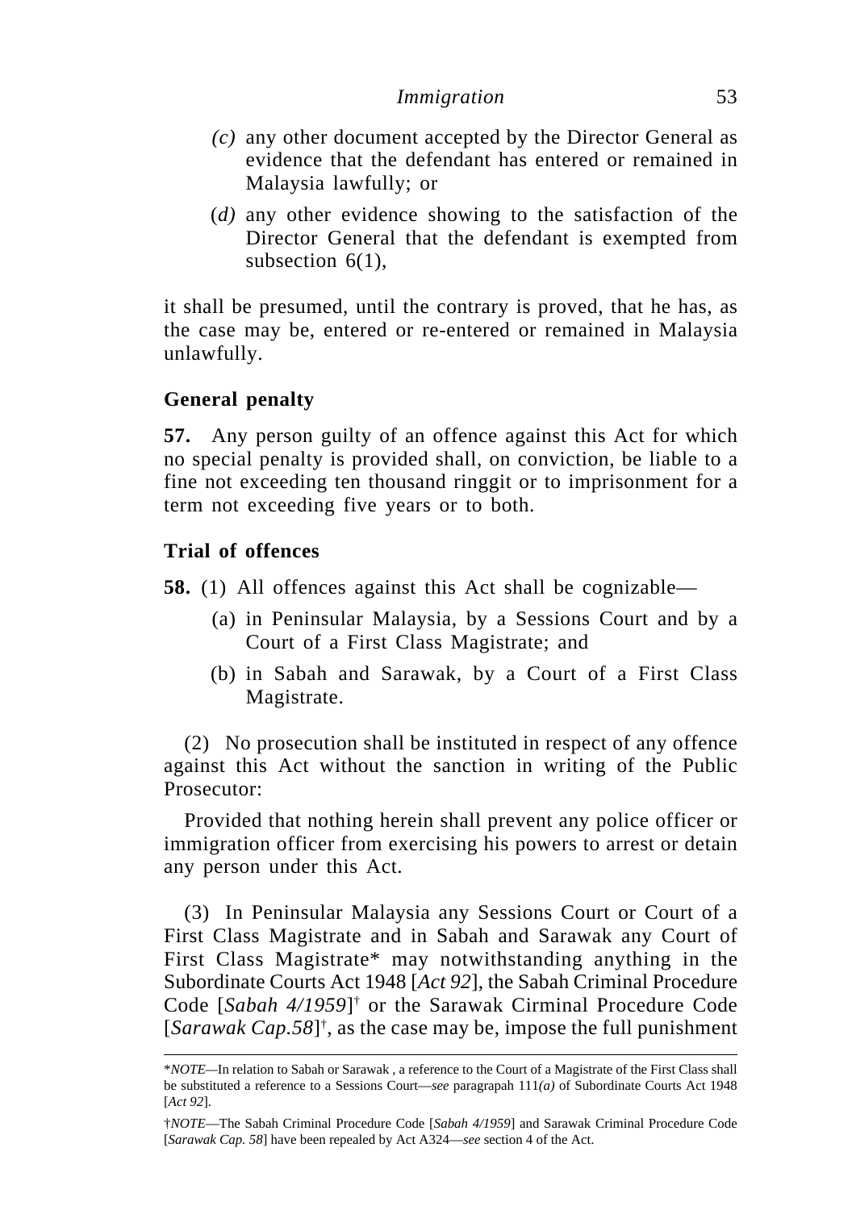- *(c)* any other document accepted by the Director General as evidence that the defendant has entered or remained in Malaysia lawfully; or
- (*d)* any other evidence showing to the satisfaction of the Director General that the defendant is exempted from subsection  $6(1)$ ,

it shall be presumed, until the contrary is proved, that he has, as the case may be, entered or re-entered or remained in Malaysia unlawfully.

# **General penalty**

**57.** Any person guilty of an offence against this Act for which no special penalty is provided shall, on conviction, be liable to a fine not exceeding ten thousand ringgit or to imprisonment for a term not exceeding five years or to both.

# **Trial of offences**

**58.** (1) All offences against this Act shall be cognizable—

- (a) in Peninsular Malaysia, by a Sessions Court and by a Court of a First Class Magistrate; and
- (b) in Sabah and Sarawak, by a Court of a First Class Magistrate.

(2) No prosecution shall be instituted in respect of any offence against this Act without the sanction in writing of the Public Prosecutor:

Provided that nothing herein shall prevent any police officer or immigration officer from exercising his powers to arrest or detain any person under this Act.

(3) In Peninsular Malaysia any Sessions Court or Court of a First Class Magistrate and in Sabah and Sarawak any Court of First Class Magistrate\* may notwithstanding anything in the Subordinate Courts Act 1948 [*Act 92*], the Sabah Criminal Procedure Code [*Sabah 4/1959*]† or the Sarawak Cirminal Procedure Code [*Sarawak Cap.58*]† , as the case may be, impose the full punishment

<sup>\*</sup>*NOTE—*In relation to Sabah or Sarawak , a reference to the Court of a Magistrate of the First Class shall be substituted a reference to a Sessions Court—*see* paragrapah 111*(a)* of Subordinate Courts Act 1948 [*Act 92*].

<sup>†</sup>*NOTE*—The Sabah Criminal Procedure Code [*Sabah 4/1959*] and Sarawak Criminal Procedure Code [*Sarawak Cap. 58*] have been repealed by Act A324—*see* section 4 of the Act.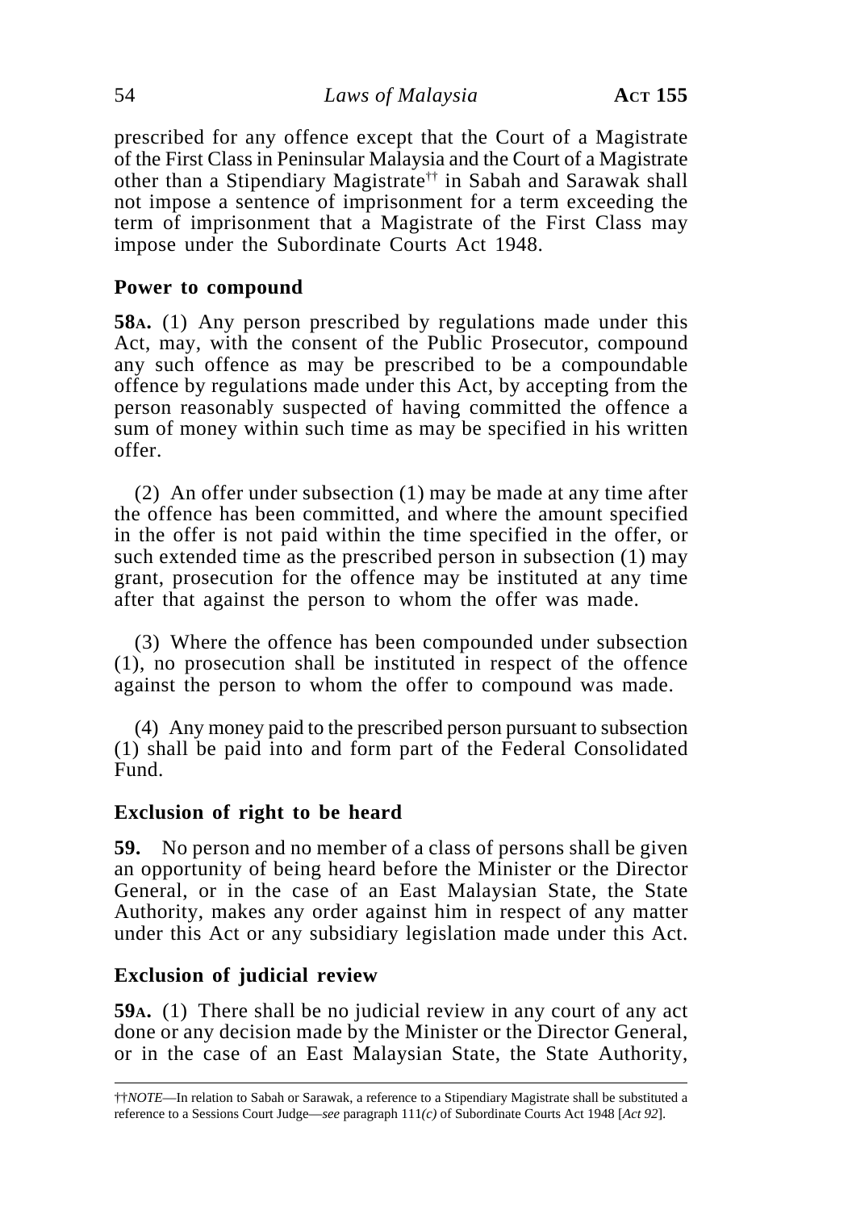prescribed for any offence except that the Court of a Magistrate of the First Class in Peninsular Malaysia and the Court of a Magistrate other than a Stipendiary Magistrate†† in Sabah and Sarawak shall not impose a sentence of imprisonment for a term exceeding the term of imprisonment that a Magistrate of the First Class may impose under the Subordinate Courts Act 1948.

### **Power to compound**

**58A.** (1) Any person prescribed by regulations made under this Act, may, with the consent of the Public Prosecutor, compound any such offence as may be prescribed to be a compoundable offence by regulations made under this Act, by accepting from the person reasonably suspected of having committed the offence a sum of money within such time as may be specified in his written offer.

(2) An offer under subsection (1) may be made at any time after the offence has been committed, and where the amount specified in the offer is not paid within the time specified in the offer, or such extended time as the prescribed person in subsection (1) may grant, prosecution for the offence may be instituted at any time after that against the person to whom the offer was made.

(3) Where the offence has been compounded under subsection (1), no prosecution shall be instituted in respect of the offence against the person to whom the offer to compound was made.

(4) Any money paid to the prescribed person pursuant to subsection (1) shall be paid into and form part of the Federal Consolidated Fund.

### **Exclusion of right to be heard**

**59.** No person and no member of a class of persons shall be given an opportunity of being heard before the Minister or the Director General, or in the case of an East Malaysian State, the State Authority, makes any order against him in respect of any matter under this Act or any subsidiary legislation made under this Act.

### **Exclusion of judicial review**

**59A.** (1) There shall be no judicial review in any court of any act done or any decision made by the Minister or the Director General, or in the case of an East Malaysian State, the State Authority,

<sup>††</sup>*NOTE*—In relation to Sabah or Sarawak, a reference to a Stipendiary Magistrate shall be substituted a reference to a Sessions Court Judge—*see* paragraph 111*(c)* of Subordinate Courts Act 1948 [*Act 92*].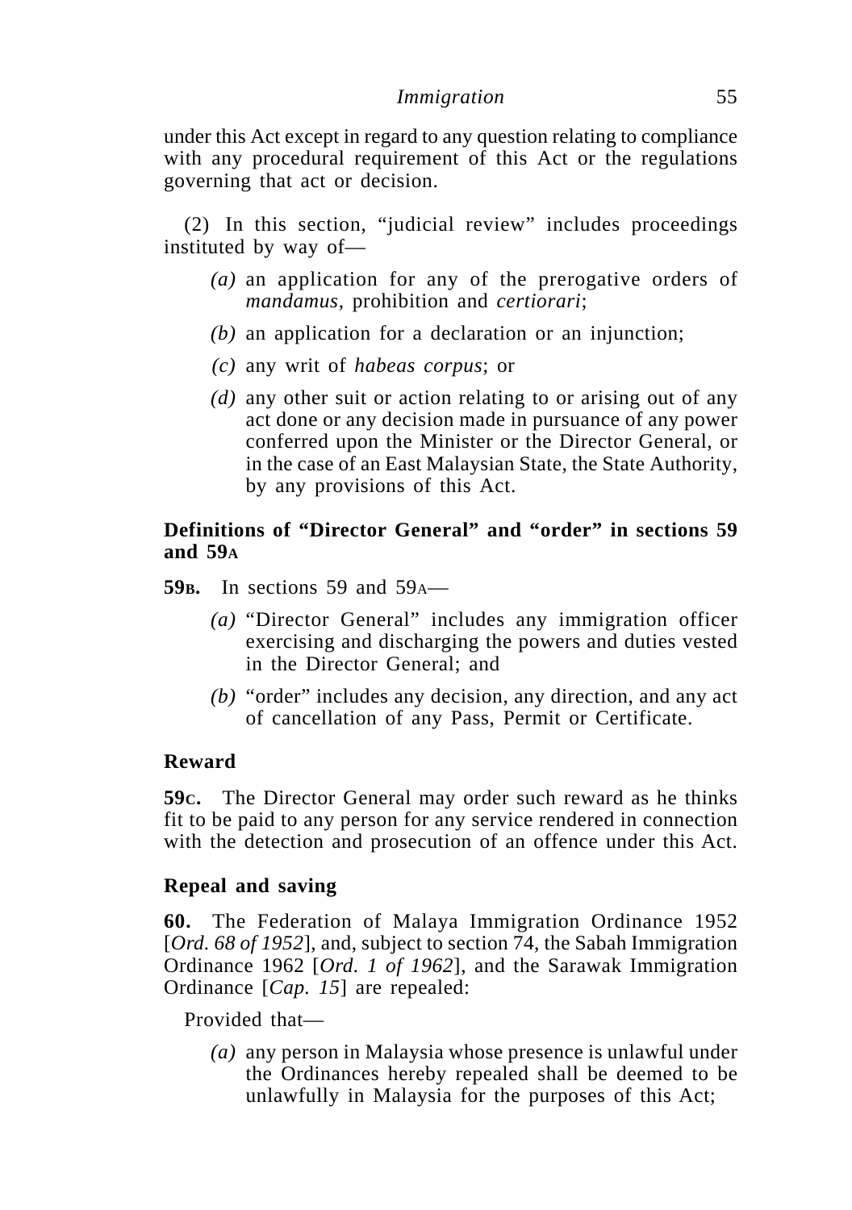under this Act except in regard to any question relating to compliance with any procedural requirement of this Act or the regulations governing that act or decision.

(2) In this section, "judicial review" includes proceedings instituted by way of—

- *(a)* an application for any of the prerogative orders of *mandamus*, prohibition and *certiorari*;
- *(b)* an application for a declaration or an injunction;
- *(c)* any writ of *habeas corpus*; or
- *(d)* any other suit or action relating to or arising out of any act done or any decision made in pursuance of any power conferred upon the Minister or the Director General, or in the case of an East Malaysian State, the State Authority, by any provisions of this Act.

# **Definitions of "Director General" and "order" in sections 59 and 59A**

- **59<sub>B</sub>.** In sections 59 and 59<sub>A</sub>—
	- *(a)* "Director General" includes any immigration officer exercising and discharging the powers and duties vested in the Director General; and
	- *(b)* "order" includes any decision, any direction, and any act of cancellation of any Pass, Permit or Certificate.

### **Reward**

**59C.** The Director General may order such reward as he thinks fit to be paid to any person for any service rendered in connection with the detection and prosecution of an offence under this Act.

# **Repeal and saving**

**60.** The Federation of Malaya Immigration Ordinance 1952 [*Ord. 68 of 1952*], and, subject to section 74, the Sabah Immigration Ordinance 1962 [*Ord. 1 of 1962*], and the Sarawak Immigration Ordinance [*Cap. 15*] are repealed:

Provided that—

*(a)* any person in Malaysia whose presence is unlawful under the Ordinances hereby repealed shall be deemed to be unlawfully in Malaysia for the purposes of this Act;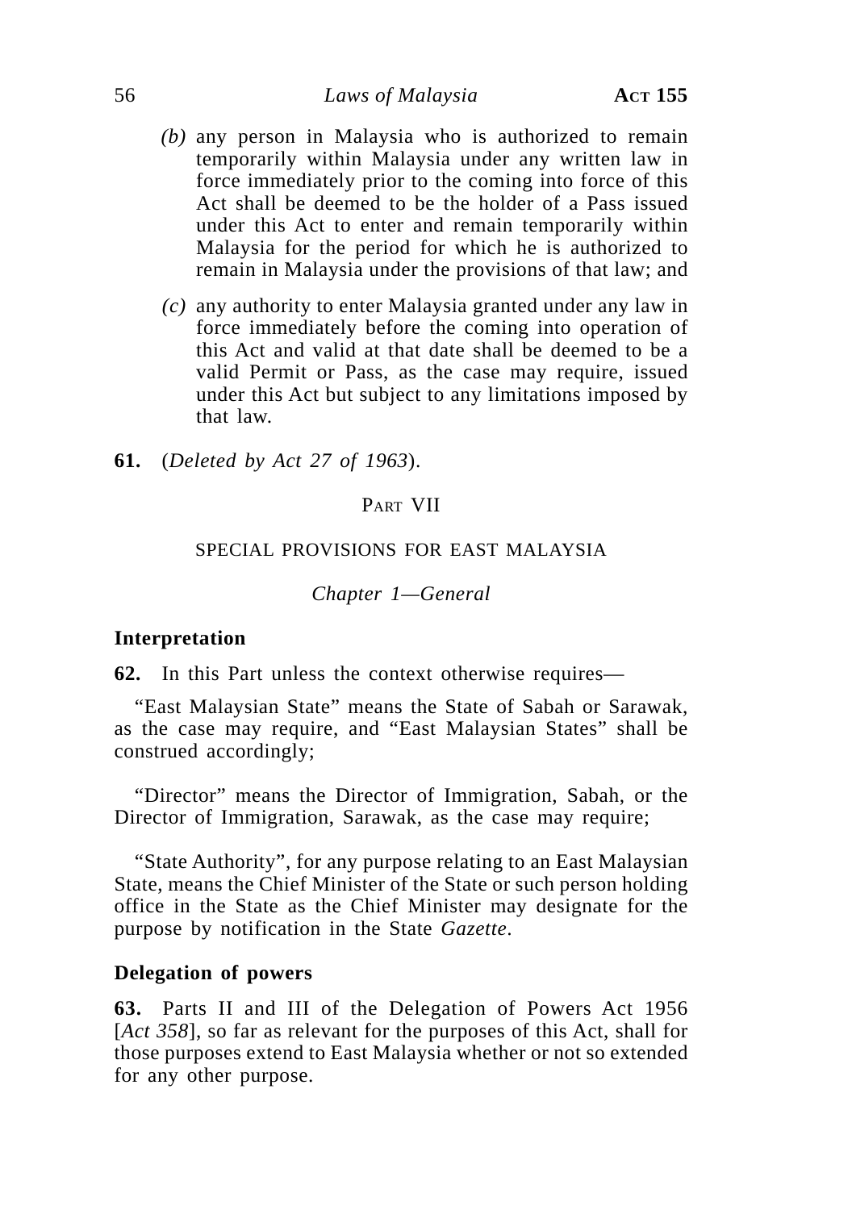### 56 *Laws of Malaysia* **ACT 155**

- *(b)* any person in Malaysia who is authorized to remain temporarily within Malaysia under any written law in force immediately prior to the coming into force of this Act shall be deemed to be the holder of a Pass issued under this Act to enter and remain temporarily within Malaysia for the period for which he is authorized to remain in Malaysia under the provisions of that law; and
- *(c)* any authority to enter Malaysia granted under any law in force immediately before the coming into operation of this Act and valid at that date shall be deemed to be a valid Permit or Pass, as the case may require, issued under this Act but subject to any limitations imposed by that law.
- **61.** (*Deleted by Act 27 of 1963*).

### PART VII

#### SPECIAL PROVISIONS FOR EAST MALAYSIA

*Chapter 1—General*

#### **Interpretation**

**62.** In this Part unless the context otherwise requires—

"East Malaysian State" means the State of Sabah or Sarawak, as the case may require, and "East Malaysian States" shall be construed accordingly;

"Director" means the Director of Immigration, Sabah, or the Director of Immigration, Sarawak, as the case may require;

"State Authority", for any purpose relating to an East Malaysian State, means the Chief Minister of the State or such person holding office in the State as the Chief Minister may designate for the purpose by notification in the State *Gazette*.

#### **Delegation of powers**

**63.** Parts II and III of the Delegation of Powers Act 1956 [*Act 358*], so far as relevant for the purposes of this Act, shall for those purposes extend to East Malaysia whether or not so extended for any other purpose.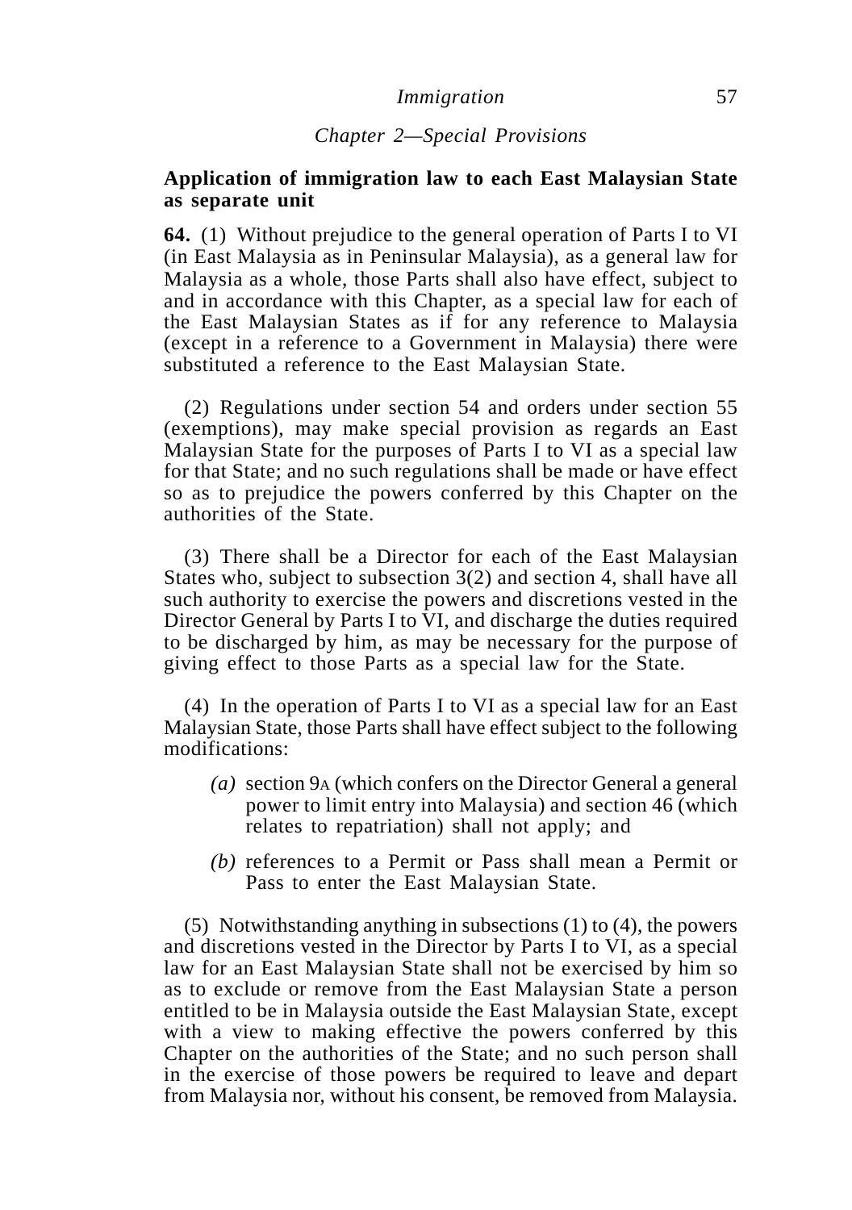### *Chapter 2—Special Provisions*

### **Application of immigration law to each East Malaysian State as separate unit**

**64.** (1) Without prejudice to the general operation of Parts I to VI (in East Malaysia as in Peninsular Malaysia), as a general law for Malaysia as a whole, those Parts shall also have effect, subject to and in accordance with this Chapter, as a special law for each of the East Malaysian States as if for any reference to Malaysia (except in a reference to a Government in Malaysia) there were substituted a reference to the East Malaysian State.

(2) Regulations under section 54 and orders under section 55 (exemptions), may make special provision as regards an East Malaysian State for the purposes of Parts I to VI as a special law for that State; and no such regulations shall be made or have effect so as to prejudice the powers conferred by this Chapter on the authorities of the State.

(3) There shall be a Director for each of the East Malaysian States who, subject to subsection 3(2) and section 4, shall have all such authority to exercise the powers and discretions vested in the Director General by Parts I to VI, and discharge the duties required to be discharged by him, as may be necessary for the purpose of giving effect to those Parts as a special law for the State.

(4) In the operation of Parts I to VI as a special law for an East Malaysian State, those Parts shall have effect subject to the following modifications:

- *(a)* section 9A (which confers on the Director General a general power to limit entry into Malaysia) and section 46 (which relates to repatriation) shall not apply; and
- *(b)* references to a Permit or Pass shall mean a Permit or Pass to enter the East Malaysian State.

(5) Notwithstanding anything in subsections (1) to (4), the powers and discretions vested in the Director by Parts I to VI, as a special law for an East Malaysian State shall not be exercised by him so as to exclude or remove from the East Malaysian State a person entitled to be in Malaysia outside the East Malaysian State, except with a view to making effective the powers conferred by this Chapter on the authorities of the State; and no such person shall in the exercise of those powers be required to leave and depart from Malaysia nor, without his consent, be removed from Malaysia.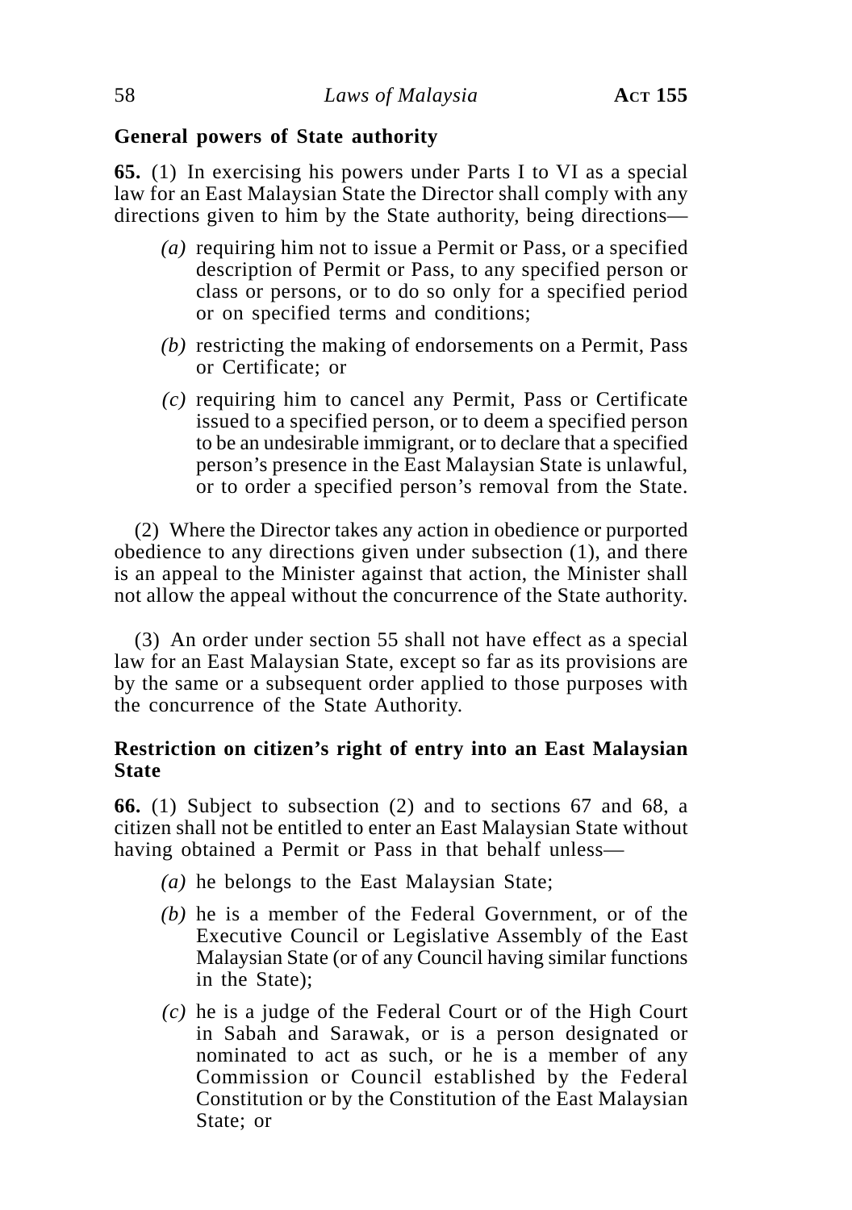### **General powers of State authority**

**65.** (1) In exercising his powers under Parts I to VI as a special law for an East Malaysian State the Director shall comply with any directions given to him by the State authority, being directions—

- *(a)* requiring him not to issue a Permit or Pass, or a specified description of Permit or Pass, to any specified person or class or persons, or to do so only for a specified period or on specified terms and conditions;
- *(b)* restricting the making of endorsements on a Permit, Pass or Certificate; or
- *(c)* requiring him to cancel any Permit, Pass or Certificate issued to a specified person, or to deem a specified person to be an undesirable immigrant, or to declare that a specified person's presence in the East Malaysian State is unlawful, or to order a specified person's removal from the State.

(2) Where the Director takes any action in obedience or purported obedience to any directions given under subsection (1), and there is an appeal to the Minister against that action, the Minister shall not allow the appeal without the concurrence of the State authority.

(3) An order under section 55 shall not have effect as a special law for an East Malaysian State, except so far as its provisions are by the same or a subsequent order applied to those purposes with the concurrence of the State Authority.

# **Restriction on citizen's right of entry into an East Malaysian State**

**66.** (1) Subject to subsection (2) and to sections 67 and 68, a citizen shall not be entitled to enter an East Malaysian State without having obtained a Permit or Pass in that behalf unless—

- *(a)* he belongs to the East Malaysian State;
- *(b)* he is a member of the Federal Government, or of the Executive Council or Legislative Assembly of the East Malaysian State (or of any Council having similar functions in the State);
- *(c)* he is a judge of the Federal Court or of the High Court in Sabah and Sarawak, or is a person designated or nominated to act as such, or he is a member of any Commission or Council established by the Federal Constitution or by the Constitution of the East Malaysian State; or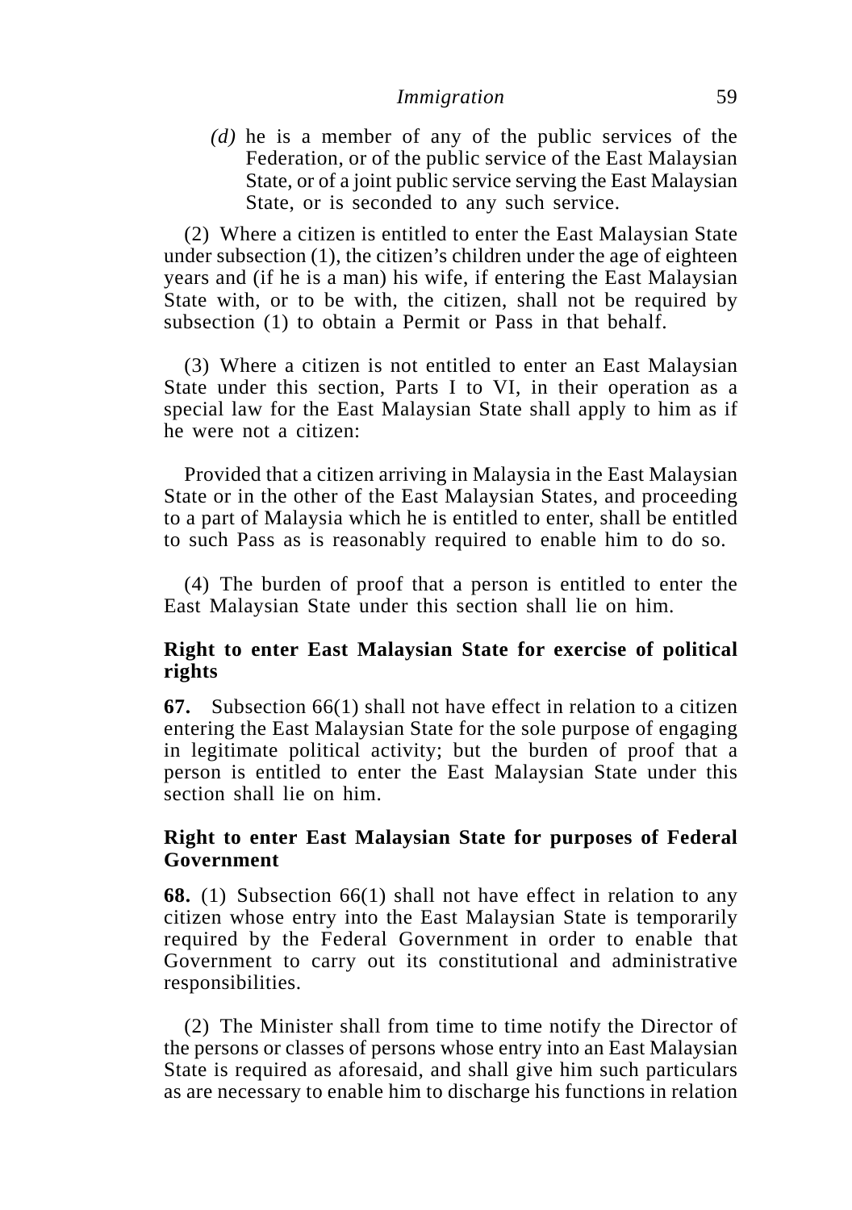*(d)* he is a member of any of the public services of the Federation, or of the public service of the East Malaysian State, or of a joint public service serving the East Malaysian State, or is seconded to any such service.

(2) Where a citizen is entitled to enter the East Malaysian State under subsection (1), the citizen's children under the age of eighteen years and (if he is a man) his wife, if entering the East Malaysian State with, or to be with, the citizen, shall not be required by subsection (1) to obtain a Permit or Pass in that behalf.

(3) Where a citizen is not entitled to enter an East Malaysian State under this section, Parts I to VI, in their operation as a special law for the East Malaysian State shall apply to him as if he were not a citizen:

Provided that a citizen arriving in Malaysia in the East Malaysian State or in the other of the East Malaysian States, and proceeding to a part of Malaysia which he is entitled to enter, shall be entitled to such Pass as is reasonably required to enable him to do so.

(4) The burden of proof that a person is entitled to enter the East Malaysian State under this section shall lie on him.

### **Right to enter East Malaysian State for exercise of political rights**

**67.** Subsection 66(1) shall not have effect in relation to a citizen entering the East Malaysian State for the sole purpose of engaging in legitimate political activity; but the burden of proof that a person is entitled to enter the East Malaysian State under this section shall lie on him.

### **Right to enter East Malaysian State for purposes of Federal Government**

**68.** (1) Subsection 66(1) shall not have effect in relation to any citizen whose entry into the East Malaysian State is temporarily required by the Federal Government in order to enable that Government to carry out its constitutional and administrative responsibilities.

(2) The Minister shall from time to time notify the Director of the persons or classes of persons whose entry into an East Malaysian State is required as aforesaid, and shall give him such particulars as are necessary to enable him to discharge his functions in relation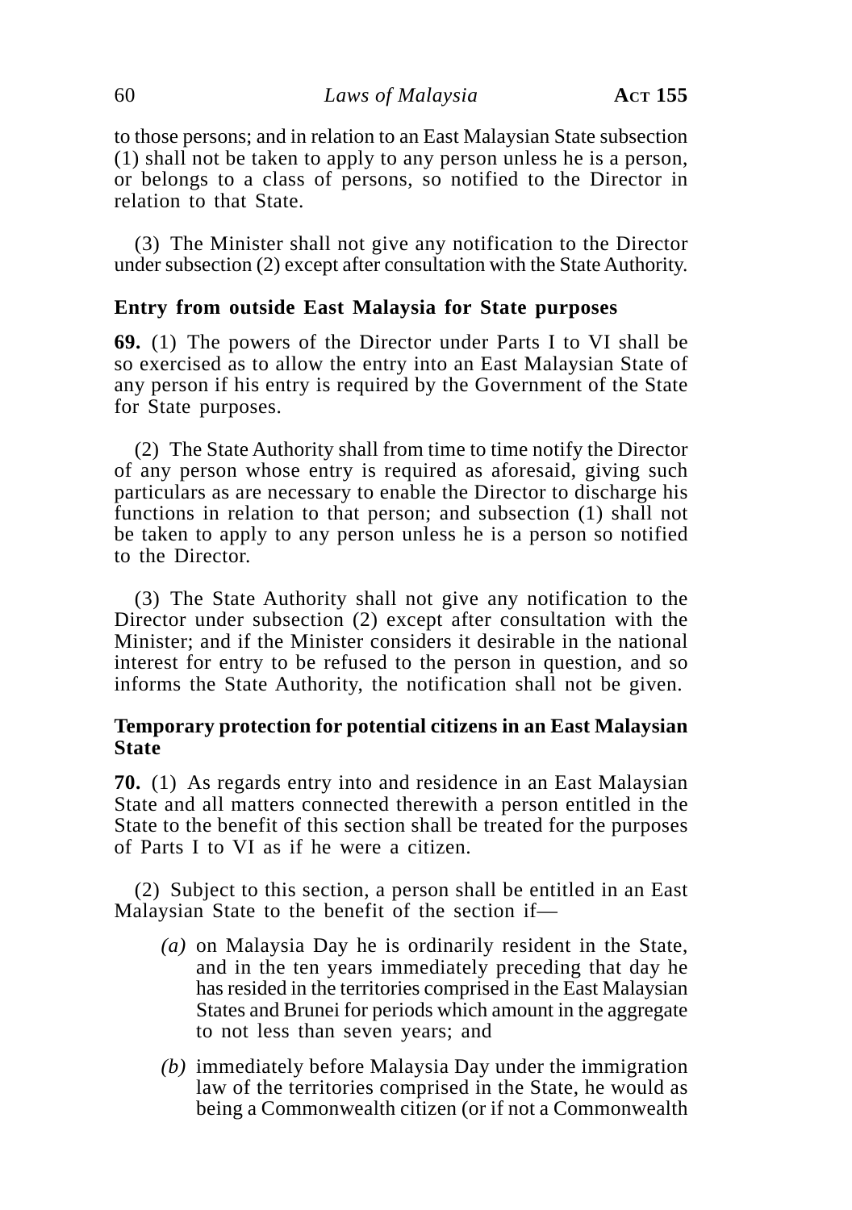to those persons; and in relation to an East Malaysian State subsection (1) shall not be taken to apply to any person unless he is a person, or belongs to a class of persons, so notified to the Director in relation to that State.

(3) The Minister shall not give any notification to the Director under subsection (2) except after consultation with the State Authority.

# **Entry from outside East Malaysia for State purposes**

**69.** (1) The powers of the Director under Parts I to VI shall be so exercised as to allow the entry into an East Malaysian State of any person if his entry is required by the Government of the State for State purposes.

(2) The State Authority shall from time to time notify the Director of any person whose entry is required as aforesaid, giving such particulars as are necessary to enable the Director to discharge his functions in relation to that person; and subsection (1) shall not be taken to apply to any person unless he is a person so notified to the Director.

(3) The State Authority shall not give any notification to the Director under subsection (2) except after consultation with the Minister; and if the Minister considers it desirable in the national interest for entry to be refused to the person in question, and so informs the State Authority, the notification shall not be given.

### **Temporary protection for potential citizens in an East Malaysian State**

**70.** (1) As regards entry into and residence in an East Malaysian State and all matters connected therewith a person entitled in the State to the benefit of this section shall be treated for the purposes of Parts I to VI as if he were a citizen.

(2) Subject to this section, a person shall be entitled in an East Malaysian State to the benefit of the section if—

- *(a)* on Malaysia Day he is ordinarily resident in the State, and in the ten years immediately preceding that day he has resided in the territories comprised in the East Malaysian States and Brunei for periods which amount in the aggregate to not less than seven years; and
- *(b)* immediately before Malaysia Day under the immigration law of the territories comprised in the State, he would as being a Commonwealth citizen (or if not a Commonwealth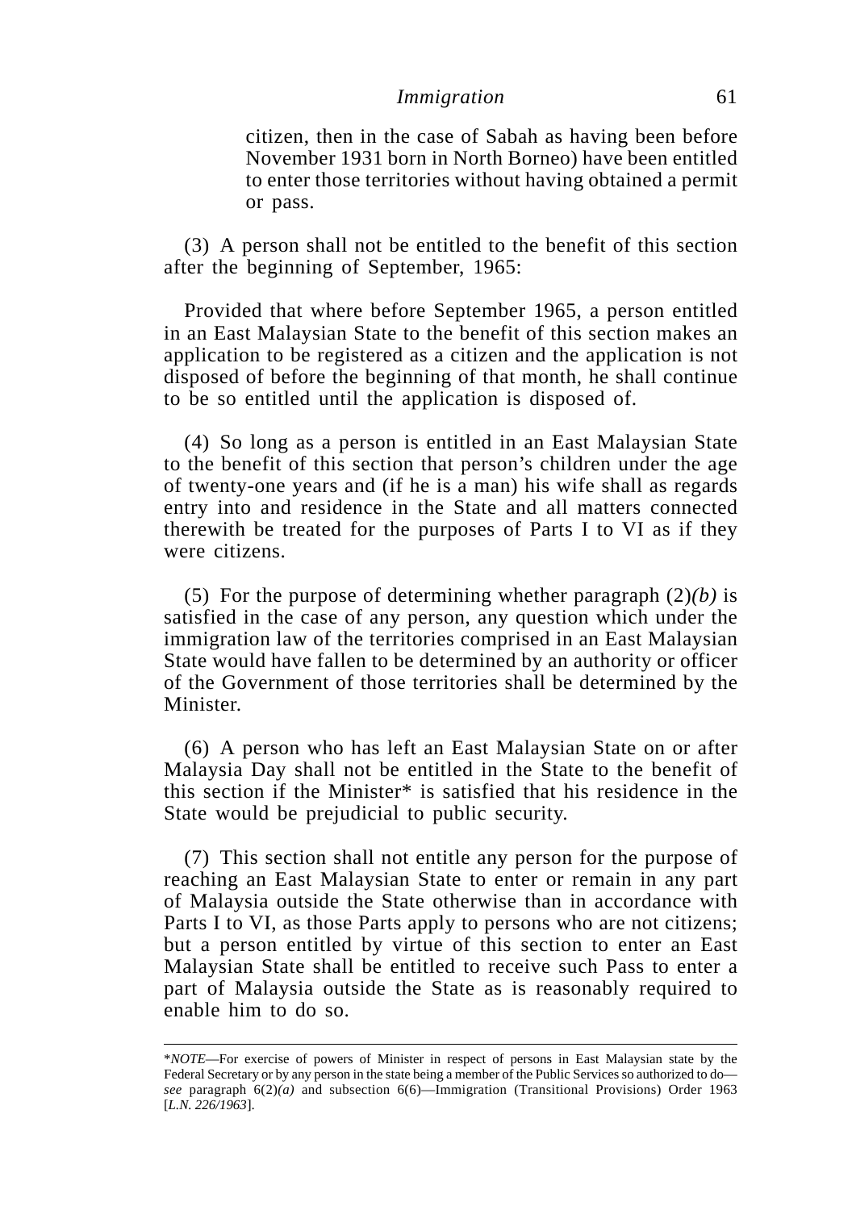citizen, then in the case of Sabah as having been before November 1931 born in North Borneo) have been entitled to enter those territories without having obtained a permit or pass.

(3) A person shall not be entitled to the benefit of this section after the beginning of September, 1965:

Provided that where before September 1965, a person entitled in an East Malaysian State to the benefit of this section makes an application to be registered as a citizen and the application is not disposed of before the beginning of that month, he shall continue to be so entitled until the application is disposed of.

(4) So long as a person is entitled in an East Malaysian State to the benefit of this section that person's children under the age of twenty-one years and (if he is a man) his wife shall as regards entry into and residence in the State and all matters connected therewith be treated for the purposes of Parts I to VI as if they were citizens.

(5) For the purpose of determining whether paragraph  $(2)(b)$  is satisfied in the case of any person, any question which under the immigration law of the territories comprised in an East Malaysian State would have fallen to be determined by an authority or officer of the Government of those territories shall be determined by the Minister.

(6) A person who has left an East Malaysian State on or after Malaysia Day shall not be entitled in the State to the benefit of this section if the Minister\* is satisfied that his residence in the State would be prejudicial to public security.

(7) This section shall not entitle any person for the purpose of reaching an East Malaysian State to enter or remain in any part of Malaysia outside the State otherwise than in accordance with Parts I to VI, as those Parts apply to persons who are not citizens; but a person entitled by virtue of this section to enter an East Malaysian State shall be entitled to receive such Pass to enter a part of Malaysia outside the State as is reasonably required to enable him to do so.

<sup>\*</sup>*NOTE*—For exercise of powers of Minister in respect of persons in East Malaysian state by the Federal Secretary or by any person in the state being a member of the Public Services so authorized to do *see* paragraph 6(2)*(a)* and subsection 6(6)—Immigration (Transitional Provisions) Order 1963 [*L.N. 226/1963*].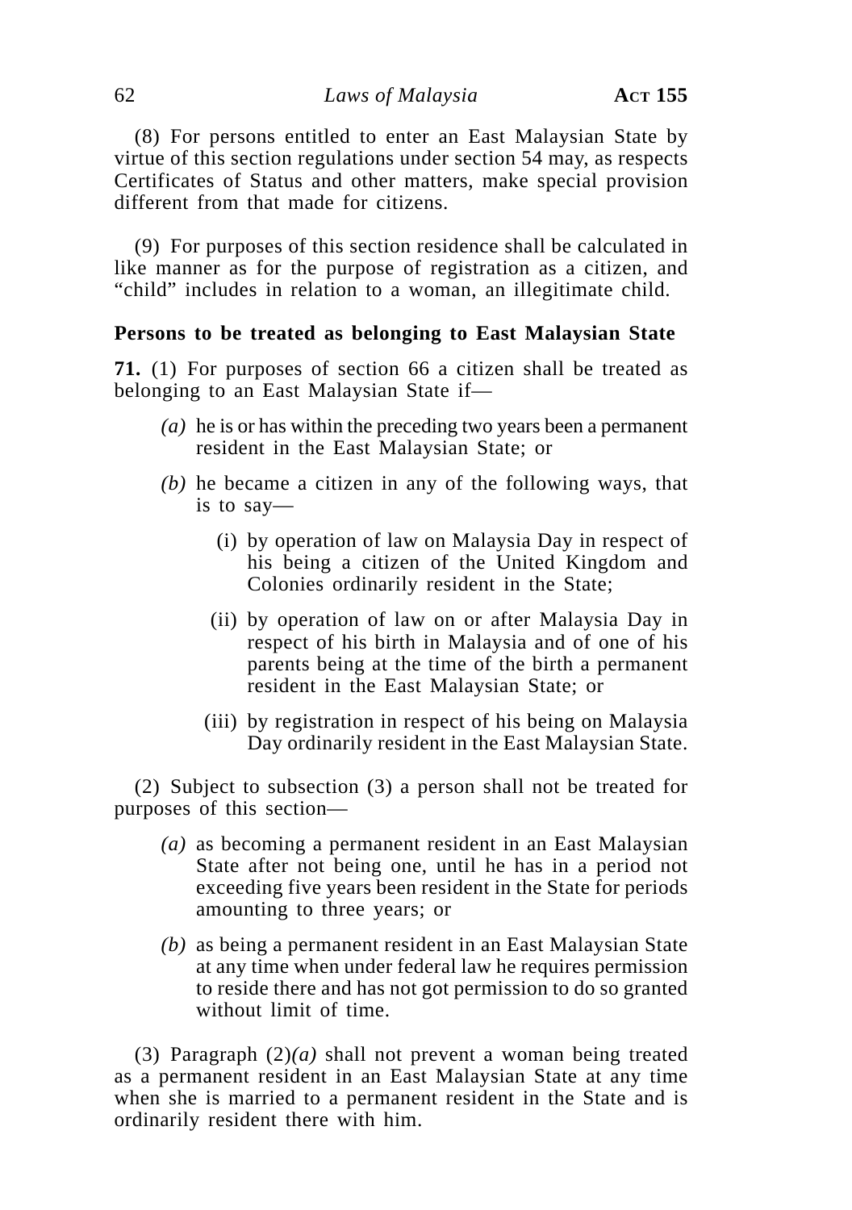(8) For persons entitled to enter an East Malaysian State by virtue of this section regulations under section 54 may, as respects Certificates of Status and other matters, make special provision different from that made for citizens.

(9) For purposes of this section residence shall be calculated in like manner as for the purpose of registration as a citizen, and "child" includes in relation to a woman, an illegitimate child.

### **Persons to be treated as belonging to East Malaysian State**

**71.** (1) For purposes of section 66 a citizen shall be treated as belonging to an East Malaysian State if—

- *(a)* he is or has within the preceding two years been a permanent resident in the East Malaysian State; or
- *(b)* he became a citizen in any of the following ways, that is to say—
	- (i) by operation of law on Malaysia Day in respect of his being a citizen of the United Kingdom and Colonies ordinarily resident in the State;
	- (ii) by operation of law on or after Malaysia Day in respect of his birth in Malaysia and of one of his parents being at the time of the birth a permanent resident in the East Malaysian State; or
	- (iii) by registration in respect of his being on Malaysia Day ordinarily resident in the East Malaysian State.

(2) Subject to subsection (3) a person shall not be treated for purposes of this section—

- *(a)* as becoming a permanent resident in an East Malaysian State after not being one, until he has in a period not exceeding five years been resident in the State for periods amounting to three years; or
- *(b)* as being a permanent resident in an East Malaysian State at any time when under federal law he requires permission to reside there and has not got permission to do so granted without limit of time.

(3) Paragraph (2)*(a)* shall not prevent a woman being treated as a permanent resident in an East Malaysian State at any time when she is married to a permanent resident in the State and is ordinarily resident there with him.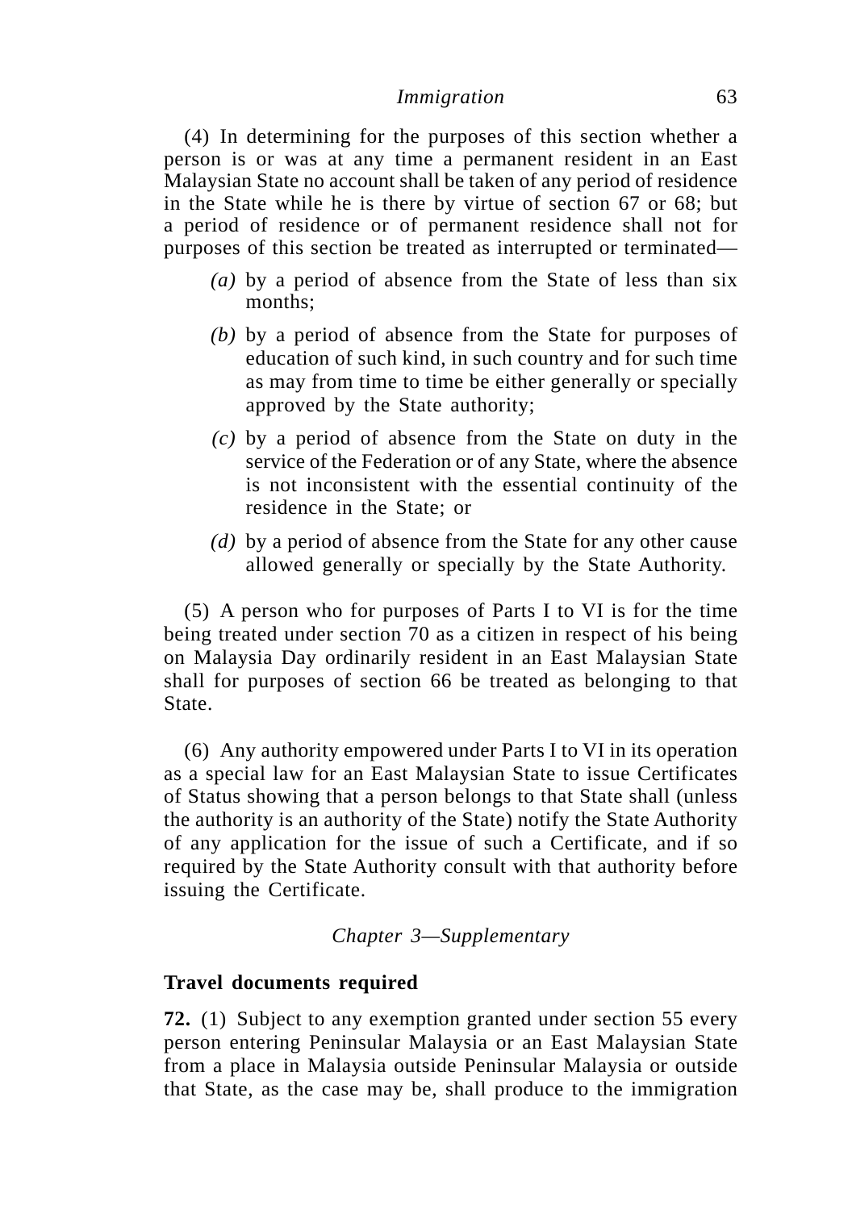(4) In determining for the purposes of this section whether a person is or was at any time a permanent resident in an East Malaysian State no account shall be taken of any period of residence in the State while he is there by virtue of section 67 or 68; but a period of residence or of permanent residence shall not for purposes of this section be treated as interrupted or terminated—

- *(a)* by a period of absence from the State of less than six months;
- *(b)* by a period of absence from the State for purposes of education of such kind, in such country and for such time as may from time to time be either generally or specially approved by the State authority;
- *(c)* by a period of absence from the State on duty in the service of the Federation or of any State, where the absence is not inconsistent with the essential continuity of the residence in the State; or
- *(d)* by a period of absence from the State for any other cause allowed generally or specially by the State Authority.

(5) A person who for purposes of Parts I to VI is for the time being treated under section 70 as a citizen in respect of his being on Malaysia Day ordinarily resident in an East Malaysian State shall for purposes of section 66 be treated as belonging to that State.

(6) Any authority empowered under Parts I to VI in its operation as a special law for an East Malaysian State to issue Certificates of Status showing that a person belongs to that State shall (unless the authority is an authority of the State) notify the State Authority of any application for the issue of such a Certificate, and if so required by the State Authority consult with that authority before issuing the Certificate.

*Chapter 3—Supplementary*

### **Travel documents required**

**72.** (1) Subject to any exemption granted under section 55 every person entering Peninsular Malaysia or an East Malaysian State from a place in Malaysia outside Peninsular Malaysia or outside that State, as the case may be, shall produce to the immigration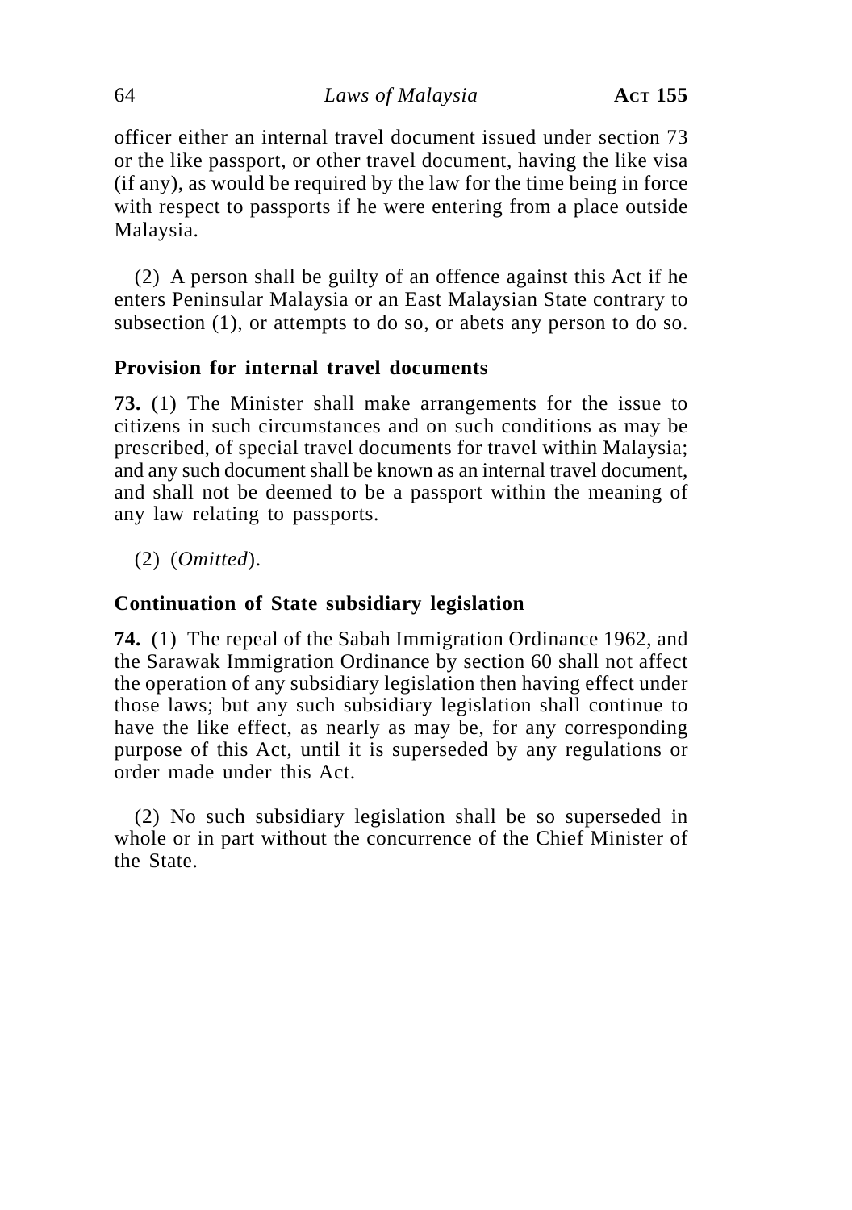officer either an internal travel document issued under section 73 or the like passport, or other travel document, having the like visa (if any), as would be required by the law for the time being in force with respect to passports if he were entering from a place outside Malaysia.

(2) A person shall be guilty of an offence against this Act if he enters Peninsular Malaysia or an East Malaysian State contrary to subsection (1), or attempts to do so, or abets any person to do so.

# **Provision for internal travel documents**

**73.** (1) The Minister shall make arrangements for the issue to citizens in such circumstances and on such conditions as may be prescribed, of special travel documents for travel within Malaysia; and any such document shall be known as an internal travel document, and shall not be deemed to be a passport within the meaning of any law relating to passports.

(2) (*Omitted*).

# **Continuation of State subsidiary legislation**

**74.** (1) The repeal of the Sabah Immigration Ordinance 1962, and the Sarawak Immigration Ordinance by section 60 shall not affect the operation of any subsidiary legislation then having effect under those laws; but any such subsidiary legislation shall continue to have the like effect, as nearly as may be, for any corresponding purpose of this Act, until it is superseded by any regulations or order made under this Act.

(2) No such subsidiary legislation shall be so superseded in whole or in part without the concurrence of the Chief Minister of the State.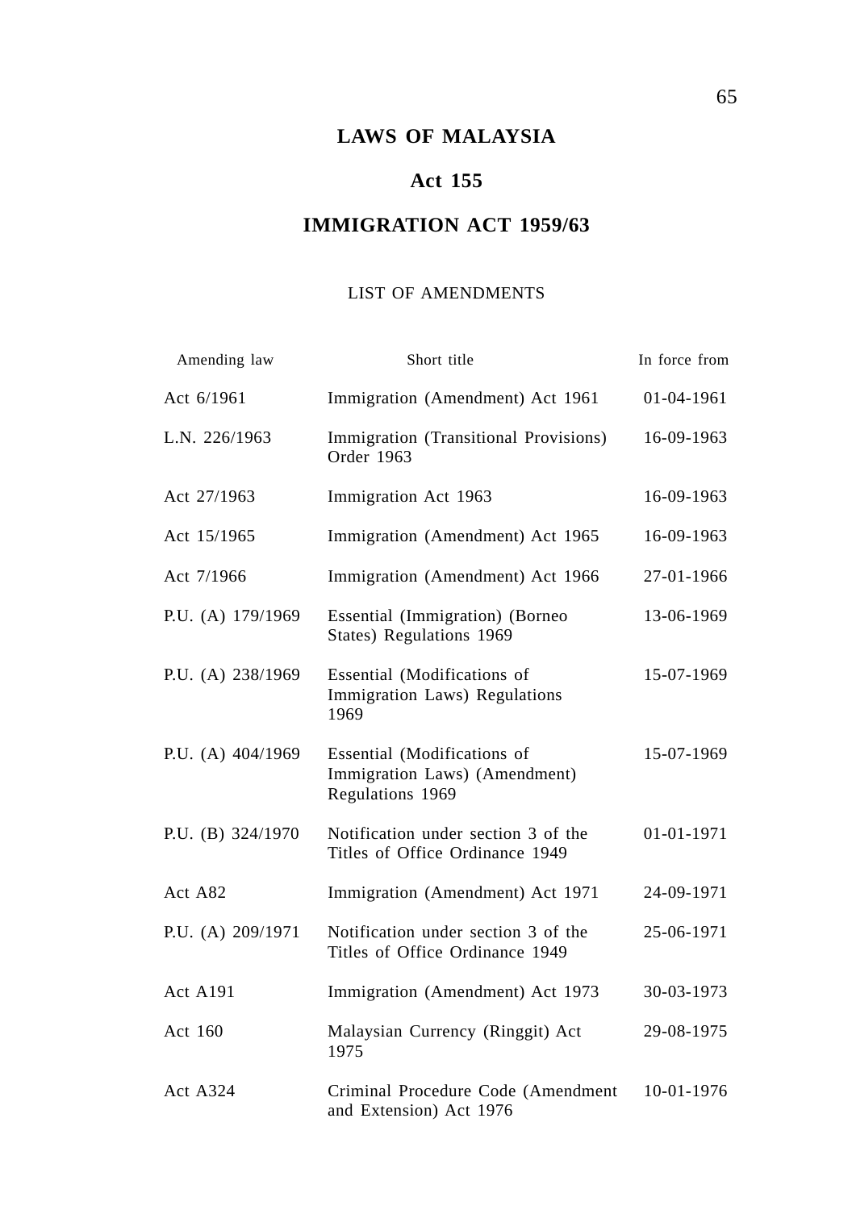# **LAWS OF MALAYSIA**

# **Act 155**

# **IMMIGRATION ACT 1959/63**

### LIST OF AMENDMENTS

| Amending law      | Short title                                                                      | In force from |
|-------------------|----------------------------------------------------------------------------------|---------------|
| Act 6/1961        | Immigration (Amendment) Act 1961                                                 | 01-04-1961    |
| L.N. 226/1963     | Immigration (Transitional Provisions)<br>Order 1963                              | 16-09-1963    |
| Act 27/1963       | Immigration Act 1963                                                             | 16-09-1963    |
| Act 15/1965       | Immigration (Amendment) Act 1965                                                 | 16-09-1963    |
| Act 7/1966        | Immigration (Amendment) Act 1966                                                 | 27-01-1966    |
| P.U. (A) 179/1969 | Essential (Immigration) (Borneo<br>States) Regulations 1969                      | 13-06-1969    |
| P.U. (A) 238/1969 | Essential (Modifications of<br>Immigration Laws) Regulations<br>1969             | 15-07-1969    |
| P.U. (A) 404/1969 | Essential (Modifications of<br>Immigration Laws) (Amendment)<br>Regulations 1969 | 15-07-1969    |
| P.U. (B) 324/1970 | Notification under section 3 of the<br>Titles of Office Ordinance 1949           | 01-01-1971    |
| Act A82           | Immigration (Amendment) Act 1971                                                 | 24-09-1971    |
| P.U. (A) 209/1971 | Notification under section 3 of the<br>Titles of Office Ordinance 1949           | 25-06-1971    |
| Act A191          | Immigration (Amendment) Act 1973                                                 | 30-03-1973    |
| Act 160           | Malaysian Currency (Ringgit) Act<br>1975                                         | 29-08-1975    |
| <b>Act A324</b>   | Criminal Procedure Code (Amendment<br>and Extension) Act 1976                    | 10-01-1976    |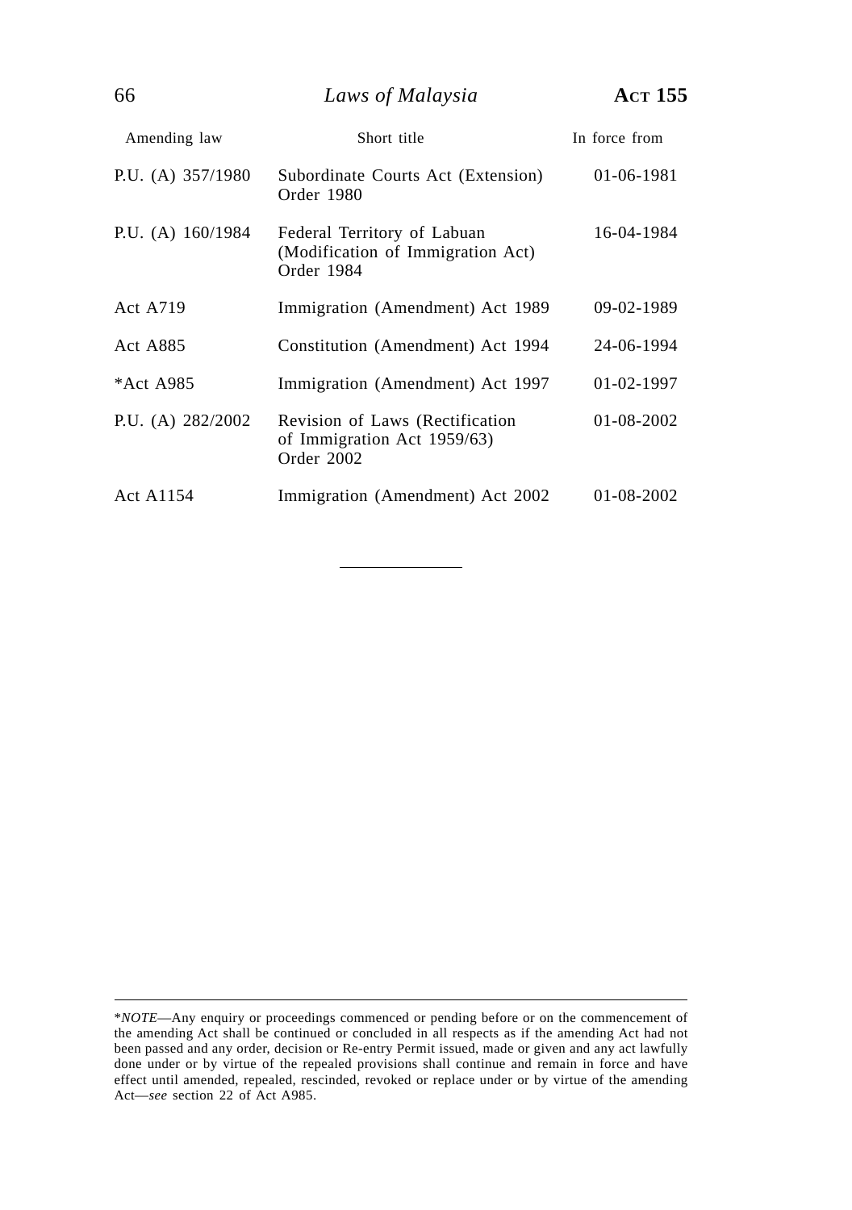66 *Laws of Malaysia* **ACT 155**

| Amending law        | Short title                                                                    | In force from    |
|---------------------|--------------------------------------------------------------------------------|------------------|
| P.U. (A) $357/1980$ | Subordinate Courts Act (Extension)<br>Order 1980                               | 01-06-1981       |
| P.U. (A) $160/1984$ | Federal Territory of Labuan<br>(Modification of Immigration Act)<br>Order 1984 | 16-04-1984       |
| <b>Act A719</b>     | Immigration (Amendment) Act 1989                                               | 09-02-1989       |
| Act A885            | Constitution (Amendment) Act 1994                                              | 24-06-1994       |
| *Act A985           | Immigration (Amendment) Act 1997                                               | 01-02-1997       |
| P.U. (A) $282/2002$ | Revision of Laws (Rectification<br>of Immigration Act 1959/63)<br>Order 2002   | $01 - 08 - 2002$ |
| Act A1154           | Immigration (Amendment) Act 2002                                               | $01 - 08 - 2002$ |

<sup>\*</sup>*NOTE*—Any enquiry or proceedings commenced or pending before or on the commencement of the amending Act shall be continued or concluded in all respects as if the amending Act had not been passed and any order, decision or Re-entry Permit issued, made or given and any act lawfully done under or by virtue of the repealed provisions shall continue and remain in force and have effect until amended, repealed, rescinded, revoked or replace under or by virtue of the amending Act—*see* section 22 of Act A985.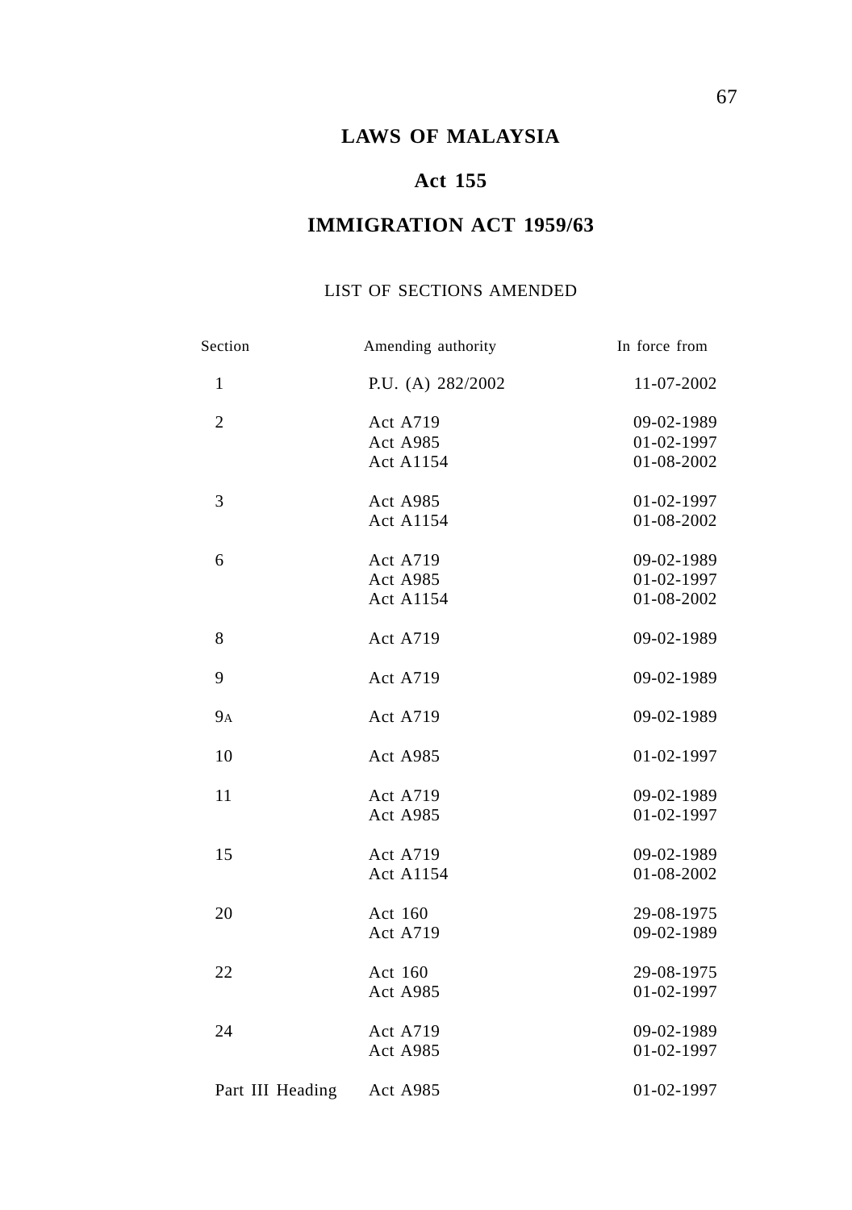# **LAWS OF MALAYSIA**

# **Act 155**

# **IMMIGRATION ACT 1959/63**

### LIST OF SECTIONS AMENDED

| Section          | Amending authority                       | In force from                          |
|------------------|------------------------------------------|----------------------------------------|
| $\mathbf{1}$     | P.U. (A) 282/2002                        | 11-07-2002                             |
| $\overline{2}$   | Act A719<br>Act A985<br><b>Act A1154</b> | 09-02-1989<br>01-02-1997<br>01-08-2002 |
| 3                | Act A985<br><b>Act A1154</b>             | 01-02-1997<br>01-08-2002               |
| 6                | Act A719<br>Act A985<br><b>Act A1154</b> | 09-02-1989<br>01-02-1997<br>01-08-2002 |
| 8                | Act A719                                 | 09-02-1989                             |
| 9                | Act A719                                 | 09-02-1989                             |
| <b>9</b> A       | Act A719                                 | 09-02-1989                             |
| 10               | <b>Act A985</b>                          | 01-02-1997                             |
| 11               | <b>Act A719</b><br>Act A985              | 09-02-1989<br>01-02-1997               |
| 15               | <b>Act A719</b><br><b>Act A1154</b>      | 09-02-1989<br>01-08-2002               |
| 20               | Act 160<br>Act A719                      | 29-08-1975<br>09-02-1989               |
| 22               | Act 160<br>Act A985                      | 29-08-1975<br>01-02-1997               |
| 24               | <b>Act A719</b><br>Act A985              | 09-02-1989<br>01-02-1997               |
| Part III Heading | Act A985                                 | 01-02-1997                             |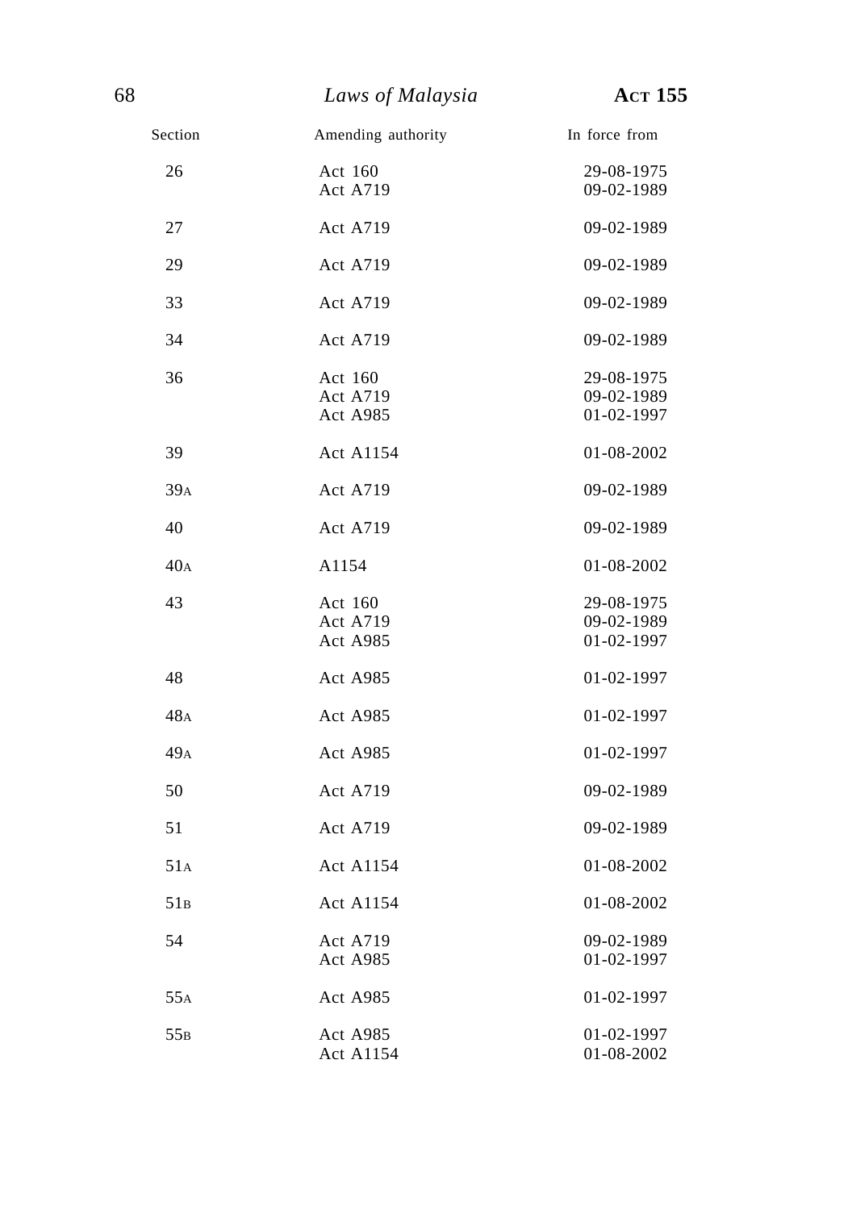| Section         | Amending authority              | In force from                          |
|-----------------|---------------------------------|----------------------------------------|
| 26              | Act 160<br>Act A719             | 29-08-1975<br>09-02-1989               |
| 27              | <b>Act A719</b>                 | 09-02-1989                             |
| 29              | <b>Act A719</b>                 | 09-02-1989                             |
| 33              | <b>Act A719</b>                 | 09-02-1989                             |
| 34              | <b>Act A719</b>                 | 09-02-1989                             |
| 36              | Act 160<br>Act A719<br>Act A985 | 29-08-1975<br>09-02-1989<br>01-02-1997 |
| 39              | <b>Act A1154</b>                | 01-08-2002                             |
| 39 <sub>A</sub> | <b>Act A719</b>                 | 09-02-1989                             |
| 40              | <b>Act A719</b>                 | 09-02-1989                             |
| 40 <sub>A</sub> | A1154                           | 01-08-2002                             |
| 43              | Act 160<br>Act A719<br>Act A985 | 29-08-1975<br>09-02-1989<br>01-02-1997 |
| 48              | Act A985                        | 01-02-1997                             |
| 48A             | Act A985                        | 01-02-1997                             |
| 49 <sub>A</sub> | Act A985                        | 01-02-1997                             |
| 50              | Act A719                        | 09-02-1989                             |
| 51              | <b>Act A719</b>                 | 09-02-1989                             |
| 51A             | <b>Act A1154</b>                | 01-08-2002                             |
| 51B             | <b>Act A1154</b>                | 01-08-2002                             |
| 54              | Act A719<br>Act A985            | 09-02-1989<br>01-02-1997               |
| 55A             | Act A985                        | 01-02-1997                             |
| 55B             | Act A985<br>Act A1154           | 01-02-1997<br>01-08-2002               |